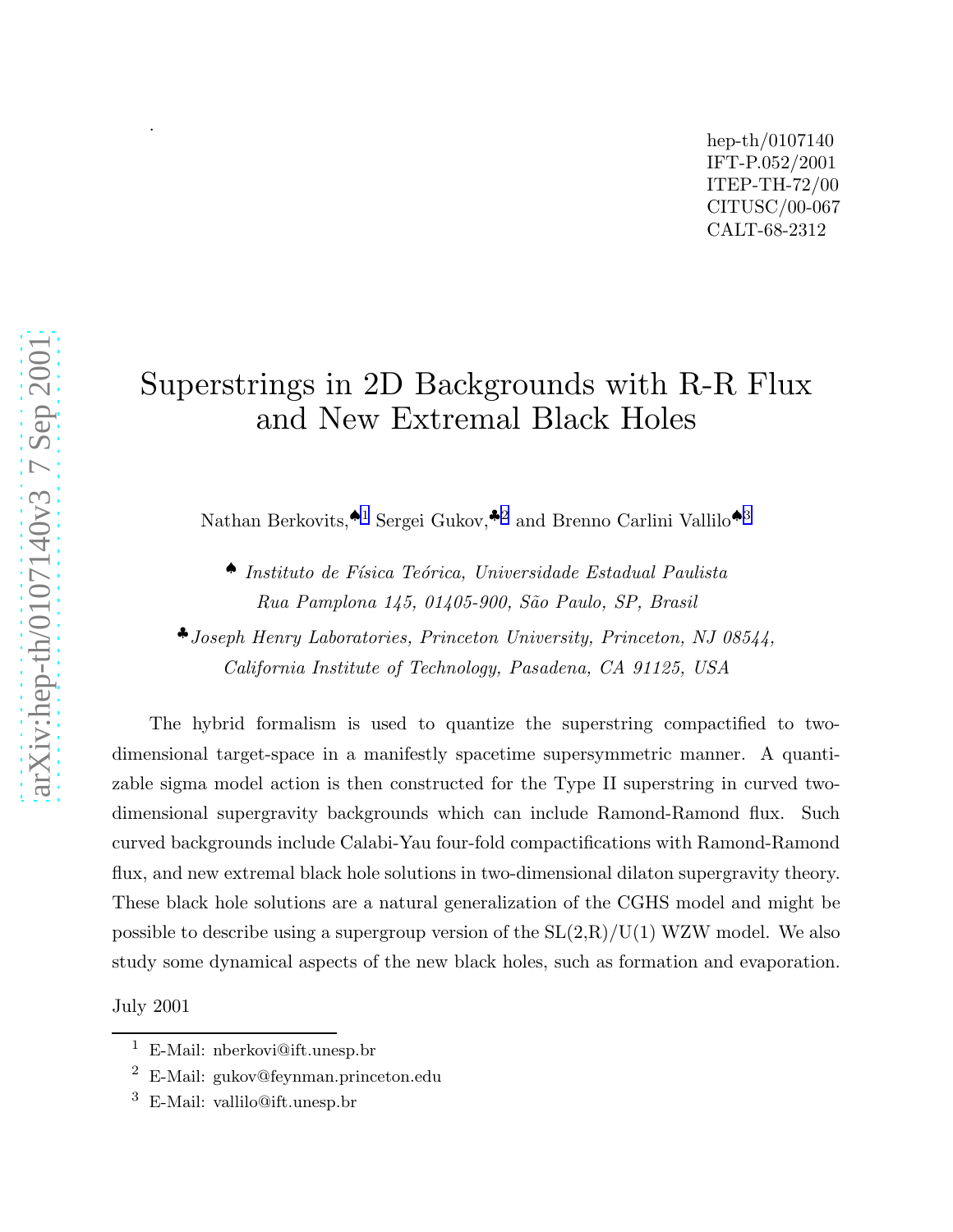# Superstrings in 2D Backgrounds with R-R Flux and New Extremal Black Holes

Nathan Berkovits,<sup>41</sup> Sergei Gukov,<sup>42</sup> and Brenno Carlini Vallilo<sup>43</sup>

♠ Instituto de F´ısica Te´orica, Universidade Estadual Paulista Rua Pamplona 145, 01405-900, São Paulo, SP, Brasil

♣Joseph Henry Laboratories, Princeton University, Princeton, NJ 08544, California Institute of Technology, Pasadena, CA 91125, USA

The hybrid formalism is used to quantize the superstring compactified to twodimensional target-space in a manifestly spacetime supersymmetric manner. A quantizable sigma model action is then constructed for the Type II superstring in curved twodimensional supergravity backgrounds which can include Ramond-Ramond flux. Such curved backgrounds include Calabi-Yau four-fold compactifications with Ramond-Ramond flux, and new extremal black hole solutions in two-dimensional dilaton supergravity theory. These black hole solutions are a natural generalization of the CGHS model and might be possible to describe using a supergroup version of the  $SL(2,R)/U(1)$  WZW model. We also study some dynamical aspects of the new black holes, such as formation and evaporation.

July 2001

.

<sup>1</sup> E-Mail: nberkovi@ift.unesp.br

 $2$  E-Mail: gukov@feynman.princeton.edu

<sup>3</sup> E-Mail: vallilo@ift.unesp.br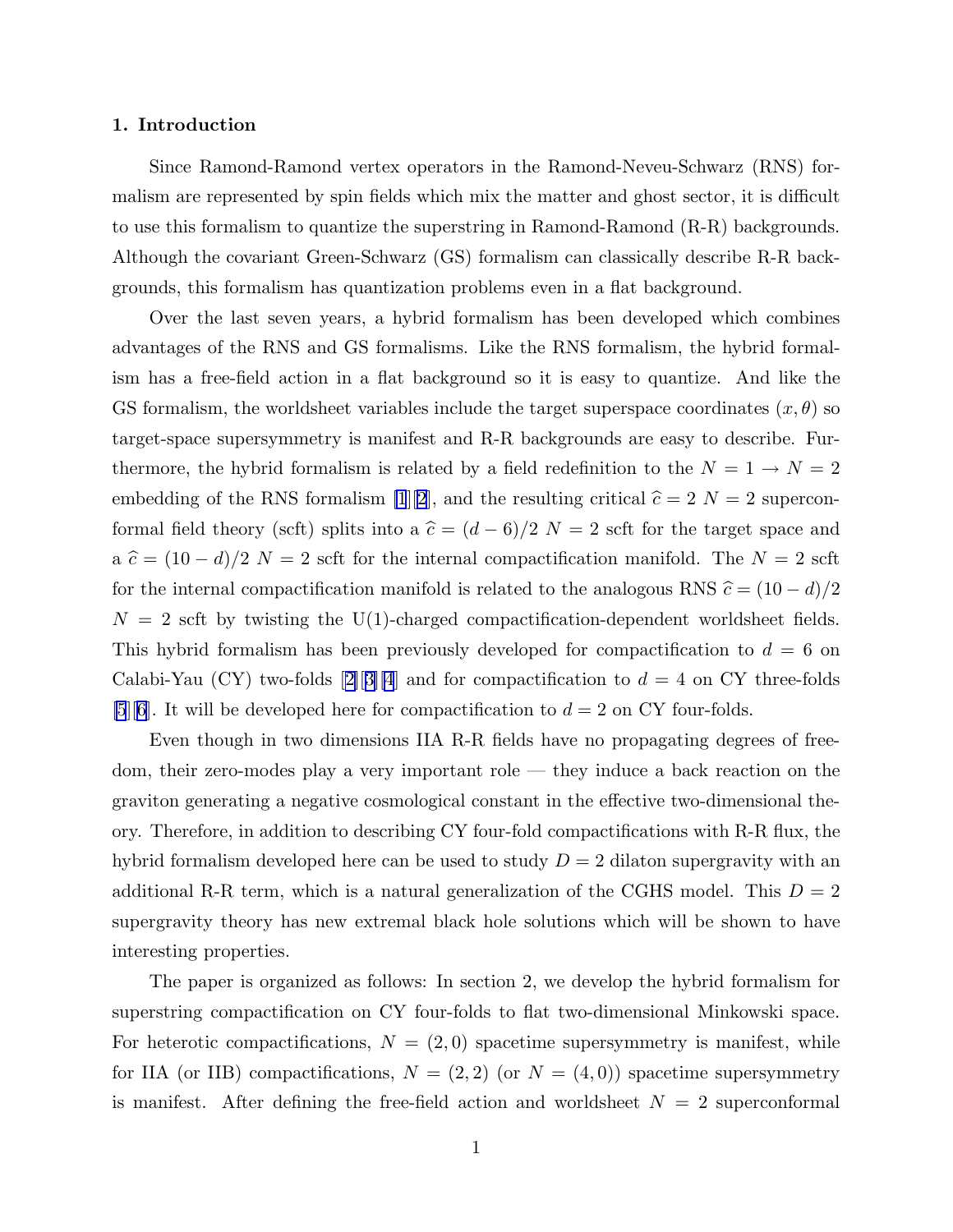# 1. Introduction

Since Ramond-Ramond vertex operators in the Ramond-Neveu-Schwarz (RNS) formalism are represented by spin fields which mix the matter and ghost sector, it is difficult to use this formalism to quantize the superstring in Ramond-Ramond (R-R) backgrounds. Although the covariant Green-Schwarz (GS) formalism can classically describe R-R backgrounds, this formalism has quantization problems even in a flat background.

Over the last seven years, a hybrid formalism has been developed which combines advantages of the RNS and GS formalisms. Like the RNS formalism, the hybrid formalism has a free-field action in a flat background so it is easy to quantize. And like the GS formalism, the worldsheet variables include the target superspace coordinates  $(x, \theta)$  so target-space supersymmetry is manifest and R-R backgrounds are easy to describe. Furthermore, the hybrid formalism is related by a field redefinition to the  $N = 1 \rightarrow N = 2$ embedding of the RNS formalism [\[1](#page-43-0)][\[2](#page-43-0)], and the resulting critical  $\hat{c} = 2$  N = 2 superconformal field theory (scft) splits into a  $\hat{c} = (d - 6)/2$  N = 2 scft for the target space and a  $\hat{c} = (10 - d)/2$  N = 2 scft for the internal compactification manifold. The N = 2 scft for the internal compactification manifold is related to the analogous RNS  $\hat{c} = (10 - d)/2$  $N = 2$  scft by twisting the U(1)-charged compactification-dependent worldsheet fields. This hybrid formalism has been previously developed for compactification to  $d = 6$  on Calabi-Yau(CY) two-folds [[2\]](#page-43-0)[[3\]\[4](#page-43-0)] and for compactification to  $d = 4$  on CY three-folds [\[5](#page-43-0)][\[6](#page-43-0)]. It will be developed here for compactification to  $d = 2$  on CY four-folds.

Even though in two dimensions IIA R-R fields have no propagating degrees of freedom, their zero-modes play a very important role — they induce a back reaction on the graviton generating a negative cosmological constant in the effective two-dimensional theory. Therefore, in addition to describing CY four-fold compactifications with R-R flux, the hybrid formalism developed here can be used to study  $D = 2$  dilaton supergravity with an additional R-R term, which is a natural generalization of the CGHS model. This  $D = 2$ supergravity theory has new extremal black hole solutions which will be shown to have interesting properties.

The paper is organized as follows: In section 2, we develop the hybrid formalism for superstring compactification on CY four-folds to flat two-dimensional Minkowski space. For heterotic compactifications,  $N = (2, 0)$  spacetime supersymmetry is manifest, while for IIA (or IIB) compactifications,  $N = (2, 2)$  (or  $N = (4, 0)$ ) spacetime supersymmetry is manifest. After defining the free-field action and worldsheet  $N = 2$  superconformal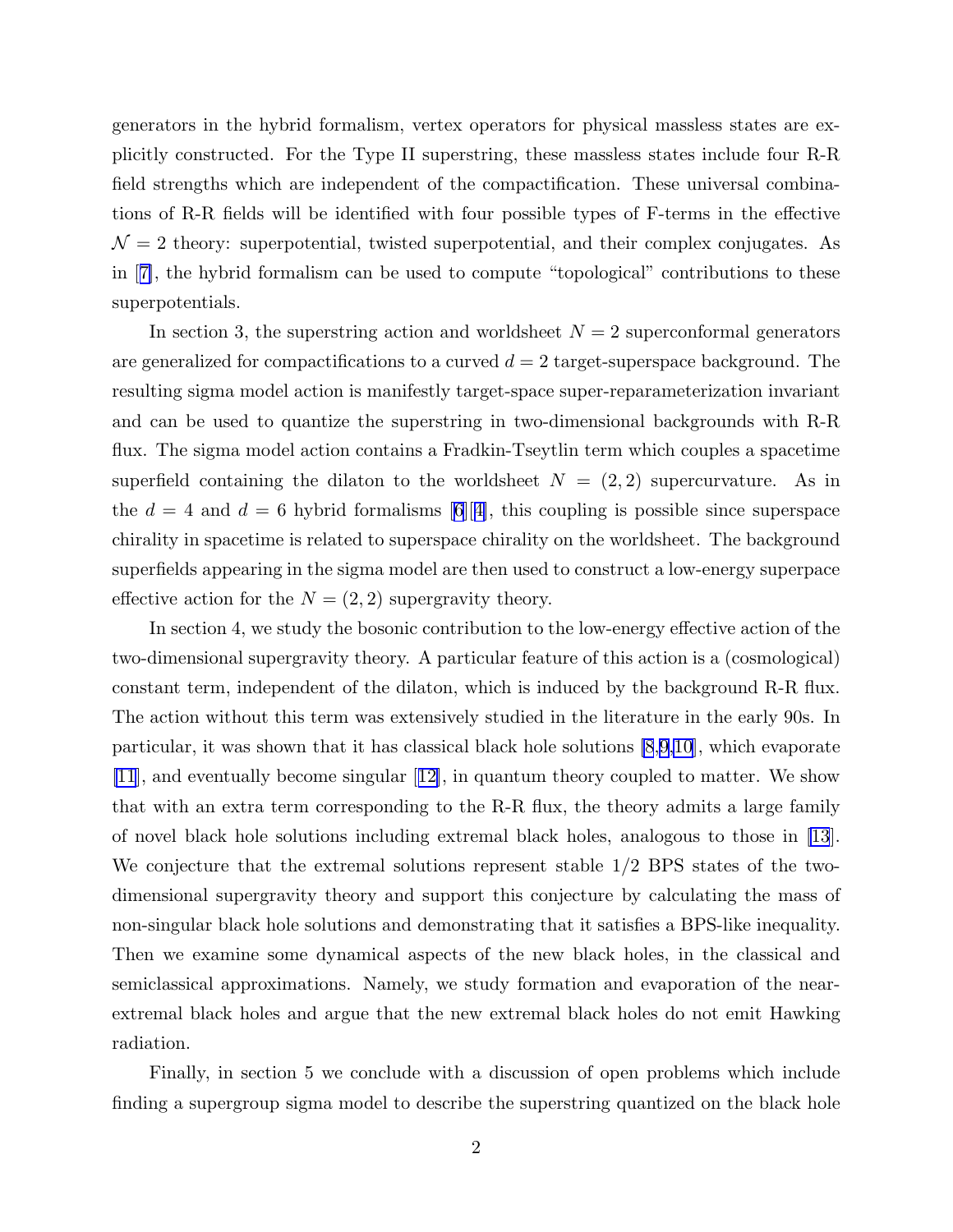generators in the hybrid formalism, vertex operators for physical massless states are explicitly constructed. For the Type II superstring, these massless states include four R-R field strengths which are independent of the compactification. These universal combinations of R-R fields will be identified with four possible types of F-terms in the effective  $\mathcal{N}=2$  theory: superpotential, twisted superpotential, and their complex conjugates. As in[[7\]](#page-43-0), the hybrid formalism can be used to compute "topological" contributions to these superpotentials.

In section 3, the superstring action and worldsheet  $N = 2$  superconformal generators are generalized for compactifications to a curved  $d = 2$  target-superspace background. The resulting sigma model action is manifestly target-space super-reparameterization invariant and can be used to quantize the superstring in two-dimensional backgrounds with R-R flux. The sigma model action contains a Fradkin-Tseytlin term which couples a spacetime superfield containing the dilaton to the worldsheet  $N = (2, 2)$  supercurvature. As in the $d = 4$  and  $d = 6$  hybrid formalisms [[6\]](#page-43-0)[[4\]](#page-43-0), this coupling is possible since superspace chirality in spacetime is related to superspace chirality on the worldsheet. The background superfields appearing in the sigma model are then used to construct a low-energy superpace effective action for the  $N = (2, 2)$  supergravity theory.

In section 4, we study the bosonic contribution to the low-energy effective action of the two-dimensional supergravity theory. A particular feature of this action is a (cosmological) constant term, independent of the dilaton, which is induced by the background R-R flux. The action without this term was extensively studied in the literature in the early 90s. In particular, it was shown that it has classical black hole solutions [\[8](#page-43-0),[9,10](#page-43-0)], which evaporate [\[11](#page-43-0)], and eventually become singular[[12\]](#page-43-0), in quantum theory coupled to matter. We show that with an extra term corresponding to the R-R flux, the theory admits a large family of novel black hole solutions including extremal black holes, analogous to those in [\[13](#page-43-0)]. We conjecture that the extremal solutions represent stable 1/2 BPS states of the twodimensional supergravity theory and support this conjecture by calculating the mass of non-singular black hole solutions and demonstrating that it satisfies a BPS-like inequality. Then we examine some dynamical aspects of the new black holes, in the classical and semiclassical approximations. Namely, we study formation and evaporation of the nearextremal black holes and argue that the new extremal black holes do not emit Hawking radiation.

Finally, in section 5 we conclude with a discussion of open problems which include finding a supergroup sigma model to describe the superstring quantized on the black hole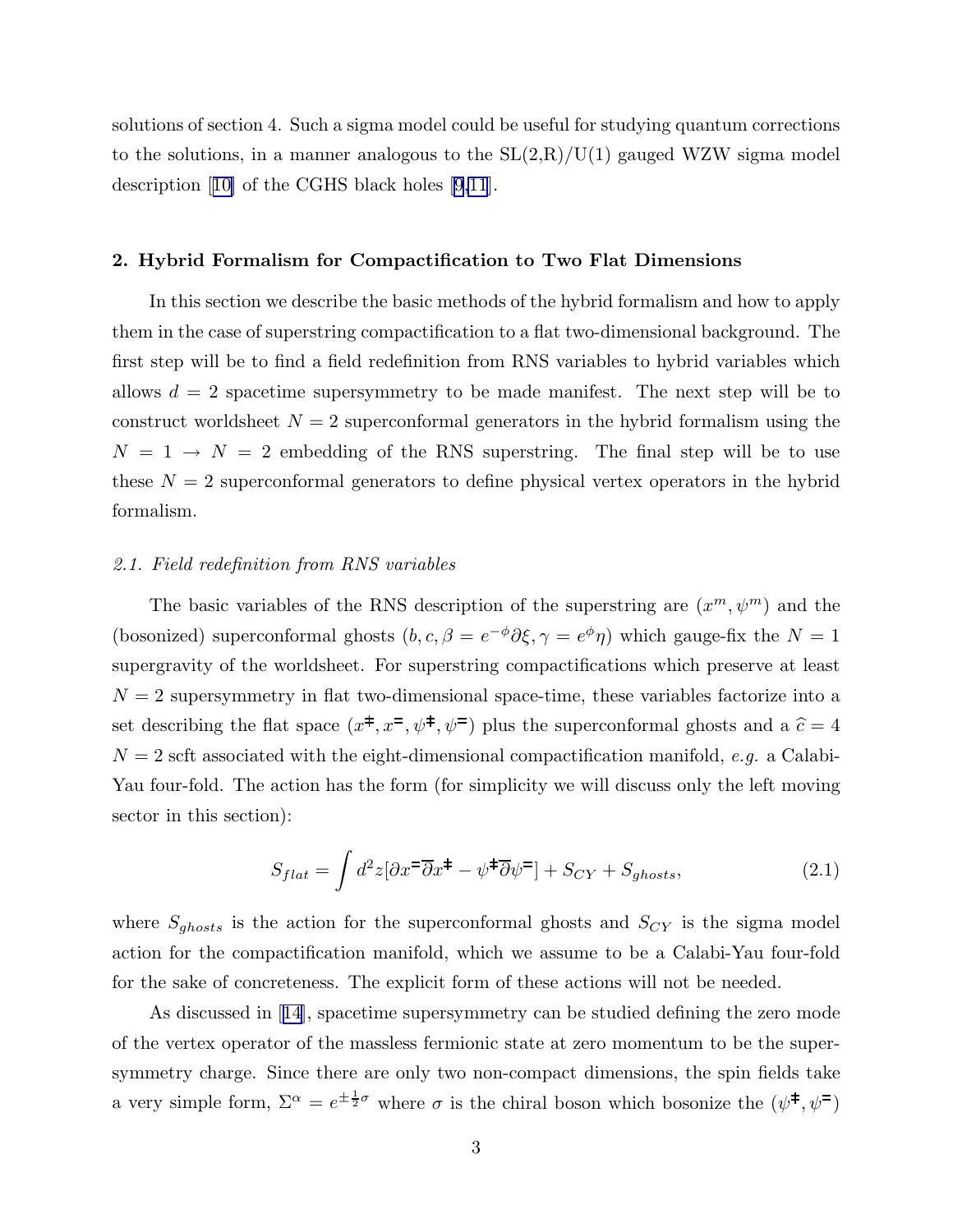<span id="page-3-0"></span>solutions of section 4. Such a sigma model could be useful for studying quantum corrections to the solutions, in a manner analogous to the  $SL(2,R)/U(1)$  gauged WZW sigma model description[[10\]](#page-43-0) of the CGHS black holes [\[9,11](#page-43-0)].

#### 2. Hybrid Formalism for Compactification to Two Flat Dimensions

In this section we describe the basic methods of the hybrid formalism and how to apply them in the case of superstring compactification to a flat two-dimensional background. The first step will be to find a field redefinition from RNS variables to hybrid variables which allows  $d = 2$  spacetime supersymmetry to be made manifest. The next step will be to construct worldsheet  $N = 2$  superconformal generators in the hybrid formalism using the  $N = 1 \rightarrow N = 2$  embedding of the RNS superstring. The final step will be to use these  $N = 2$  superconformal generators to define physical vertex operators in the hybrid formalism.

# 2.1. Field redefinition from RNS variables

The basic variables of the RNS description of the superstring are  $(x^m, \psi^m)$  and the (bosonized) superconformal ghosts  $(b, c, \beta = e^{-\phi}\partial \xi, \gamma = e^{\phi}\eta$ ) which gauge-fix the  $N = 1$ supergravity of the worldsheet. For superstring compactifications which preserve at least  $N = 2$  supersymmetry in flat two-dimensional space-time, these variables factorize into a set describing the flat space  $(x^{\ddagger}, x^{\dagger}, \psi^{\dagger}, \psi^{\dagger})$  plus the superconformal ghosts and a  $\hat{c} = 4$  $N = 2$  scft associated with the eight-dimensional compactification manifold, e.g. a Calabi-Yau four-fold. The action has the form (for simplicity we will discuss only the left moving sector in this section):

$$
S_{flat} = \int d^2z [\partial x \overline{\partial} \partial x + \psi \overline{\partial} \psi] + S_{CY} + S_{ghosts}, \qquad (2.1)
$$

where  $S_{ghosts}$  is the action for the superconformal ghosts and  $S_{CY}$  is the sigma model action for the compactification manifold, which we assume to be a Calabi-Yau four-fold for the sake of concreteness. The explicit form of these actions will not be needed.

As discussed in[[14\]](#page-43-0), spacetime supersymmetry can be studied defining the zero mode of the vertex operator of the massless fermionic state at zero momentum to be the supersymmetry charge. Since there are only two non-compact dimensions, the spin fields take a very simple form,  $\Sigma^{\alpha} = e^{\pm \frac{1}{2}\sigma}$  where  $\sigma$  is the chiral boson which bosonize the  $(\psi^{\ddagger}, \psi^{\ddagger})$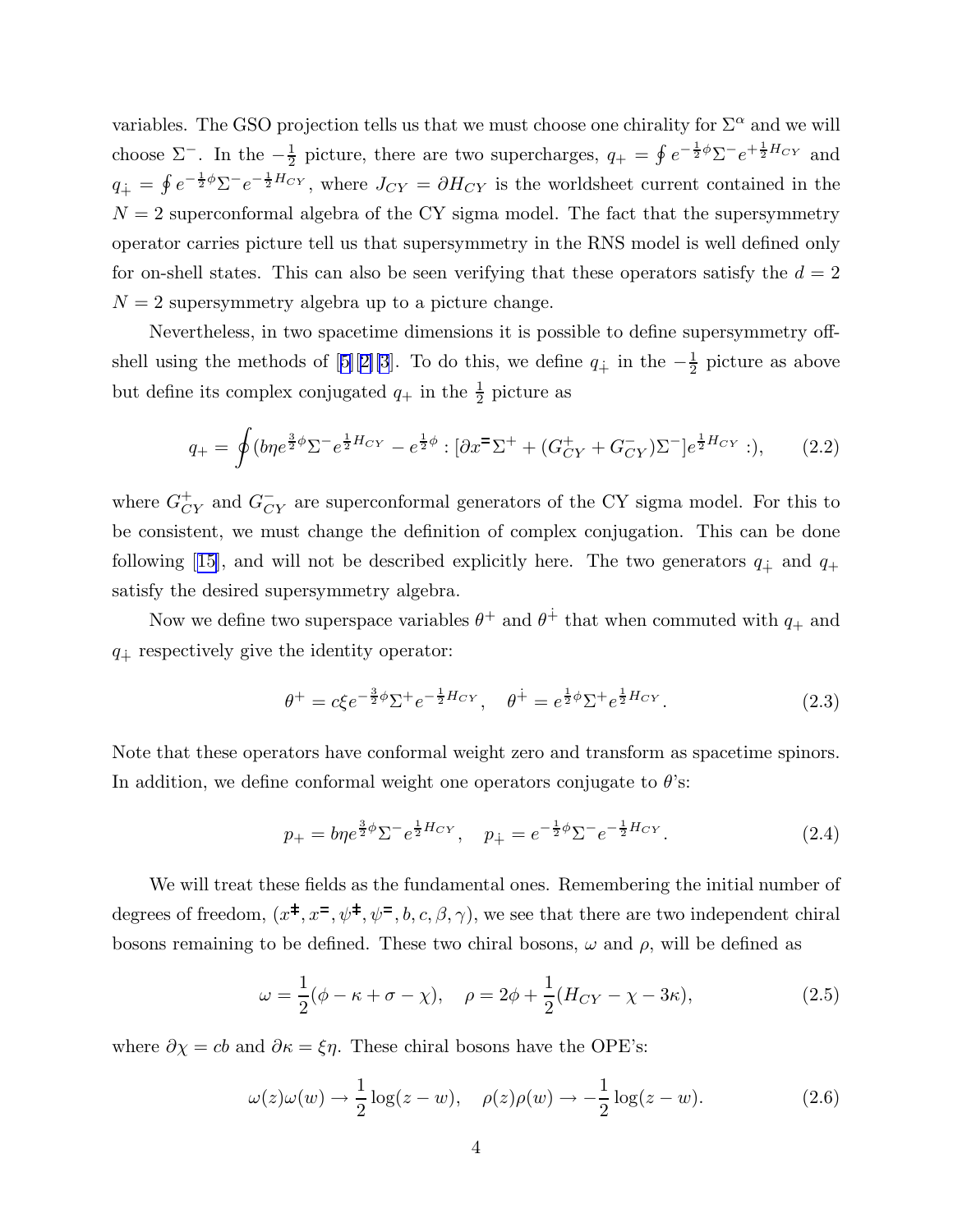variables. The GSO projection tells us that we must choose one chirality for  $\Sigma^{\alpha}$  and we will choose  $\Sigma^-$ . In the  $-\frac{1}{2}$  $\frac{1}{2}$  picture, there are two supercharges,  $q_+ = \oint e^{-\frac{1}{2}\phi}\Sigma^-e^{+\frac{1}{2}H_{CY}}$  and  $q_+ = \oint e^{-\frac{1}{2}\phi}\Sigma^{-}e^{-\frac{1}{2}H_{CY}}$ , where  $J_{CY} = \partial H_{CY}$  is the worldsheet current contained in the  $N = 2$  superconformal algebra of the CY sigma model. The fact that the supersymmetry operator carries picture tell us that supersymmetry in the RNS model is well defined only for on-shell states. This can also be seen verifying that these operators satisfy the  $d = 2$  $N = 2$  supersymmetry algebra up to a picture change.

Nevertheless, in two spacetime dimensions it is possible to define supersymmetry off-shellusing the methods of [[5\]](#page-43-0)[[2\]\[3](#page-43-0)]. To do this, we define  $q_{\dot{+}}$  in the  $-\frac{1}{2}$  $\frac{1}{2}$  picture as above but define its complex conjugated  $q_+$  in the  $\frac{1}{2}$  picture as

$$
q_{+} = \oint (b\eta e^{\frac{3}{2}\phi} \Sigma^{-} e^{\frac{1}{2}H_{CY}} - e^{\frac{1}{2}\phi} : [\partial x^{\pm} \Sigma^{+} + (G_{CY}^{+} + G_{CY}^{-}) \Sigma^{-}] e^{\frac{1}{2}H_{CY}} : ),
$$
 (2.2)

where  $G_{CY}^+$  and  $G_{CY}^-$  are superconformal generators of the CY sigma model. For this to be consistent, we must change the definition of complex conjugation. This can be done following[[15\]](#page-43-0), and will not be described explicitly here. The two generators  $q_{\dot{+}}$  and  $q_{+}$ satisfy the desired supersymmetry algebra.

Now we define two superspace variables  $\theta^+$  and  $\theta^+$  that when commuted with  $q_+$  and  $q_{\dot{+}}$  respectively give the identity operator:

$$
\theta^{+} = c\xi e^{-\frac{3}{2}\phi} \Sigma^{+} e^{-\frac{1}{2}H_{CY}}, \quad \theta^{\dot{+}} = e^{\frac{1}{2}\phi} \Sigma^{+} e^{\frac{1}{2}H_{CY}}.
$$
 (2.3)

Note that these operators have conformal weight zero and transform as spacetime spinors. In addition, we define conformal weight one operators conjugate to  $\theta$ 's:

$$
p_{+} = b\eta e^{\frac{3}{2}\phi} \Sigma^{-} e^{\frac{1}{2}H_{CY}}, \quad p_{+} = e^{-\frac{1}{2}\phi} \Sigma^{-} e^{-\frac{1}{2}H_{CY}}.
$$
 (2.4)

We will treat these fields as the fundamental ones. Remembering the initial number of degrees of freedom,  $(x^{\ddagger}, x^{\dagger}, \psi^{\dagger}, \psi^{\dagger}, b, c, \beta, \gamma)$ , we see that there are two independent chiral bosons remaining to be defined. These two chiral bosons,  $\omega$  and  $\rho$ , will be defined as

$$
\omega = \frac{1}{2}(\phi - \kappa + \sigma - \chi), \quad \rho = 2\phi + \frac{1}{2}(H_{CY} - \chi - 3\kappa), \tag{2.5}
$$

where  $\partial \chi = cb$  and  $\partial \kappa = \xi \eta$ . These chiral bosons have the OPE's:

$$
\omega(z)\omega(w) \to \frac{1}{2}\log(z-w), \quad \rho(z)\rho(w) \to -\frac{1}{2}\log(z-w). \tag{2.6}
$$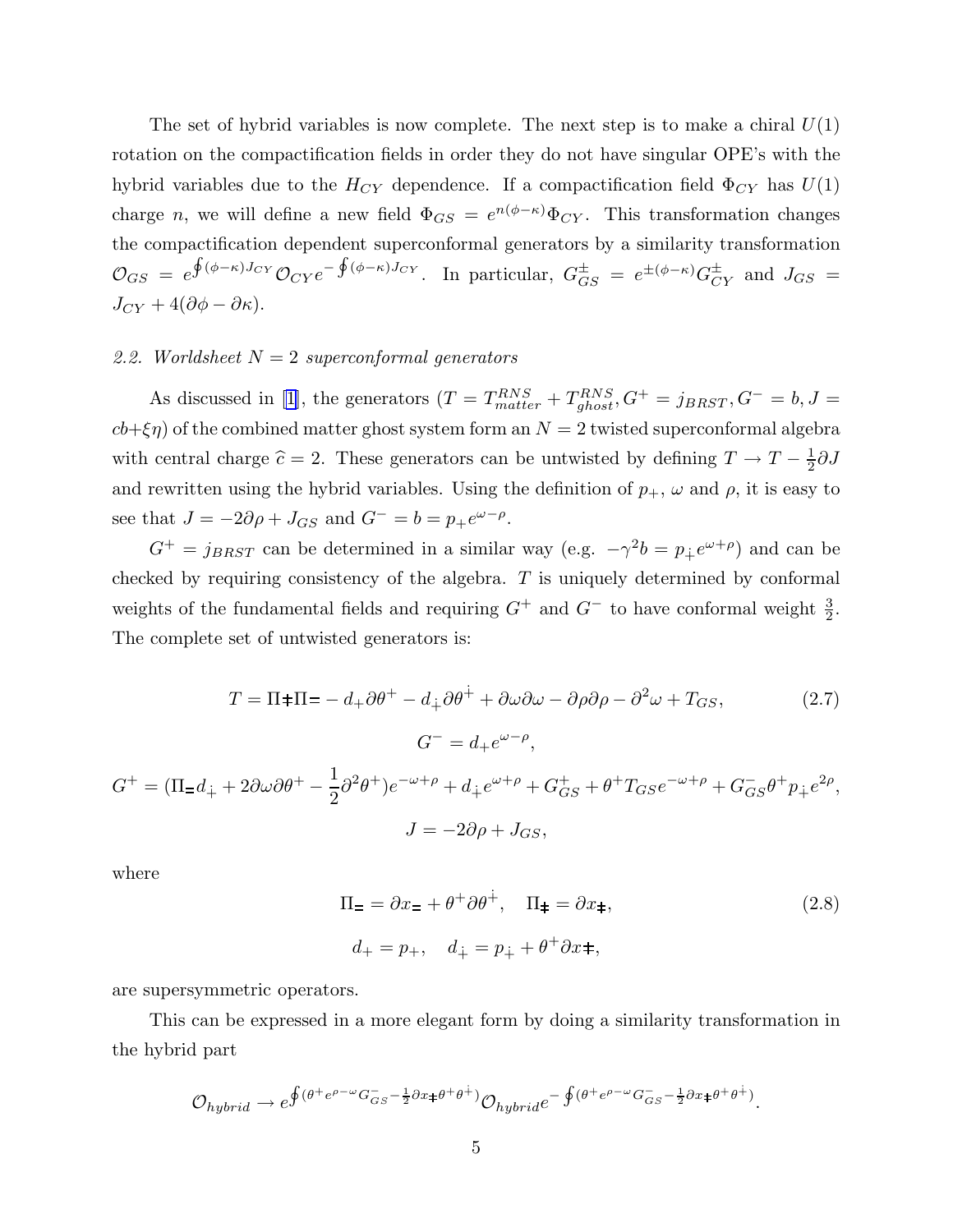The set of hybrid variables is now complete. The next step is to make a chiral  $U(1)$ rotation on the compactification fields in order they do not have singular OPE's with the hybrid variables due to the  $H_{CY}$  dependence. If a compactification field  $\Phi_{CY}$  has  $U(1)$ charge *n*, we will define a new field  $\Phi_{GS} = e^{n(\phi - \kappa)} \Phi_{CY}$ . This transformation changes the compactification dependent superconformal generators by a similarity transformation  $\mathcal{O}_{GS} = e$  $\oint (\phi - \kappa) J_{CY} \mathcal{O}_{CY} e^{-\oint (\phi - \kappa) J_{CY}}$ . In particular,  $G_{GS}^{\pm} = e^{\pm (\phi - \kappa)} G_{CY}^{\pm}$  and  $J_{GS} =$  $J_{CY} + 4(\partial \phi - \partial \kappa).$ 

# 2.2. Worldsheet  $N = 2$  superconformal generators

As discussed in [\[1](#page-43-0)], the generators  $(T = T_{matter}^{RNS} + T_{ghost}^{RNS}, G^+ = j_{BRST}, G^- = b, J =$  $cb+\xi\eta$ ) of the combined matter ghost system form an  $N=2$  twisted superconformal algebra with central charge  $\hat{c} = 2$ . These generators can be untwisted by defining  $T \to T - \frac{1}{2}$  $rac{1}{2}\partial J$ and rewritten using the hybrid variables. Using the definition of  $p_+$ ,  $\omega$  and  $\rho$ , it is easy to see that  $J = -2\partial \rho + J_{GS}$  and  $G^- = b = p_+ e^{\omega - \rho}$ .

 $G^+ = j_{BRST}$  can be determined in a similar way (e.g.  $-\gamma^2 b = p_+ e^{\omega + \rho}$ ) and can be checked by requiring consistency of the algebra. T is uniquely determined by conformal weights of the fundamental fields and requiring  $G^+$  and  $G^-$  to have conformal weight  $\frac{3}{2}$ . The complete set of untwisted generators is:

$$
T = \Pi \pm \Pi = -d_+ \partial \theta^+ - d_{\dot{+}} \partial \theta^{\dot{+}} + \partial \omega \partial \omega - \partial \rho \partial \rho - \partial^2 \omega + T_{GS}, \tag{2.7}
$$

$$
G^- = d_+ e^{\omega - \rho},
$$

$$
G^+ = (\Pi_- d_{\dot{+}} + 2\partial \omega \partial \theta^+ - \frac{1}{2} \partial^2 \theta^+) e^{-\omega + \rho} + d_{\dot{+}} e^{\omega + \rho} + G_{GS}^+ + \theta^+ T_{GS} e^{-\omega + \rho} + G_{GS}^- \theta^+ p_{\dot{+}} e^{2\rho},
$$

$$
J = -2\partial \rho + J_{GS},
$$

where

$$
\Pi_{\pm} = \partial x_{\pm} + \theta^{+} \partial \theta^{\dot{+}}, \quad \Pi_{\pm} = \partial x_{\pm},
$$
  
\n
$$
d_{+} = p_{+}, \quad d_{\dot{+}} = p_{\dot{+}} + \theta^{+} \partial x^{\pm},
$$
\n(2.8)

are supersymmetric operators.

This can be expressed in a more elegant form by doing a similarity transformation in the hybrid part

$$
\mathcal{O}_{hybrid}\rightarrow e^{\oint (\theta^+e^{\rho-\omega}G_{GS}^--\frac{1}{2}\partial x\pm\theta^+\theta^+)}\mathcal{O}_{hybrid}e^{-\oint (\theta^+e^{\rho-\omega}G_{GS}^--\frac{1}{2}\partial x\pm\theta^+\theta^+)}.
$$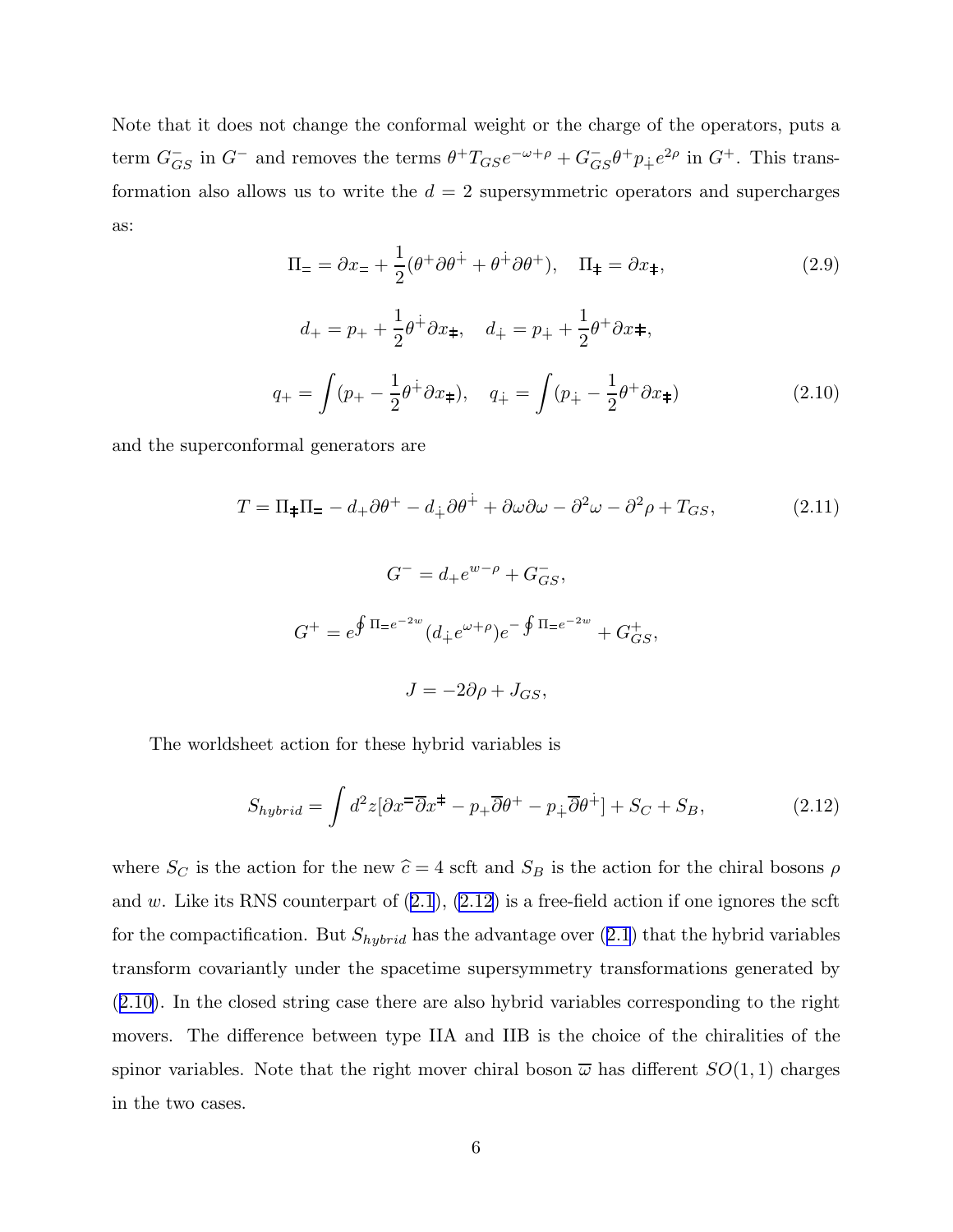<span id="page-6-0"></span>Note that it does not change the conformal weight or the charge of the operators, puts a term  $G_{GS}^-$  in  $G^-$  and removes the terms  $\theta^+T_{GS}e^{-\omega+\rho}+G_{GS}^-\theta^+p_+e^{2\rho}$  in  $G^+$ . This transformation also allows us to write the  $d = 2$  supersymmetric operators and supercharges as:

$$
\Pi_{\pm} = \partial x_{\pm} + \frac{1}{2}(\theta^+ \partial \theta^+ + \theta^+ \partial \theta^+), \quad \Pi_{\pm} = \partial x_{\pm}, \tag{2.9}
$$

$$
d_{+} = p_{+} + \frac{1}{2}\theta^{+}\partial x_{+}, \quad d_{+} = p_{+} + \frac{1}{2}\theta^{+}\partial x_{+},
$$
  

$$
q_{+} = \int (p_{+} - \frac{1}{2}\theta^{+}\partial x_{+}), \quad q_{+} = \int (p_{+} - \frac{1}{2}\theta^{+}\partial x_{+})
$$
(2.10)

and the superconformal generators are

$$
T = \Pi_{\pm}\Pi_{\mp} - d_{+}\partial\theta^{+} - d_{\mp}\partial\theta^{+} + \partial\omega\partial\omega - \partial^{2}\omega - \partial^{2}\rho + T_{GS},
$$
\n
$$
G^{-} = d_{+}e^{w-\rho} + G_{GS}^{-},
$$
\n
$$
G^{+} = e^{\oint \Pi = e^{-2w}}(d_{\mp}e^{\omega+\rho})e^{-\oint \Pi = e^{-2w}} + G_{GS}^{+},
$$
\n
$$
J = -2\partial\rho + J_{GS},
$$
\n(2.11)

The worldsheet action for these hybrid variables is

$$
S_{hybrid} = \int d^2z [\partial x^{\pm} \overline{\partial} x^{\pm} - p_{+} \overline{\partial} \theta^{\pm} - p_{+} \overline{\partial} \theta^{\pm}] + S_C + S_B, \qquad (2.12)
$$

where  $S_C$  is the action for the new  $\hat{c} = 4$  scft and  $S_B$  is the action for the chiral bosons  $\rho$ and  $w$ . Like its RNS counterpart of  $(2.1)$  $(2.1)$  $(2.1)$ ,  $(2.12)$  is a free-field action if one ignores the scft for the compactification. But  $S_{hybrid}$  has the advantage over  $(2.1)$  $(2.1)$  $(2.1)$  that the hybrid variables transform covariantly under the spacetime supersymmetry transformations generated by (2.10). In the closed string case there are also hybrid variables corresponding to the right movers. The difference between type IIA and IIB is the choice of the chiralities of the spinor variables. Note that the right mover chiral boson  $\bar{\omega}$  has different  $SO(1,1)$  charges in the two cases.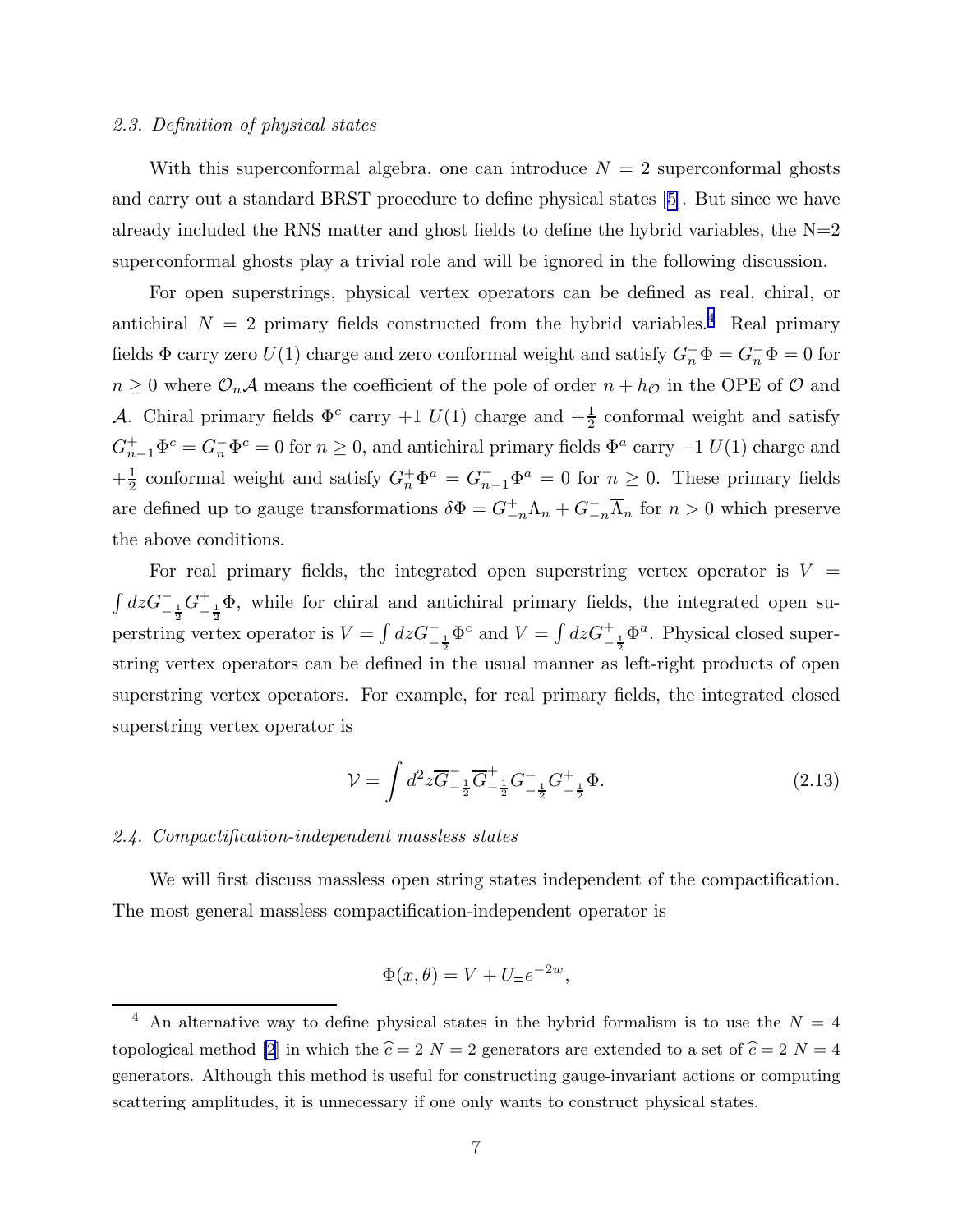# 2.3. Definition of physical states

With this superconformal algebra, one can introduce  $N = 2$  superconformal ghosts and carry out a standard BRST procedure to define physical states[[5\]](#page-43-0). But since we have already included the RNS matter and ghost fields to define the hybrid variables, the  $N=2$ superconformal ghosts play a trivial role and will be ignored in the following discussion.

For open superstrings, physical vertex operators can be defined as real, chiral, or antichiral  $N = 2$  primary fields constructed from the hybrid variables.<sup>4</sup> Real primary fields  $\Phi$  carry zero  $U(1)$  charge and zero conformal weight and satisfy  $G_n^+ \Phi = G_n^- \Phi = 0$  for  $n \geq 0$  where  $\mathcal{O}_n\mathcal{A}$  means the coefficient of the pole of order  $n + h_{\mathcal{O}}$  in the OPE of  $\mathcal O$  and A. Chiral primary fields  $\Phi^c$  carry  $+1$   $U(1)$  charge and  $+\frac{1}{2}$  conformal weight and satisfy  $G_{n-1}^+ \Phi^c = G_n^- \Phi^c = 0$  for  $n \ge 0$ , and antichiral primary fields  $\Phi^a$  carry  $-1$   $U(1)$  charge and  $+\frac{1}{2}$  $\frac{1}{2}$  conformal weight and satisfy  $G_n^+ \Phi^a = G_{n-1}^- \Phi^a = 0$  for  $n \geq 0$ . These primary fields are defined up to gauge transformations  $\delta \Phi = G_{-n}^+ \Lambda_n + G_{-n}^- \overline{\Lambda}_n$  for  $n > 0$  which preserve the above conditions.

For real primary fields, the integrated open superstring vertex operator is  $V =$  $\int dz G^{-}_{-\frac{1}{2}}G^{+}_{-}$  $-\frac{1}{2}\Phi$ , while for chiral and antichiral primary fields, the integrated open superstring vertex operator is  $V = \int dz G_{-\frac{1}{2}}^-\Phi^c$  and  $V = \int dz G_{-\frac{1}{2}}^+\Phi^a$ . Physical closed superstring vertex operators can be defined in the usual manner as left-right products of open superstring vertex operators. For example, for real primary fields, the integrated closed superstring vertex operator is

$$
\mathcal{V} = \int d^2 z \overline{G}^{-}{}_{-\frac{1}{2}} \overline{G}^{+}{}_{-\frac{1}{2}} G^{-}{}_{-\frac{1}{2}} G^{+}{}_{-\frac{1}{2}} \Phi.
$$
 (2.13)

# 2.4. Compactification-independent massless states

We will first discuss massless open string states independent of the compactification. The most general massless compactification-independent operator is

$$
\Phi(x,\theta) = V + U_{\pm}e^{-2w},
$$

<sup>&</sup>lt;sup>4</sup> An alternative way to define physical states in the hybrid formalism is to use the  $N = 4$ topological method [\[2\]](#page-43-0) in which the  $\hat{c} = 2$  N = 2 generators are extended to a set of  $\hat{c} = 2$  N = 4 generators. Although this method is useful for constructing gauge-invariant actions or computing scattering amplitudes, it is unnecessary if one only wants to construct physical states.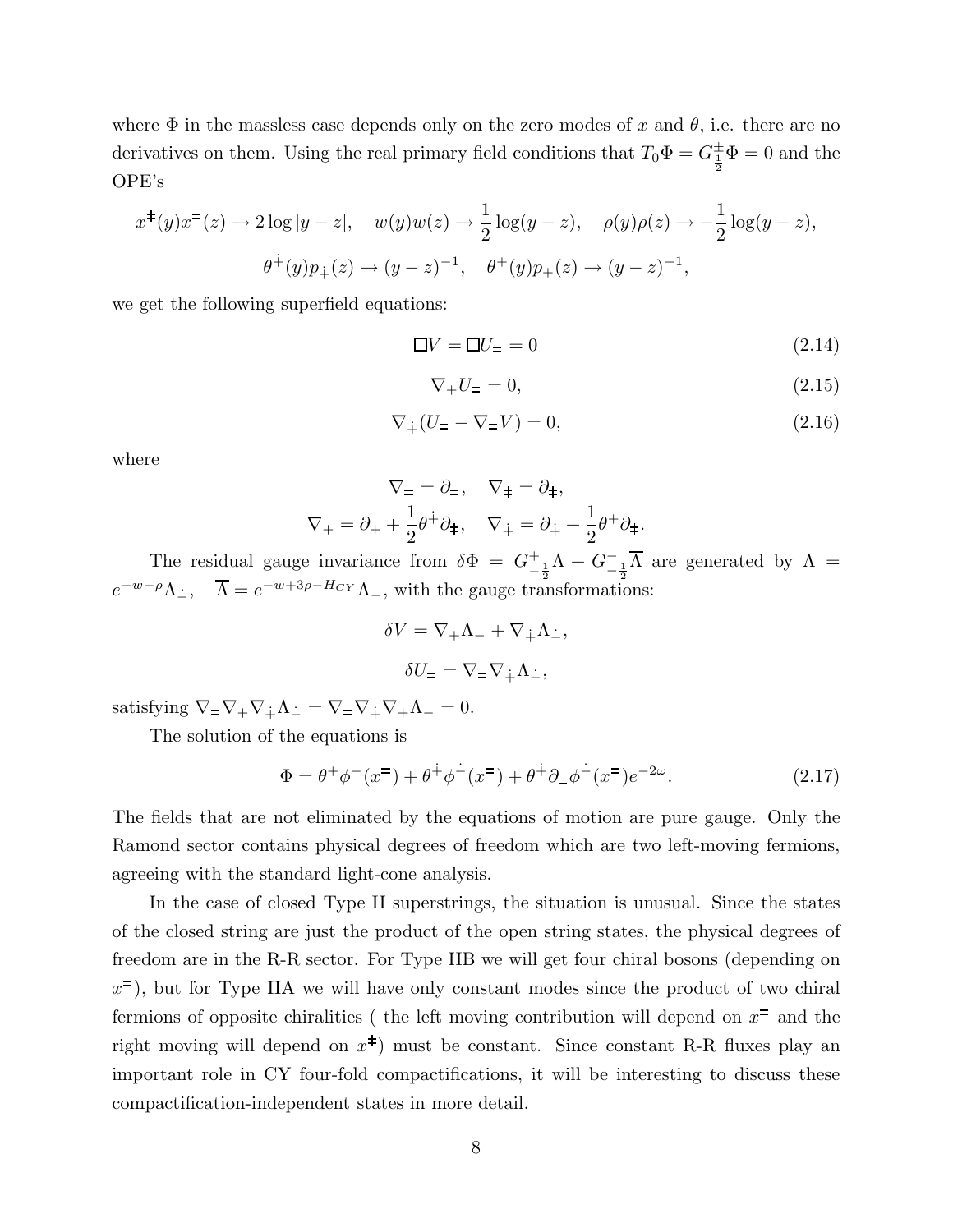<span id="page-8-0"></span>where  $\Phi$  in the massless case depends only on the zero modes of x and  $\theta$ , i.e. there are no derivatives on them. Using the real primary field conditions that  $T_0 \Phi = G_{\frac{1}{2}}^{\pm} \Phi = 0$  and the OPE's

$$
x^{\pm}(y)x^{\pm}(z) \to 2\log|y-z|, \quad w(y)w(z) \to \frac{1}{2}\log(y-z), \quad \rho(y)\rho(z) \to -\frac{1}{2}\log(y-z),
$$
  

$$
\theta^{\pm}(y)p_{\pm}(z) \to (y-z)^{-1}, \quad \theta^{\pm}(y)p_{\pm}(z) \to (y-z)^{-1},
$$

we get the following superfield equations:

$$
\Box V = \Box U_{\Xi} = 0 \tag{2.14}
$$

$$
\nabla_+ U = 0,\tag{2.15}
$$

$$
\nabla_{\dot{+}}(U_{\Xi} - \nabla_{\Xi}V) = 0,\tag{2.16}
$$

where

$$
\nabla_{\pm} = \partial_{\pm}, \quad \nabla_{\pm} = \partial_{\pm},
$$
  

$$
\nabla_{+} = \partial_{+} + \frac{1}{2}\theta^{+}\partial_{\pm}, \quad \nabla_{+} = \partial_{+} + \frac{1}{2}\theta^{+}\partial_{\pm}.
$$

The residual gauge invariance from  $\delta \Phi = G^+$  $-\frac{1}{2}\Lambda + G_{-\frac{1}{2}}^{-}\Lambda$  are generated by  $\Lambda =$  $e^{-w-\rho}\Lambda_{\dot{-}}, \quad \overline{\Lambda} = e^{-w+3\rho-H_{CY}}\Lambda_{\dot{-}},$  with the gauge transformations:

$$
\delta V = \nabla_{+} \Lambda_{-} + \nabla_{+} \Lambda_{-},
$$

$$
\delta U_{-} = \nabla_{-} \nabla_{+} \Lambda_{-},
$$

satisfying  $\nabla = \nabla_+ \nabla_+ \Lambda_- = \nabla = \nabla_{\dot{+}} \nabla_+ \Lambda_- = 0.$ 

The solution of the equations is

$$
\Phi = \theta^+ \phi^- (x^=) + \theta^+ \phi^- (x^=) + \theta^+ \partial_- \phi^- (x^=) e^{-2\omega}.
$$
 (2.17)

The fields that are not eliminated by the equations of motion are pure gauge. Only the Ramond sector contains physical degrees of freedom which are two left-moving fermions, agreeing with the standard light-cone analysis.

In the case of closed Type II superstrings, the situation is unusual. Since the states of the closed string are just the product of the open string states, the physical degrees of freedom are in the R-R sector. For Type IIB we will get four chiral bosons (depending on  $x^{\pm}$ ), but for Type IIA we will have only constant modes since the product of two chiral fermions of opposite chiralities ( the left moving contribution will depend on  $x^{\pm}$  and the right moving will depend on  $x^{\ddagger}$ ) must be constant. Since constant R-R fluxes play an important role in CY four-fold compactifications, it will be interesting to discuss these compactification-independent states in more detail.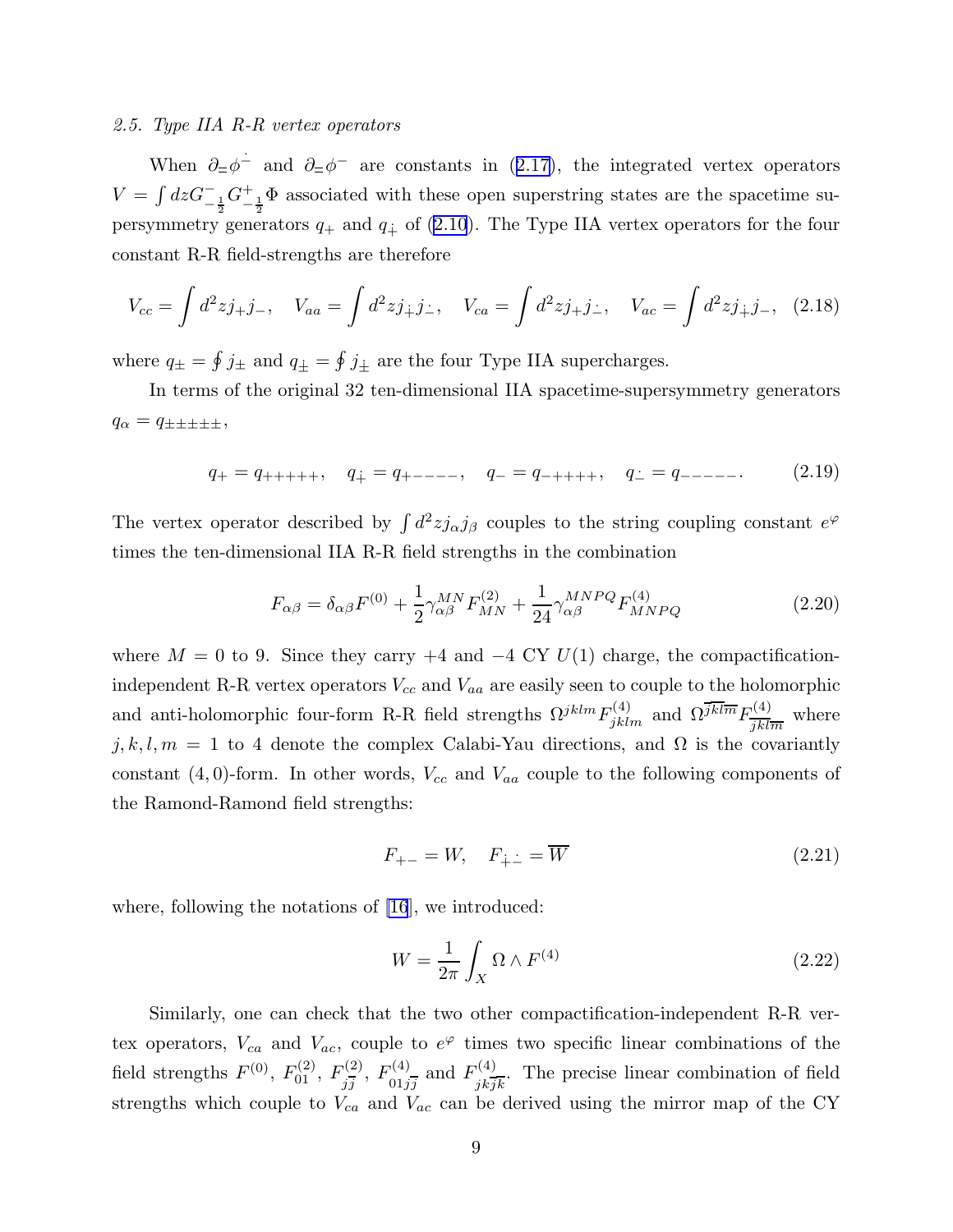#### <span id="page-9-0"></span>2.5. Type IIA R-R vertex operators

When  $\partial = \phi^-$  and  $\partial = \phi^-$  are constants in ([2.17](#page-8-0)), the integrated vertex operators  $V = \int dz G^{-}_{-\frac{1}{2}} G^{+}_{-}$  $-\frac{1}{2}$ <sup> $+\frac{1}{2}$ </sup> associated with these open superstring states are the spacetime supersymmetry generators  $q_+$  and  $q_+$  of ([2.10](#page-6-0)). The Type IIA vertex operators for the four constant R-R field-strengths are therefore

$$
V_{cc} = \int d^2 z j_+ j_-, \quad V_{aa} = \int d^2 z j_+ j_- , \quad V_{ca} = \int d^2 z j_+ j_- , \quad V_{ac} = \int d^2 z j_+ j_- , \quad (2.18)
$$

where  $q_{\pm} = \oint j_{\pm}$  and  $q_{\pm} = \oint j_{\pm}$  are the four Type IIA supercharges.

In terms of the original 32 ten-dimensional IIA spacetime-supersymmetry generators  $q_{\alpha} = q_{\pm \pm \pm \pm \pm},$ 

$$
q_{+} = q_{++++}, \quad q_{+} = q_{+---}, \quad q_{-} = q_{-+++}, \quad q_{-} = q_{---}.
$$
 (2.19)

The vertex operator described by  $\int d^2z j_{\alpha}j_{\beta}$  couples to the string coupling constant  $e^{\varphi}$ times the ten-dimensional IIA R-R field strengths in the combination

$$
F_{\alpha\beta} = \delta_{\alpha\beta} F^{(0)} + \frac{1}{2} \gamma^{MN}_{\alpha\beta} F^{(2)}_{MN} + \frac{1}{24} \gamma^{MNPQ}_{\alpha\beta} F^{(4)}_{MNPQ}
$$
(2.20)

where  $M = 0$  to 9. Since they carry  $+4$  and  $-4$  CY  $U(1)$  charge, the compactificationindependent R-R vertex operators  $V_{cc}$  and  $V_{aa}$  are easily seen to couple to the holomorphic and anti-holomorphic four-form R-R field strengths  $\Omega^{jklm}F_{jklm}^{(4)}$  and  $\Omega^{jkl\overline{m}}F_{\overline{ik}\overline{k}}^{(4)}$  $\frac{\partial^{(4)}}{\partial k \, \overline{\hspace{0.2cm}} m}$  where j, k, l,  $m = 1$  to 4 denote the complex Calabi-Yau directions, and  $\Omega$  is the covariantly constant  $(4, 0)$ -form. In other words,  $V_{cc}$  and  $V_{aa}$  couple to the following components of the Ramond-Ramond field strengths:

$$
F_{+-} = W, \quad F_{\dot{+} \dot{-}} = \overline{W} \tag{2.21}
$$

where, following the notations of [\[16](#page-43-0)], we introduced:

$$
W = \frac{1}{2\pi} \int_X \Omega \wedge F^{(4)} \tag{2.22}
$$

Similarly, one can check that the two other compactification-independent R-R vertex operators,  $V_{ca}$  and  $V_{ac}$ , couple to  $e^{\varphi}$  times two specific linear combinations of the field strengths  $F^{(0)}$ ,  $F_{01}^{(2)}$ ,  $F_{i\bar{i}}^{(2)}$  $j^{(2)}_{j},\ F^{(4)}_{01j}$  $F_{01j\overline{j}}^{(4)}$  and  $F_{jk\overline{j}}^{(4)}$  $j_{k}\overline{j_{k}}$ . The precise linear combination of field strengths which couple to  $V_{ca}$  and  $V_{ac}$  can be derived using the mirror map of the CY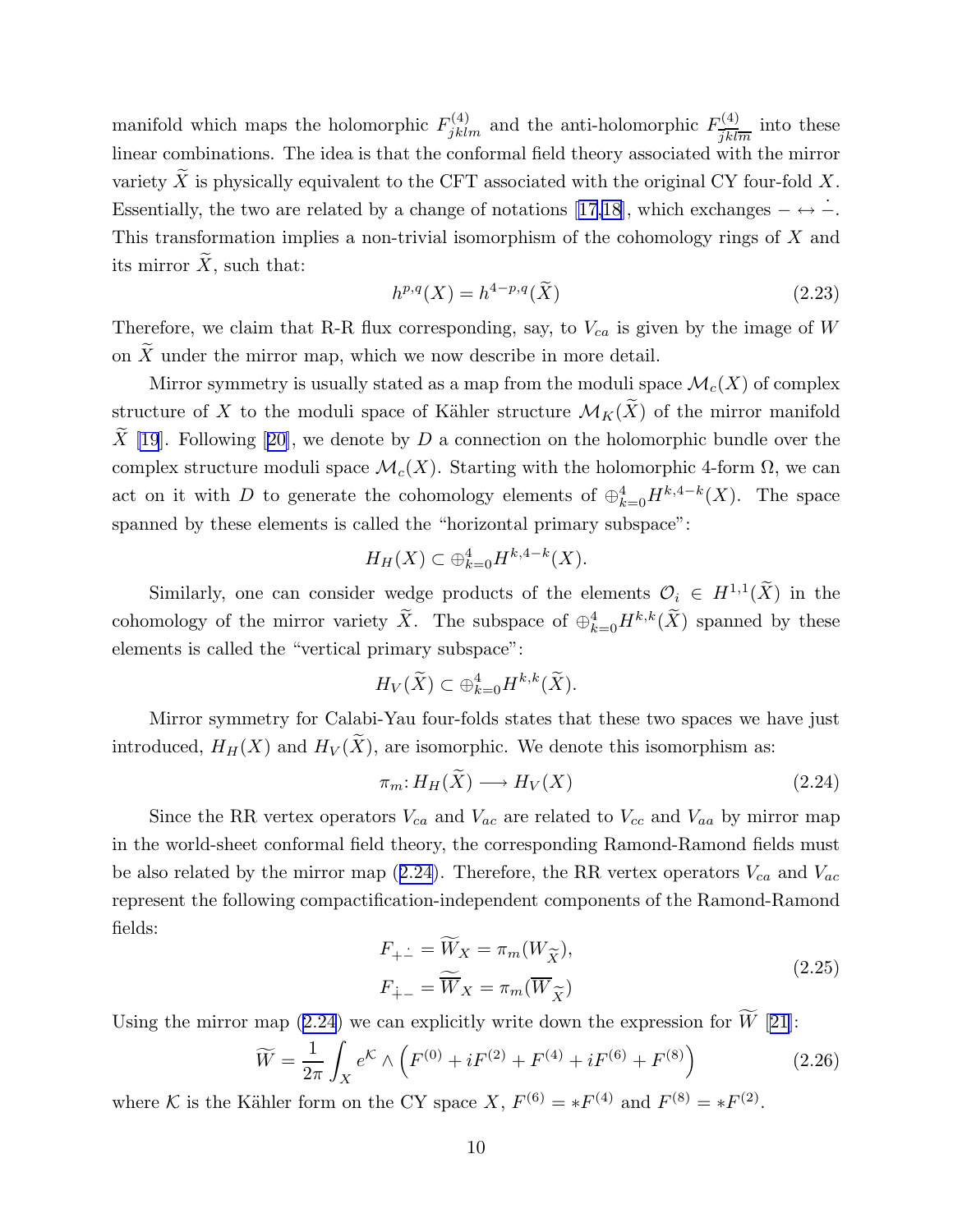<span id="page-10-0"></span>manifold which maps the holomorphic  $F_{jklm}^{(4)}$  and the anti-holomorphic  $F_{\overline{ikl}}^{(4)}$  $\frac{j(4)}{jklm}$  into these linear combinations. The idea is that the conformal field theory associated with the mirror variety X is physically equivalent to the CFT associated with the original CY four-fold  $X$ . Essentially,the two are related by a change of notations [[17,18](#page-43-0)], which exchanges  $-\leftrightarrow -$ . This transformation implies a non-trivial isomorphism of the cohomology rings of X and its mirror  $\ddot{X}$ , such that:

$$
h^{p,q}(X) = h^{4-p,q}(\widetilde{X})
$$
\n
$$
(2.23)
$$

Therefore, we claim that R-R flux corresponding, say, to  $V_{ca}$  is given by the image of W on  $\widetilde{X}$  under the mirror map, which we now describe in more detail.

Mirror symmetry is usually stated as a map from the moduli space  $\mathcal{M}_c(X)$  of complex structure of X to the moduli space of Kähler structure  $\mathcal{M}_K(\widetilde{X})$  of the mirror manifold  $\widetilde{X}$  [\[19](#page-43-0)].Following [[20\]](#page-43-0), we denote by D a connection on the holomorphic bundle over the complex structure moduli space  $\mathcal{M}_c(X)$ . Starting with the holomorphic 4-form  $\Omega$ , we can act on it with D to generate the cohomology elements of  $\bigoplus_{k=0}^4 H^{k,4-k}(X)$ . The space spanned by these elements is called the "horizontal primary subspace":

$$
H_H(X) \subset \bigoplus_{k=0}^4 H^{k,4-k}(X).
$$

Similarly, one can consider wedge products of the elements  $\mathcal{O}_i \in H^{1,1}(\widetilde{X})$  in the cohomology of the mirror variety  $\tilde{X}$ . The subspace of  $\oplus_{k=0}^4 H^{k,k}(\tilde{X})$  spanned by these elements is called the "vertical primary subspace":

$$
H_V(\widetilde{X}) \subset \oplus_{k=0}^4 H^{k,k}(\widetilde{X}).
$$

Mirror symmetry for Calabi-Yau four-folds states that these two spaces we have just introduced,  $H_H(X)$  and  $H_V(\widetilde{X})$ , are isomorphic. We denote this isomorphism as:

$$
\pi_m: H_H(\tilde{X}) \longrightarrow H_V(X) \tag{2.24}
$$

Since the RR vertex operators  $V_{ca}$  and  $V_{ac}$  are related to  $V_{cc}$  and  $V_{aa}$  by mirror map in the world-sheet conformal field theory, the corresponding Ramond-Ramond fields must be also related by the mirror map (2.24). Therefore, the RR vertex operators  $V_{ca}$  and  $V_{ac}$ represent the following compactification-independent components of the Ramond-Ramond fields:

$$
F_{+-} = W_X = \pi_m(W_{\widetilde{X}}),
$$
  
\n
$$
F_{+-} = \widetilde{W}_X = \pi_m(\overline{W}_{\widetilde{X}})
$$
\n(2.25)

Using the mirror map  $(2.24)$  we can explicitly write down the expression for  $W$  [[21\]](#page-44-0):

$$
\widetilde{W} = \frac{1}{2\pi} \int_{X} e^{\mathcal{K}} \wedge \left( F^{(0)} + i F^{(2)} + F^{(4)} + i F^{(6)} + F^{(8)} \right) \tag{2.26}
$$

where K is the Kähler form on the CY space X,  $F^{(6)} = *F^{(4)}$  and  $F^{(8)} = *F^{(2)}$ .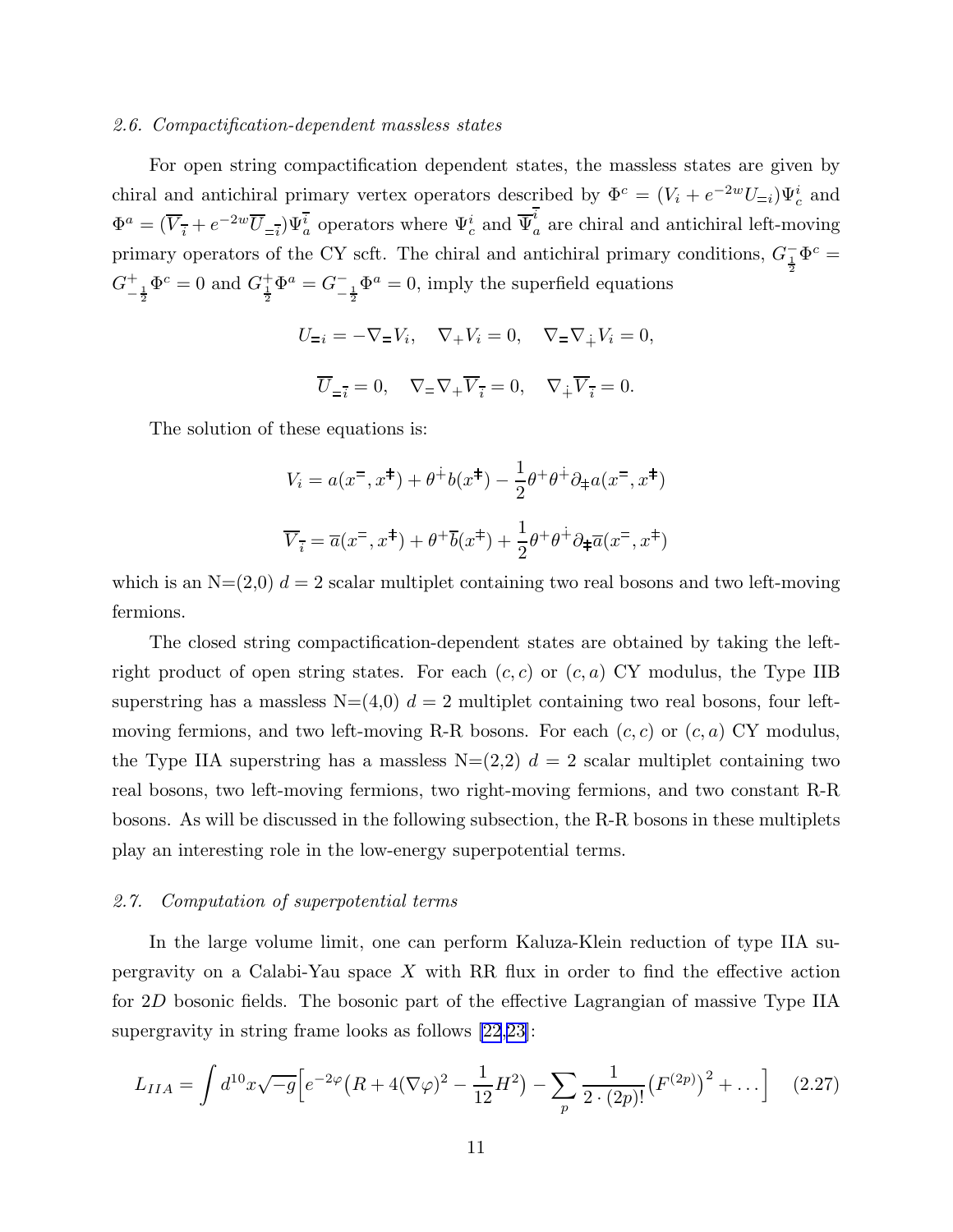# <span id="page-11-0"></span>2.6. Compactification-dependent massless states

For open string compactification dependent states, the massless states are given by chiral and antichiral primary vertex operators described by  $\Phi^c = (V_i + e^{-2w}U_{=i})\Psi_c^i$  and  $\Phi^a = (\overline{V}_{\overline{i}} + e^{-2w}\overline{U}_{\overline{=i}})\Psi_a^{\overline{i}}$  operators where  $\Psi_c^i$  and  $\overline{\Psi}_c^i$  $a<sub>a</sub>$  are chiral and antichiral left-moving primary operators of the CY scft. The chiral and antichiral primary conditions,  $G_{\frac{1}{2}}^-\Phi^c =$  $G^+_ -\frac{1}{2}\Phi^c = 0$  and  $G^{\dagger}_{\frac{1}{2}}\Phi^a = G^{-}_{-\frac{1}{2}}\Phi^a = 0$ , imply the superfield equations

$$
U_{=i} = -\nabla_{=}V_i, \quad \nabla_{+}V_i = 0, \quad \nabla_{=}\nabla_{\dot{+}}V_i = 0,
$$

$$
\overline{U}_{=i} = 0, \quad \nabla_{=}\nabla_{+}\overline{V}_{\overline{i}} = 0, \quad \nabla_{\dot{+}}\overline{V}_{\overline{i}} = 0.
$$

The solution of these equations is:

$$
V_i = a(x^{\pm}, x^{\pm}) + \theta^{\pm}b(x^{\pm}) - \frac{1}{2}\theta^{\pm}\theta^{\pm}\partial_{\pm}a(x^{\pm}, x^{\pm})
$$

$$
\overline{V}_{\overline{i}} = \overline{a}(x^{\pm}, x^{\pm}) + \theta^{\pm}\overline{b}(x^{\pm}) + \frac{1}{2}\theta^{\pm}\theta^{\pm}\partial_{\pm}\overline{a}(x^{\pm}, x^{\pm})
$$

which is an  $N=(2,0)$   $d=2$  scalar multiplet containing two real bosons and two left-moving fermions.

The closed string compactification-dependent states are obtained by taking the leftright product of open string states. For each  $(c, c)$  or  $(c, a)$  CY modulus, the Type IIB superstring has a massless  $N=(4,0)$   $d=2$  multiplet containing two real bosons, four leftmoving fermions, and two left-moving R-R bosons. For each  $(c, c)$  or  $(c, a)$  CY modulus, the Type IIA superstring has a massless  $N=(2,2)$   $d=2$  scalar multiplet containing two real bosons, two left-moving fermions, two right-moving fermions, and two constant R-R bosons. As will be discussed in the following subsection, the R-R bosons in these multiplets play an interesting role in the low-energy superpotential terms.

# 2.7. Computation of superpotential terms

In the large volume limit, one can perform Kaluza-Klein reduction of type IIA supergravity on a Calabi-Yau space  $X$  with RR flux in order to find the effective action for 2D bosonic fields. The bosonic part of the effective Lagrangian of massive Type IIA supergravity in string frame looks as follows [\[22](#page-44-0),[23\]](#page-44-0):

$$
L_{IIA} = \int d^{10}x \sqrt{-g} \Big[ e^{-2\varphi} \left( R + 4(\nabla\varphi)^2 - \frac{1}{12} H^2 \right) - \sum_p \frac{1}{2 \cdot (2p)!} \left( F^{(2p)} \right)^2 + \dots \Big] \tag{2.27}
$$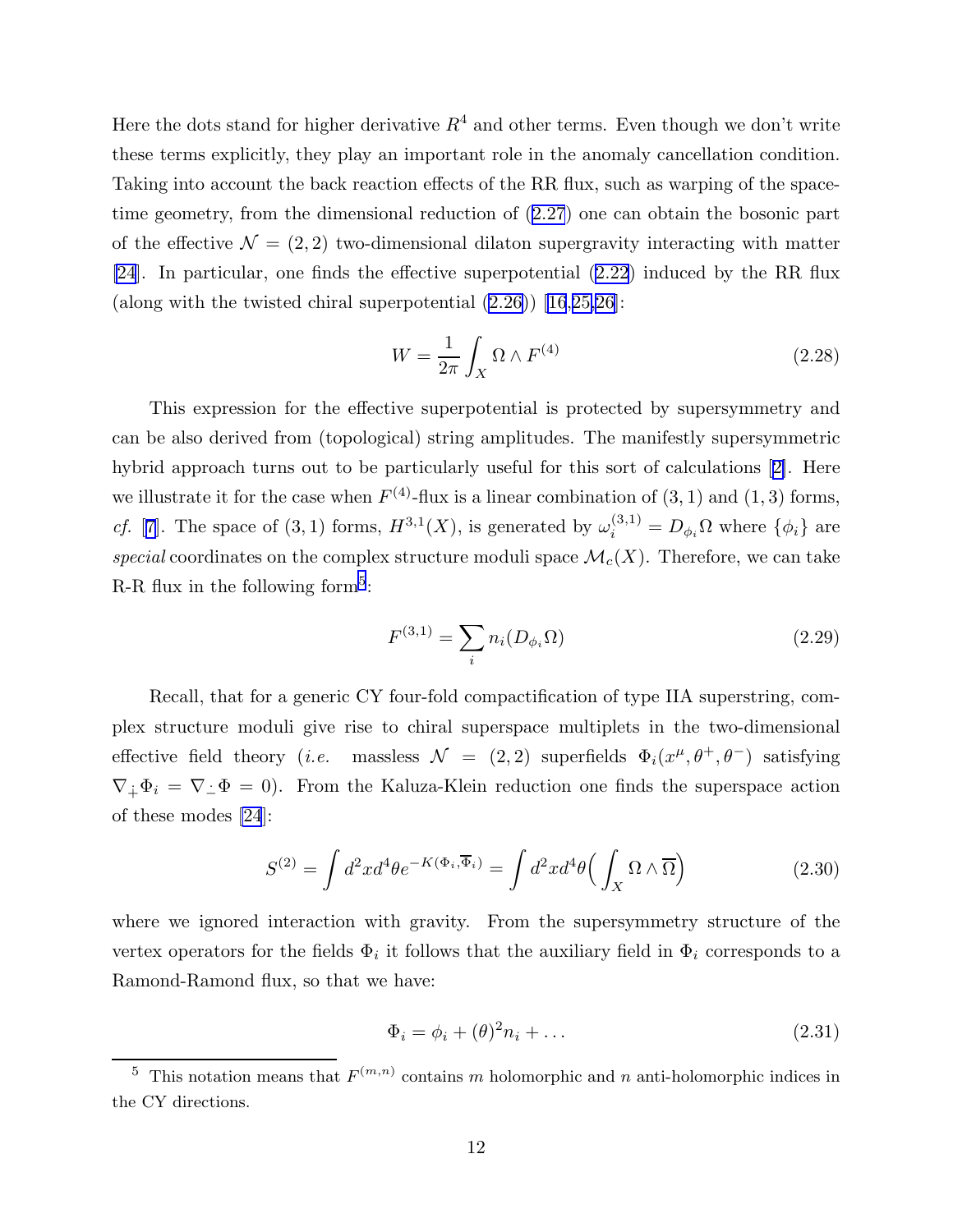<span id="page-12-0"></span>Here the dots stand for higher derivative  $R<sup>4</sup>$  and other terms. Even though we don't write these terms explicitly, they play an important role in the anomaly cancellation condition. Taking into account the back reaction effects of the RR flux, such as warping of the spacetime geometry, from the dimensional reduction of ([2.27](#page-11-0)) one can obtain the bosonic part of the effective  $\mathcal{N} = (2, 2)$  two-dimensional dilaton supergravity interacting with matter [\[24](#page-44-0)]. In particular, one finds the effective superpotential ([2.22](#page-9-0)) induced by the RR flux (along with the twisted chiral superpotential [\(2.26\)](#page-10-0)) [\[16](#page-43-0),[25,26\]](#page-44-0):

$$
W = \frac{1}{2\pi} \int_X \Omega \wedge F^{(4)} \tag{2.28}
$$

This expression for the effective superpotential is protected by supersymmetry and can be also derived from (topological) string amplitudes. The manifestly supersymmetric hybrid approach turns out to be particularly useful for this sort of calculations[[2\]](#page-43-0). Here we illustrate it for the case when  $F^{(4)}$ -flux is a linear combination of  $(3, 1)$  and  $(1, 3)$  forms, *cf.* [[7\]](#page-43-0). The space of (3, 1) forms,  $H^{3,1}(X)$ , is generated by  $\omega_i^{(3,1)} = D_{\phi_i} \Omega$  where  $\{\phi_i\}$  are special coordinates on the complex structure moduli space  $\mathcal{M}_c(X)$ . Therefore, we can take R-R flux in the following form<sup>5</sup>:

$$
F^{(3,1)} = \sum_{i} n_i (D_{\phi_i} \Omega) \tag{2.29}
$$

Recall, that for a generic CY four-fold compactification of type IIA superstring, complex structure moduli give rise to chiral superspace multiplets in the two-dimensional effective field theory (*i.e.* massless  $\mathcal{N} = (2, 2)$  superfields  $\Phi_i(x^{\mu}, \theta^+, \theta^-)$  satisfying  $\nabla_{\dot{+}}\Phi_i = \nabla_{\dot{-}}\Phi = 0$ . From the Kaluza-Klein reduction one finds the superspace action of these modes [\[24](#page-44-0)]:

$$
S^{(2)} = \int d^2x d^4\theta e^{-K(\Phi_i, \overline{\Phi}_i)} = \int d^2x d^4\theta \left(\int_X \Omega \wedge \overline{\Omega}\right)
$$
 (2.30)

where we ignored interaction with gravity. From the supersymmetry structure of the vertex operators for the fields  $\Phi_i$  it follows that the auxiliary field in  $\Phi_i$  corresponds to a Ramond-Ramond flux, so that we have:

$$
\Phi_i = \phi_i + (\theta)^2 n_i + \dots \tag{2.31}
$$

<sup>&</sup>lt;sup>5</sup> This notation means that  $F^{(m,n)}$  contains m holomorphic and n anti-holomorphic indices in the CY directions.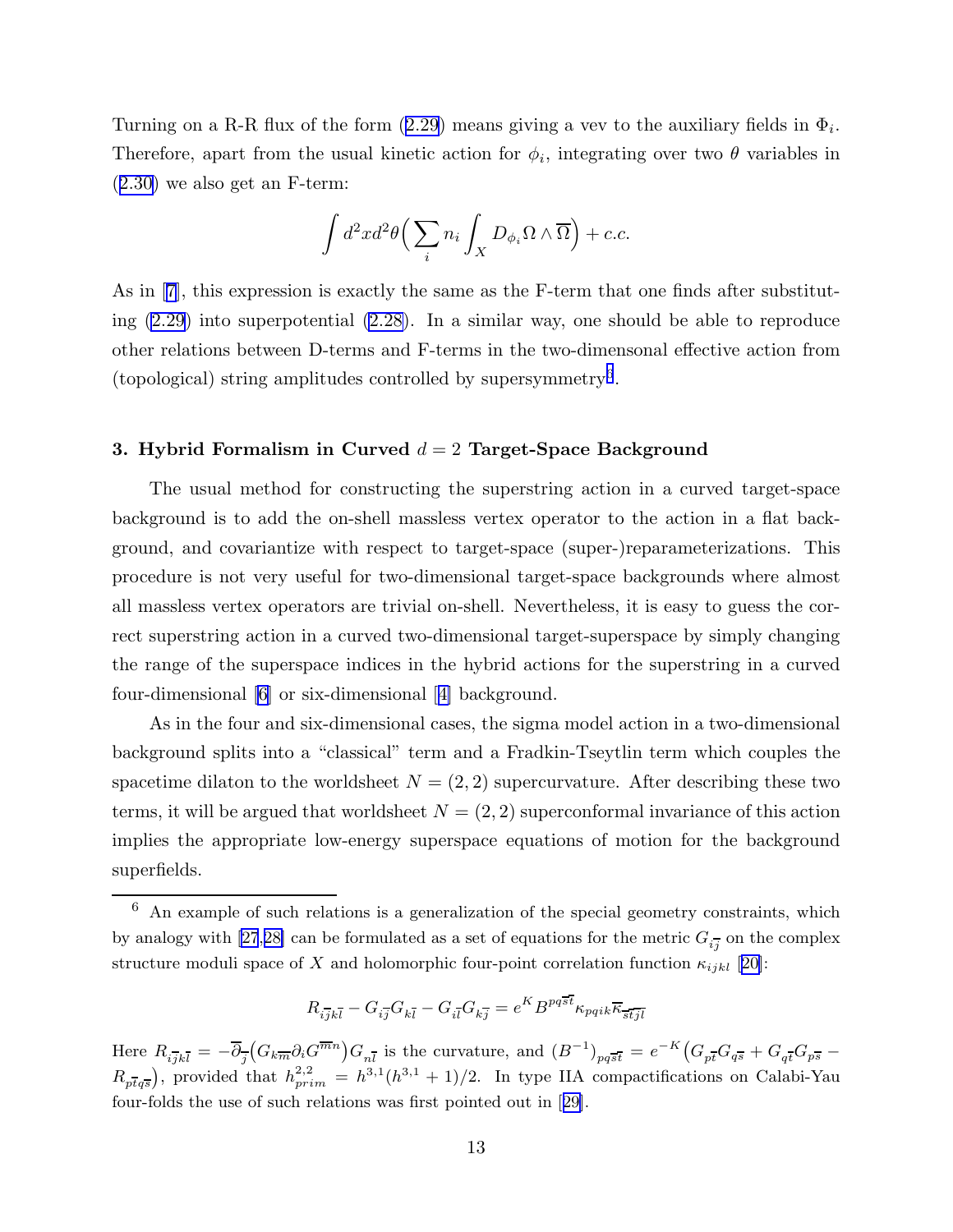Turning on a R-R flux of the form  $(2.29)$  $(2.29)$  $(2.29)$  means giving a vev to the auxiliary fields in  $\Phi_i$ . Therefore, apart from the usual kinetic action for  $\phi_i$ , integrating over two  $\theta$  variables in ([2.30](#page-12-0)) we also get an F-term:

$$
\int d^2x d^2\theta \Big( \sum_i n_i \int_X D_{\phi_i} \Omega \wedge \overline{\Omega} \Big) + c.c.
$$

As in [\[7](#page-43-0)], this expression is exactly the same as the F-term that one finds after substituting [\(2.29\)](#page-12-0) into superpotential [\(2.28\)](#page-12-0). In a similar way, one should be able to reproduce other relations between D-terms and F-terms in the two-dimensonal effective action from (topological) string amplitudes controlled by supersymmetry<sup>6</sup> .

# 3. Hybrid Formalism in Curved  $d = 2$  Target-Space Background

The usual method for constructing the superstring action in a curved target-space background is to add the on-shell massless vertex operator to the action in a flat background, and covariantize with respect to target-space (super-)reparameterizations. This procedure is not very useful for two-dimensional target-space backgrounds where almost all massless vertex operators are trivial on-shell. Nevertheless, it is easy to guess the correct superstring action in a curved two-dimensional target-superspace by simply changing the range of the superspace indices in the hybrid actions for the superstring in a curved four-dimensional [\[6](#page-43-0)] or six-dimensional[[4\]](#page-43-0) background.

As in the four and six-dimensional cases, the sigma model action in a two-dimensional background splits into a "classical" term and a Fradkin-Tseytlin term which couples the spacetime dilaton to the worldsheet  $N = (2, 2)$  supercurvature. After describing these two terms, it will be argued that worldsheet  $N = (2, 2)$  superconformal invariance of this action implies the appropriate low-energy superspace equations of motion for the background superfields.

$$
R_{i\overline{j}k\overline{l}}-G_{i\overline{j}}G_{k\overline{l}}-G_{i\overline{l}}G_{k\overline{j}}=e^KB^{pq\overline{st}}\kappa_{pqik}\overline{\kappa}_{\overline{st}\overline{j}\overline{l}}
$$

Here  $R_{i\overline{j}k\overline{l}} = -\overline{\partial}_{\overline{j}}(G_{k\overline{m}}\partial_i G^{\overline{m}n})G_{n\overline{l}}$  is the curvature, and  $(B^{-1})_{pq\overline{s}\overline{t}} = e^{-K}(G_{p\overline{t}}G_{q\overline{s}} + G_{q\overline{t}}G_{p\overline{s}} - G_{q\overline{t}}G_{p\overline{s}})$  $R_{p\bar{t}q\bar{s}}$ ), provided that  $h_{prim}^{2,2} = h^{3,1}(h^{3,1}+1)/2$ . In type IIA compactifications on Calabi-Yau four-folds the use of such relations was first pointed out in[[29\]](#page-44-0).

 $6$  An example of such relations is a generalization of the special geometry constraints, which by analogy with [\[27](#page-44-0),[28\]](#page-44-0) can be formulated as a set of equations for the metric  $G_{i,j}^-$  on the complex structure moduli space of X and holomorphic four-point correlation function  $\kappa_{ijkl}$  [[20\]](#page-43-0):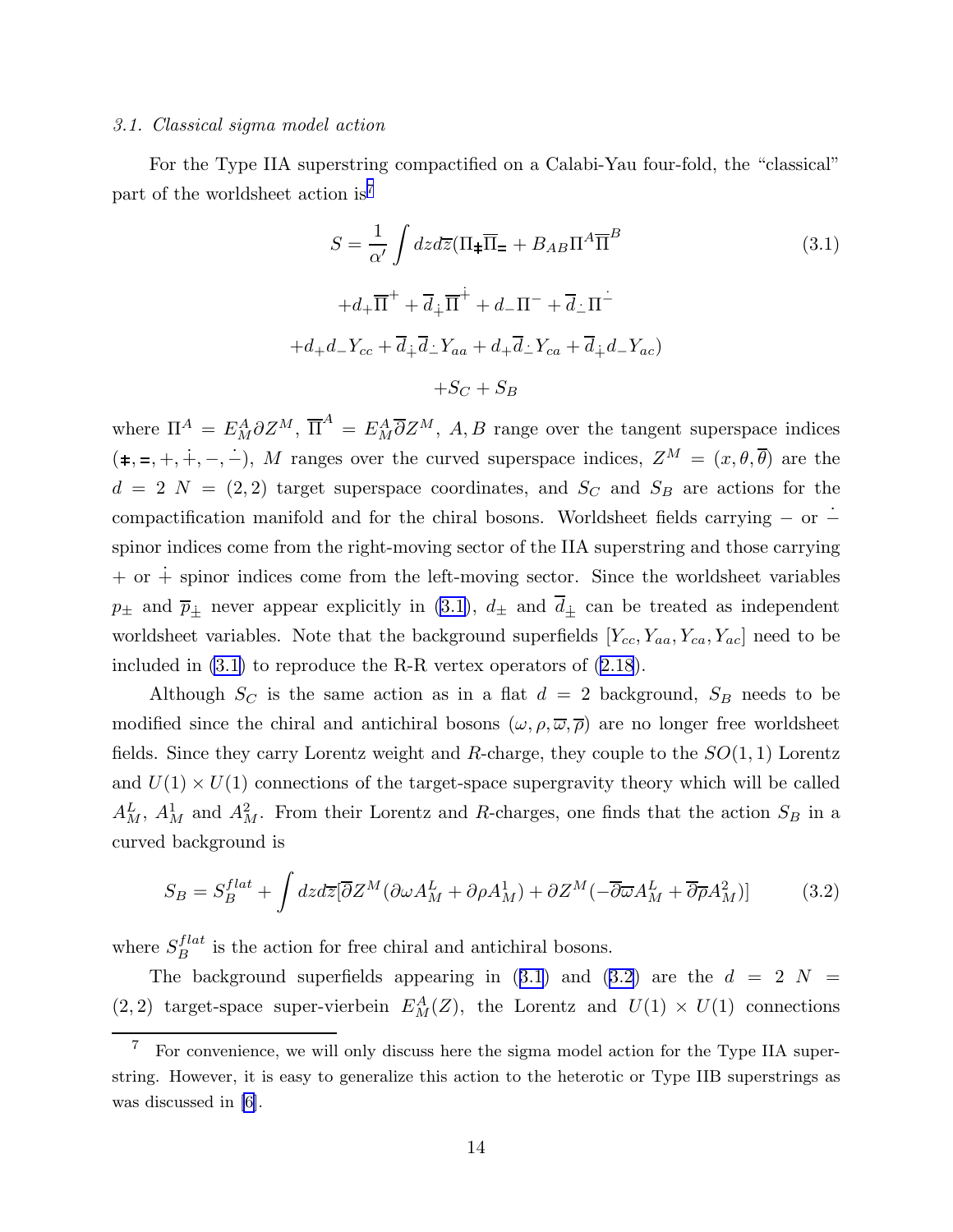#### <span id="page-14-0"></span>3.1. Classical sigma model action

For the Type IIA superstring compactified on a Calabi-Yau four-fold, the "classical" part of the worldsheet action is<sup>7</sup>

$$
S = \frac{1}{\alpha'} \int dz d\overline{z} (\Pi_{\pm} \overline{\Pi}_{=} + B_{AB} \Pi^{A} \overline{\Pi}^{B}
$$
  
\n
$$
+ d_{+} \overline{\Pi}^{+} + \overline{d}_{\dot{+}} \overline{\Pi}^{\dot{+}} + d_{-} \Pi^{-} + \overline{d}_{\dot{-}} \Pi^{\dot{-}}
$$
  
\n
$$
+ d_{+} d_{-} Y_{cc} + \overline{d}_{\dot{+}} \overline{d}_{\dot{-}} Y_{aa} + d_{+} \overline{d}_{\dot{-}} Y_{ca} + \overline{d}_{\dot{+}} d_{-} Y_{ac})
$$
  
\n
$$
+ S_C + S_B
$$
  
\n(3.1)

where  $\Pi^A = E_M^A \partial Z^M$ ,  $\overline{\Pi}^A = E_M^A \overline{\partial} Z^M$ , A, B range over the tangent superspace indices  $(\pm, =, +, +, -, -)$ , M ranges over the curved superspace indices,  $Z^M = (x, \theta, \overline{\theta})$  are the  $d = 2$  N = (2, 2) target superspace coordinates, and  $S_C$  and  $S_B$  are actions for the compactification manifold and for the chiral bosons. Worldsheet fields carrying  $-$  or  $$ spinor indices come from the right-moving sector of the IIA superstring and those carrying  $+$  or  $+$  spinor indices come from the left-moving sector. Since the worldsheet variables  $p_{\pm}$  and  $\overline{p}_{\pm}$  never appear explicitly in (3.1),  $d_{\pm}$  and  $\overline{d}_{\pm}$  can be treated as independent worldsheet variables. Note that the background superfields  $[Y_{cc}, Y_{aa}, Y_{ca}, Y_{ac}]$  need to be included in (3.1) to reproduce the R-R vertex operators of [\(2.18](#page-9-0)).

Although  $S_C$  is the same action as in a flat  $d = 2$  background,  $S_B$  needs to be modified since the chiral and antichiral bosons  $(\omega, \rho, \overline{\omega}, \overline{\rho})$  are no longer free worldsheet fields. Since they carry Lorentz weight and R-charge, they couple to the  $SO(1, 1)$  Lorentz and  $U(1) \times U(1)$  connections of the target-space supergravity theory which will be called  $A_M^L$ ,  $A_M^1$  and  $A_M^2$ . From their Lorentz and R-charges, one finds that the action  $S_B$  in a curved background is

$$
S_B = S_B^{flat} + \int dz d\overline{z} [\overline{\partial} Z^M (\partial \omega A_M^L + \partial \rho A_M^1) + \partial Z^M (- \overline{\partial} \overline{\omega} A_M^L + \overline{\partial} \overline{\rho} A_M^2)] \tag{3.2}
$$

where  $S_B^{flat}$  is the action for free chiral and antichiral bosons.

The background superfields appearing in  $(3.1)$  and  $(3.2)$  are the  $d = 2$  N (2, 2) target-space super-vierbein  $E_M^A(Z)$ , the Lorentz and  $U(1) \times U(1)$  connections

 $\overline{7}$  For convenience, we will only discuss here the sigma model action for the Type IIA superstring. However, it is easy to generalize this action to the heterotic or Type IIB superstrings as was discussed in [\[6\]](#page-43-0).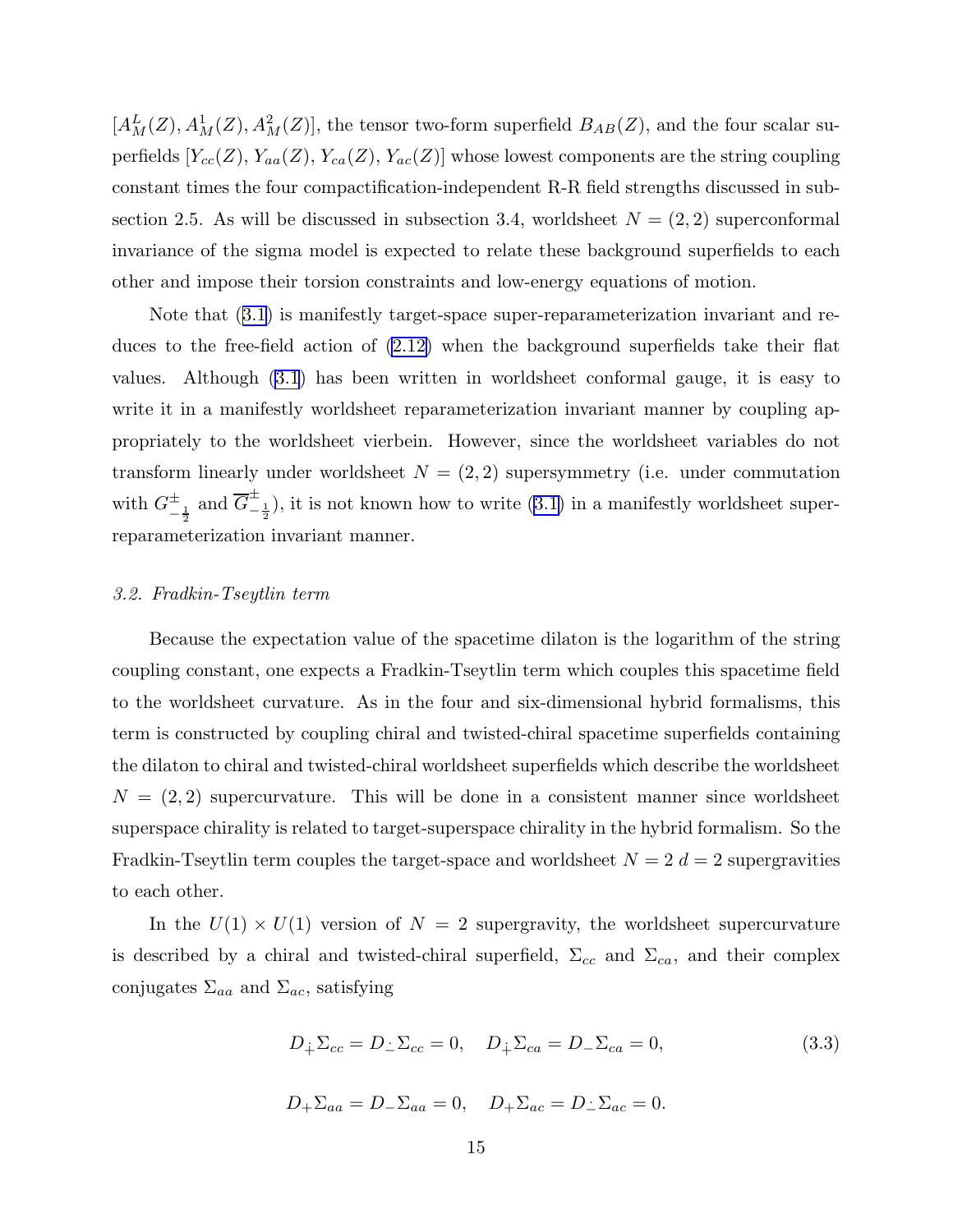$[A_M^L(Z), A_M^1(Z), A_M^2(Z)],$  the tensor two-form superfield  $B_{AB}(Z)$ , and the four scalar superfields  $[Y_{cc}(Z), Y_{aa}(Z), Y_{ca}(Z), Y_{ac}(Z)]$  whose lowest components are the string coupling constant times the four compactification-independent R-R field strengths discussed in subsection 2.5. As will be discussed in subsection 3.4, worldsheet  $N = (2, 2)$  superconformal invariance of the sigma model is expected to relate these background superfields to each other and impose their torsion constraints and low-energy equations of motion.

Note that ([3.1](#page-14-0)) is manifestly target-space super-reparameterization invariant and reduces to the free-field action of [\(2.12\)](#page-6-0) when the background superfields take their flat values. Although ([3.1](#page-14-0)) has been written in worldsheet conformal gauge, it is easy to write it in a manifestly worldsheet reparameterization invariant manner by coupling appropriately to the worldsheet vierbein. However, since the worldsheet variables do not transform linearly under worldsheet  $N = (2, 2)$  supersymmetry (i.e. under commutation with  $G_{-\frac{1}{2}}^{\pm}$  and  $\overline{G}_{-\frac{1}{2}}^{\pm}$ ), it is not known how to write [\(3.1\)](#page-14-0) in a manifestly worldsheet superreparameterization invariant manner.

#### 3.2. Fradkin-Tseytlin term

Because the expectation value of the spacetime dilaton is the logarithm of the string coupling constant, one expects a Fradkin-Tseytlin term which couples this spacetime field to the worldsheet curvature. As in the four and six-dimensional hybrid formalisms, this term is constructed by coupling chiral and twisted-chiral spacetime superfields containing the dilaton to chiral and twisted-chiral worldsheet superfields which describe the worldsheet  $N = (2, 2)$  supercurvature. This will be done in a consistent manner since worldsheet superspace chirality is related to target-superspace chirality in the hybrid formalism. So the Fradkin-Tseytlin term couples the target-space and worldsheet  $N = 2$  d = 2 supergravities to each other.

In the  $U(1) \times U(1)$  version of  $N = 2$  supergravity, the worldsheet supercurvature is described by a chiral and twisted-chiral superfield,  $\Sigma_{cc}$  and  $\Sigma_{ca}$ , and their complex conjugates  $\Sigma_{aa}$  and  $\Sigma_{ac}$ , satisfying

$$
D_{\dot{+}}\Sigma_{cc} = D_{\dot{-}}\Sigma_{cc} = 0, \quad D_{\dot{+}}\Sigma_{ca} = D_{-\Sigma_{ca}} = 0,\tag{3.3}
$$

$$
D_{+}\Sigma_{aa} = D_{-}\Sigma_{aa} = 0, \quad D_{+}\Sigma_{ac} = D_{-}\Sigma_{ac} = 0.
$$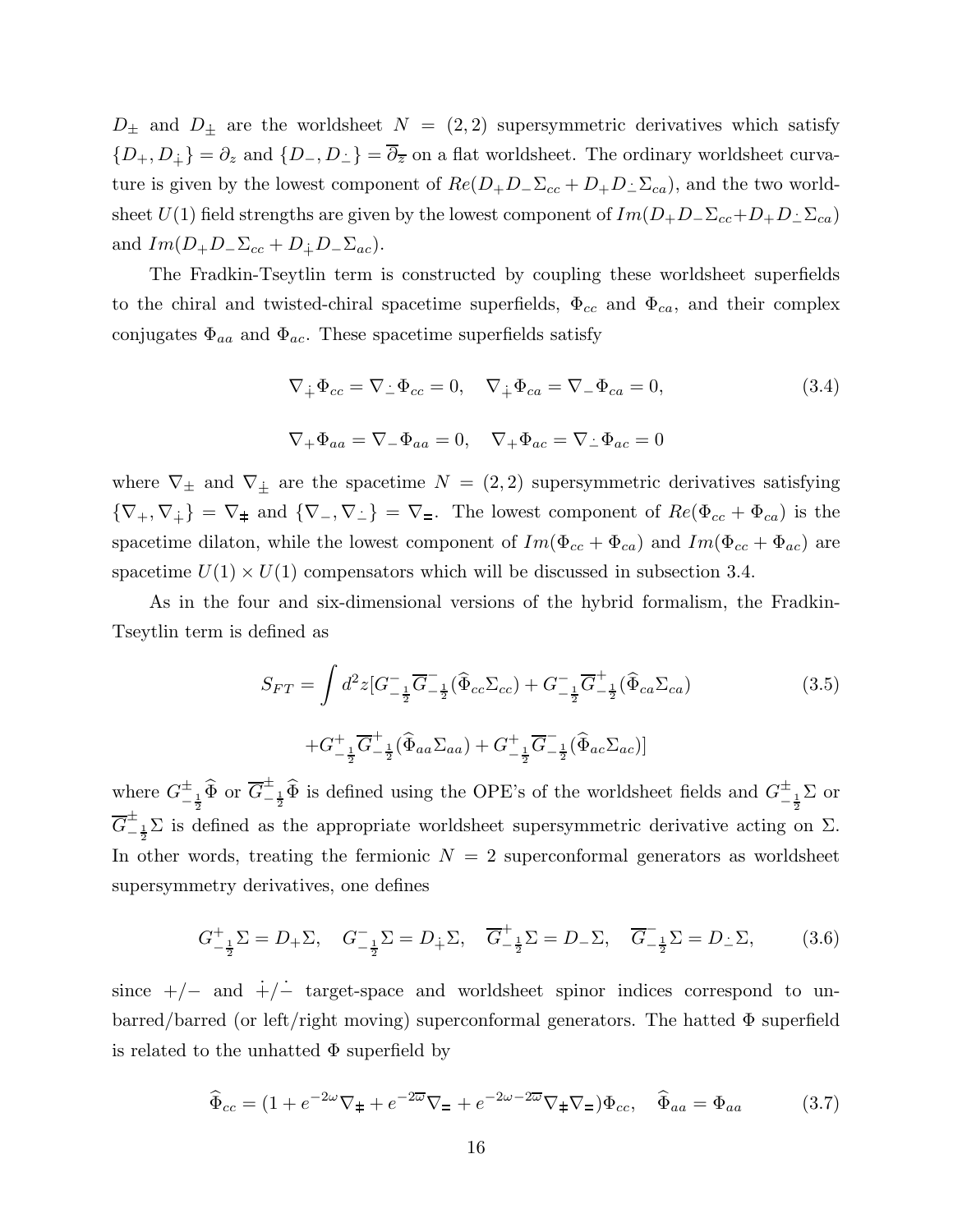<span id="page-16-0"></span> $D_{\pm}$  and  $D_{\pm}$  are the worldsheet  $N = (2, 2)$  supersymmetric derivatives which satisfy  ${D_+, D_+} = \partial_z$  and  ${D_-, D_-} = \overline{\partial}_{\overline{z}}$  on a flat worldsheet. The ordinary worldsheet curvature is given by the lowest component of  $Re(D_+D_-\Sigma_{cc}+D_+D_-\Sigma_{ca})$ , and the two worldsheet  $U(1)$  field strengths are given by the lowest component of  $Im(D_+D_-\Sigma_{cc}+D_+D_-\Sigma_{ca})$ and  $Im(D_+D_-\Sigma_{cc}+D_{\dot{+}}D_-\Sigma_{ac}).$ 

The Fradkin-Tseytlin term is constructed by coupling these worldsheet superfields to the chiral and twisted-chiral spacetime superfields,  $\Phi_{cc}$  and  $\Phi_{ca}$ , and their complex conjugates  $\Phi_{aa}$  and  $\Phi_{ac}$ . These spacetime superfields satisfy

$$
\nabla_{\dot{+}} \Phi_{cc} = \nabla_{\dot{-}} \Phi_{cc} = 0, \quad \nabla_{\dot{+}} \Phi_{ca} = \nabla_{-} \Phi_{ca} = 0,
$$
\n
$$
\nabla_{+} \Phi_{aa} = \nabla_{-} \Phi_{aa} = 0, \quad \nabla_{+} \Phi_{ac} = \nabla_{\dot{-}} \Phi_{ac} = 0
$$
\n(3.4)

where  $\nabla_{\pm}$  and  $\nabla_{\pm}$  are the spacetime  $N = (2, 2)$  supersymmetric derivatives satisfying  ${\nabla_+,\nabla_+} = \nabla_{\pm}$  and  ${\nabla_-,\nabla_-} = \nabla_{\pm}$ . The lowest component of  $Re(\Phi_{cc} + \Phi_{ca})$  is the spacetime dilaton, while the lowest component of  $Im(\Phi_{cc} + \Phi_{ca})$  and  $Im(\Phi_{cc} + \Phi_{ac})$  are spacetime  $U(1) \times U(1)$  compensators which will be discussed in subsection 3.4.

As in the four and six-dimensional versions of the hybrid formalism, the Fradkin-Tseytlin term is defined as

$$
S_{FT} = \int d^2 z \left[G_{-\frac{1}{2}}^{-} \overline{G}_{-\frac{1}{2}}^{-} (\widehat{\Phi}_{cc} \Sigma_{cc}) + G_{-\frac{1}{2}}^{-} \overline{G}_{-\frac{1}{2}}^{+} (\widehat{\Phi}_{ca} \Sigma_{ca})\right]
$$
  
 
$$
+ G_{-\frac{1}{2}}^{+} \overline{G}_{-\frac{1}{2}}^{+} (\widehat{\Phi}_{aa} \Sigma_{aa}) + G_{-\frac{1}{2}}^{+} \overline{G}_{-\frac{1}{2}}^{-} (\widehat{\Phi}_{ac} \Sigma_{ac})]
$$
(3.5)

where  $G_{-\frac{1}{2}}^{\pm}$   $\widehat{\Phi}$  or  $\overline{G}_{-\frac{1}{2}}^{\pm}$  is defined using the OPE's of the worldsheet fields and  $G_{-\frac{1}{2}}^{\pm}$  or  $\overline{G}^{\pm}_{-\frac{1}{2}}\Sigma$  is defined as the appropriate worldsheet supersymmetric derivative acting on  $\Sigma$ . In other words, treating the fermionic  $N = 2$  superconformal generators as worldsheet supersymmetry derivatives, one defines

$$
G_{-\frac{1}{2}}^+\Sigma = D_+\Sigma, \quad G_{-\frac{1}{2}}^-\Sigma = D_{\frac{1}{2}}\Sigma, \quad \overline{G}_{-\frac{1}{2}}^+\Sigma = D_-\Sigma, \quad \overline{G}_{-\frac{1}{2}}^-\Sigma = D_{\frac{1}{2}}\Sigma, \tag{3.6}
$$

since  $+/-$  and  $+/-$  target-space and worldsheet spinor indices correspond to unbarred/barred (or left/right moving) superconformal generators. The hatted  $\Phi$  superfield is related to the unhatted  $\Phi$  superfield by

$$
\widehat{\Phi}_{cc} = (1 + e^{-2\omega}\nabla_{\pm} + e^{-2\overline{\omega}}\nabla_{\pm} + e^{-2\omega - 2\overline{\omega}}\nabla_{\pm}\nabla_{\pm})\Phi_{cc}, \quad \widehat{\Phi}_{aa} = \Phi_{aa} \tag{3.7}
$$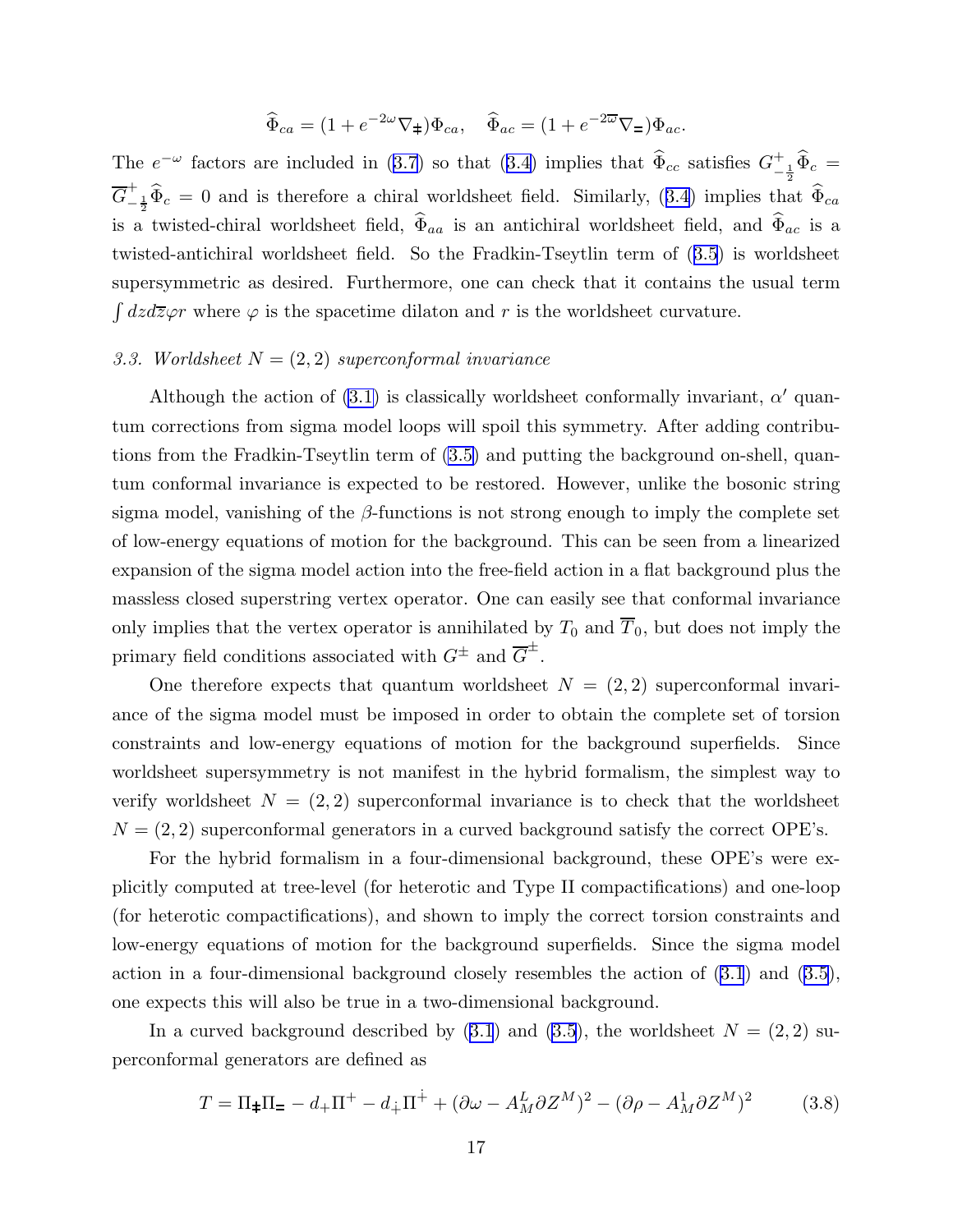$$
\widehat{\Phi}_{ca} = (1 + e^{-2\omega} \nabla_{\pm}) \Phi_{ca}, \quad \widehat{\Phi}_{ac} = (1 + e^{-2\overline{\omega}} \nabla_{\pm}) \Phi_{ac}.
$$

<span id="page-17-0"></span>The  $e^{-\omega}$  factors are included in ([3.7](#page-16-0)) so that ([3.4\)](#page-16-0) implies that  $\widehat{\Phi}_{cc}$  satisfies  $G_{-}^{+}$  $_{-\frac{1}{2}}^{+}\Phi_c =$  $\overline{G}^+_ \frac{1}{2} \Phi_c = 0$  and is therefore a chiral worldsheet field. Similarly, ([3.4](#page-16-0)) implies that  $\Phi_{ca}$ is a twisted-chiral worldsheet field,  $\widehat{\Phi}_{aa}$  is an antichiral worldsheet field, and  $\widehat{\Phi}_{ac}$  is a twisted-antichiral worldsheet field. So the Fradkin-Tseytlin term of ([3.5](#page-16-0)) is worldsheet supersymmetric as desired. Furthermore, one can check that it contains the usual term  $\int dz d\overline{z}\varphi r$  where  $\varphi$  is the spacetime dilaton and r is the worldsheet curvature.

# 3.3. Worldsheet  $N = (2, 2)$  superconformal invariance

Although the action of  $(3.1)$  is classically worldsheet conformally invariant,  $\alpha'$  quantum corrections from sigma model loops will spoil this symmetry. After adding contributions from the Fradkin-Tseytlin term of [\(3.5\)](#page-16-0) and putting the background on-shell, quantum conformal invariance is expected to be restored. However, unlike the bosonic string sigma model, vanishing of the  $\beta$ -functions is not strong enough to imply the complete set of low-energy equations of motion for the background. This can be seen from a linearized expansion of the sigma model action into the free-field action in a flat background plus the massless closed superstring vertex operator. One can easily see that conformal invariance only implies that the vertex operator is annihilated by  $T_0$  and  $\overline{T}_0$ , but does not imply the primary field conditions associated with  $G^{\pm}$  and  $\overline{G}^{\pm}$ .

One therefore expects that quantum worldsheet  $N = (2, 2)$  superconformal invariance of the sigma model must be imposed in order to obtain the complete set of torsion constraints and low-energy equations of motion for the background superfields. Since worldsheet supersymmetry is not manifest in the hybrid formalism, the simplest way to verify worldsheet  $N = (2, 2)$  superconformal invariance is to check that the worldsheet  $N = (2, 2)$  superconformal generators in a curved background satisfy the correct OPE's.

For the hybrid formalism in a four-dimensional background, these OPE's were explicitly computed at tree-level (for heterotic and Type II compactifications) and one-loop (for heterotic compactifications), and shown to imply the correct torsion constraints and low-energy equations of motion for the background superfields. Since the sigma model action in a four-dimensional background closely resembles the action of [\(3.1](#page-14-0)) and ([3.5](#page-16-0)), one expects this will also be true in a two-dimensional background.

In a curved background described by  $(3.1)$  $(3.1)$  $(3.1)$  and  $(3.5)$  $(3.5)$  $(3.5)$ , the worldsheet  $N = (2, 2)$  superconformal generators are defined as

$$
T = \Pi_{\pm}\Pi_{\mp} - d_{+}\Pi^{+} - d_{\mp}\Pi^{\dot{+}} + (\partial\omega - A_{M}^{L}\partial Z^{M})^{2} - (\partial\rho - A_{M}^{L}\partial Z^{M})^{2}
$$
(3.8)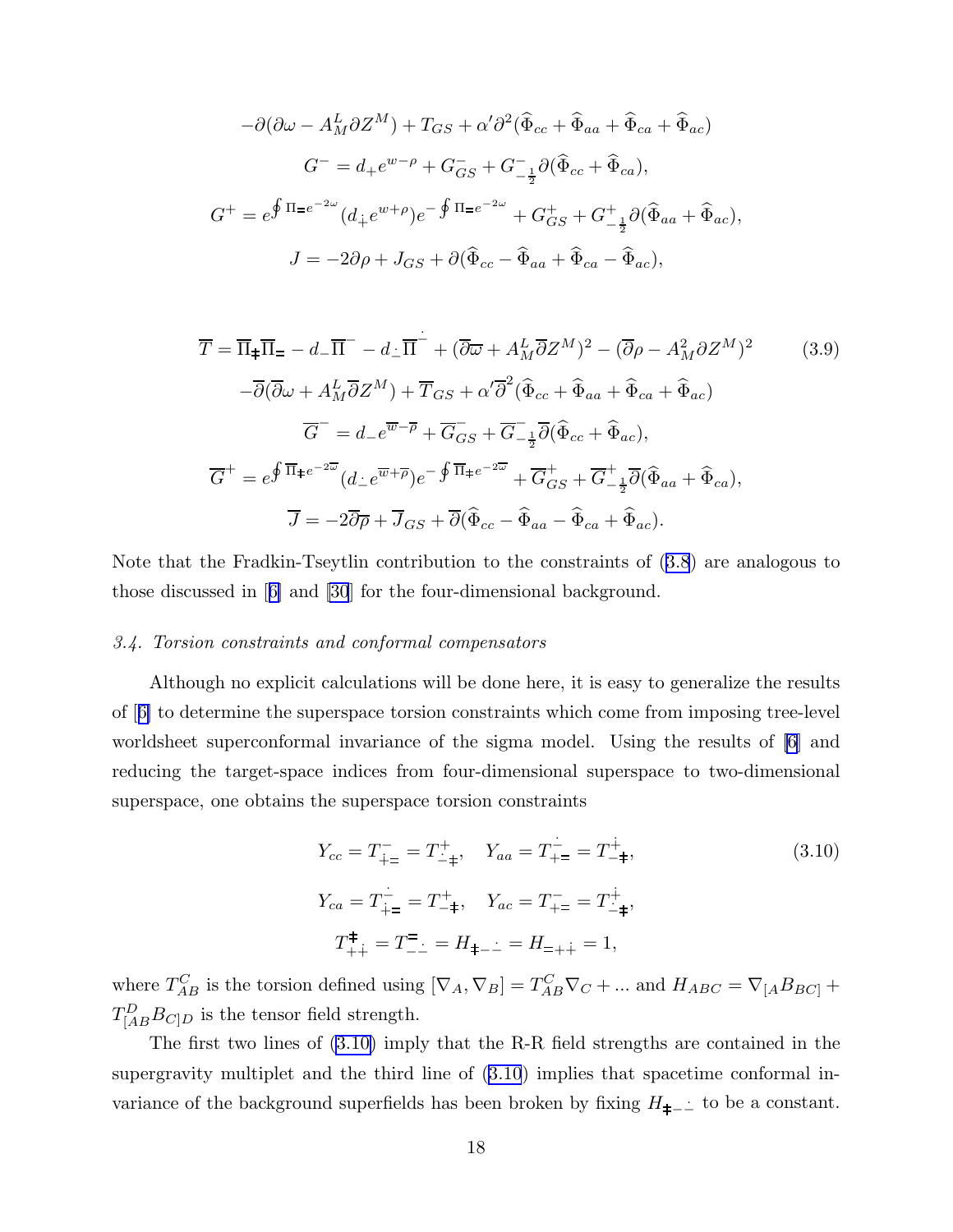<span id="page-18-0"></span>
$$
-\partial(\partial\omega - A_M^L \partial Z^M) + T_{GS} + \alpha' \partial^2 (\widehat{\Phi}_{cc} + \widehat{\Phi}_{aa} + \widehat{\Phi}_{ca} + \widehat{\Phi}_{ac})
$$
  

$$
G^- = d_+ e^{w-\rho} + G_{GS}^- + G_{-\frac{1}{2}}^- \partial (\widehat{\Phi}_{cc} + \widehat{\Phi}_{ca}),
$$
  

$$
G^+ = e^{\oint \Pi = e^{-2\omega}} (d_+ e^{w+\rho}) e^{-\oint \Pi = e^{-2\omega}} + G_{GS}^+ + G_{-\frac{1}{2}}^+ \partial (\widehat{\Phi}_{aa} + \widehat{\Phi}_{ac}),
$$
  

$$
J = -2\partial\rho + J_{GS} + \partial (\widehat{\Phi}_{cc} - \widehat{\Phi}_{aa} + \widehat{\Phi}_{ca} - \widehat{\Phi}_{ac}),
$$

$$
\overline{T} = \overline{\Pi}_{\pm} \overline{\Pi}_{=} - d_{-} \overline{\Pi}^{-} - d_{-} \overline{\Pi}^{-} + (\overline{\partial} \overline{\omega} + A_{M}^{L} \overline{\partial} Z^{M})^{2} - (\overline{\partial} \rho - A_{M}^{2} \partial Z^{M})^{2}
$$
(3.9)  
\n
$$
- \overline{\partial} (\overline{\partial} \omega + A_{M}^{L} \overline{\partial} Z^{M}) + \overline{T}_{GS} + \alpha' \overline{\partial}^{2} (\widehat{\Phi}_{cc} + \widehat{\Phi}_{aa} + \widehat{\Phi}_{ca} + \widehat{\Phi}_{ac})
$$
  
\n
$$
\overline{G}^{-} = d_{-} e^{\overline{\Psi} - \overline{\rho}} + \overline{G}_{GS} + \overline{G}_{-\frac{1}{2}}^{-} \overline{\partial} (\widehat{\Phi}_{cc} + \widehat{\Phi}_{ac}),
$$
  
\n
$$
\overline{G}^{+} = e^{\oint \overline{\Pi}_{\pm} e^{-2\overline{\omega}}} (d_{\pm} e^{\overline{\Psi} + \overline{\rho}}) e^{-\oint \overline{\Pi}_{\pm} e^{-2\overline{\omega}}} + \overline{G}_{GS}^{+} + \overline{G}_{-\frac{1}{2}}^{+} \overline{\partial} (\widehat{\Phi}_{aa} + \widehat{\Phi}_{ca}),
$$
  
\n
$$
\overline{J} = -2\overline{\partial} \overline{\rho} + \overline{J}_{GS} + \overline{\partial} (\widehat{\Phi}_{cc} - \widehat{\Phi}_{aa} - \widehat{\Phi}_{ca} + \widehat{\Phi}_{ac}).
$$
(3.9)

Note that the Fradkin-Tseytlin contribution to the constraints of [\(3.8](#page-17-0)) are analogous to those discussed in[[6\]](#page-43-0) and [\[30](#page-44-0)] for the four-dimensional background.

# 3.4. Torsion constraints and conformal compensators

Although no explicit calculations will be done here, it is easy to generalize the results of[[6\]](#page-43-0) to determine the superspace torsion constraints which come from imposing tree-level worldsheet superconformal invariance of the sigma model. Using the results of [\[6](#page-43-0)] and reducing the target-space indices from four-dimensional superspace to two-dimensional superspace, one obtains the superspace torsion constraints

$$
Y_{cc} = T_{\dot{+} =}^{-} = T_{-\dot{+}}^{+}, \quad Y_{aa} = T_{\dot{+} =}^{-} = T_{-\dot{+}}^{\dot{+}},
$$
  
\n
$$
Y_{ca} = T_{\dot{+} =}^{-} = T_{-\dot{+}}^{+}, \quad Y_{ac} = T_{\dot{+} =}^{-} = T_{-\dot{+}}^{\dot{+}},
$$
  
\n
$$
T_{+\dot{+}}^{\ddagger} = T_{-\dot{+}}^{\ddagger} = H_{\dot{+} - \dot{+}} = H_{\dot{+} + \dot{+}} = 1,
$$
  
\n(3.10)

where  $T_{AB}^C$  is the torsion defined using  $[\nabla_A, \nabla_B] = T_{AB}^C \nabla_C + ...$  and  $H_{ABC} = \nabla_{[A} B_{BC]} +$  $T_{[AB}^D B_{C]D}$  is the tensor field strength.

The first two lines of (3.10) imply that the R-R field strengths are contained in the supergravity multiplet and the third line of (3.10) implies that spacetime conformal invariance of the background superfields has been broken by fixing  $H_{\neq -}$ ံ to be a constant.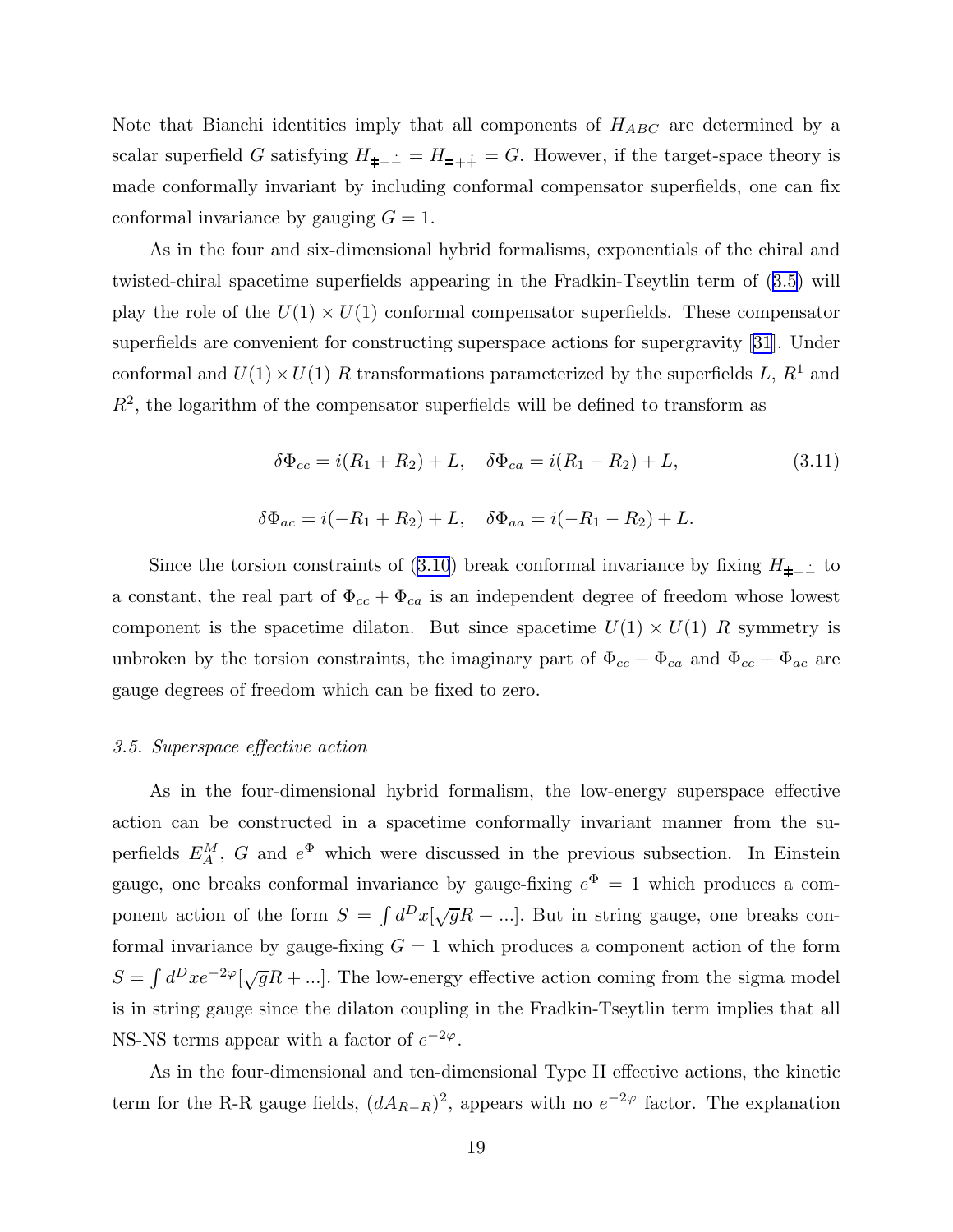Note that Bianchi identities imply that all components of  $H_{ABC}$  are determined by a scalar superfield G satisfying  $H_{\pm -}$  =  $H_{=++}$  = G. However, if the target-space theory is made conformally invariant by including conformal compensator superfields, one can fix conformal invariance by gauging  $G = 1$ .

As in the four and six-dimensional hybrid formalisms, exponentials of the chiral and twisted-chiral spacetime superfields appearing in the Fradkin-Tseytlin term of ([3.5](#page-16-0)) will play the role of the  $U(1) \times U(1)$  conformal compensator superfields. These compensator superfields are convenient for constructing superspace actions for supergravity [\[31](#page-44-0)]. Under conformal and  $U(1) \times U(1)$  R transformations parameterized by the superfields L,  $R^1$  and  $R<sup>2</sup>$ , the logarithm of the compensator superfields will be defined to transform as

$$
\delta \Phi_{cc} = i(R_1 + R_2) + L, \quad \delta \Phi_{ca} = i(R_1 - R_2) + L,
$$
\n(3.11)  
\n
$$
\delta \Phi_{ac} = i(-R_1 + R_2) + L, \quad \delta \Phi_{aa} = i(-R_1 - R_2) + L.
$$

Since the torsion constraints of [\(3.10](#page-18-0)) break conformal invariance by fixing  $H_{\neq -}$  to a constant, the real part of  $\Phi_{cc} + \Phi_{ca}$  is an independent degree of freedom whose lowest component is the spacetime dilaton. But since spacetime  $U(1) \times U(1)$  R symmetry is unbroken by the torsion constraints, the imaginary part of  $\Phi_{cc} + \Phi_{ca}$  and  $\Phi_{cc} + \Phi_{ac}$  are gauge degrees of freedom which can be fixed to zero.

#### 3.5. Superspace effective action

As in the four-dimensional hybrid formalism, the low-energy superspace effective action can be constructed in a spacetime conformally invariant manner from the superfields  $E_A^M$ , G and  $e^{\Phi}$  which were discussed in the previous subsection. In Einstein gauge, one breaks conformal invariance by gauge-fixing  $e^{\Phi} = 1$  which produces a component action of the form  $S = \int d^Dx[\sqrt{g}R + \ldots]$ . But in string gauge, one breaks conformal invariance by gauge-fixing  $G = 1$  which produces a component action of the form  $S = \int d^D x e^{-2\varphi} [\sqrt{g}R + ...].$  The low-energy effective action coming from the sigma model is in string gauge since the dilaton coupling in the Fradkin-Tseytlin term implies that all NS-NS terms appear with a factor of  $e^{-2\varphi}$ .

As in the four-dimensional and ten-dimensional Type II effective actions, the kinetic term for the R-R gauge fields,  $(dA_{R-R})^2$ , appears with no  $e^{-2\varphi}$  factor. The explanation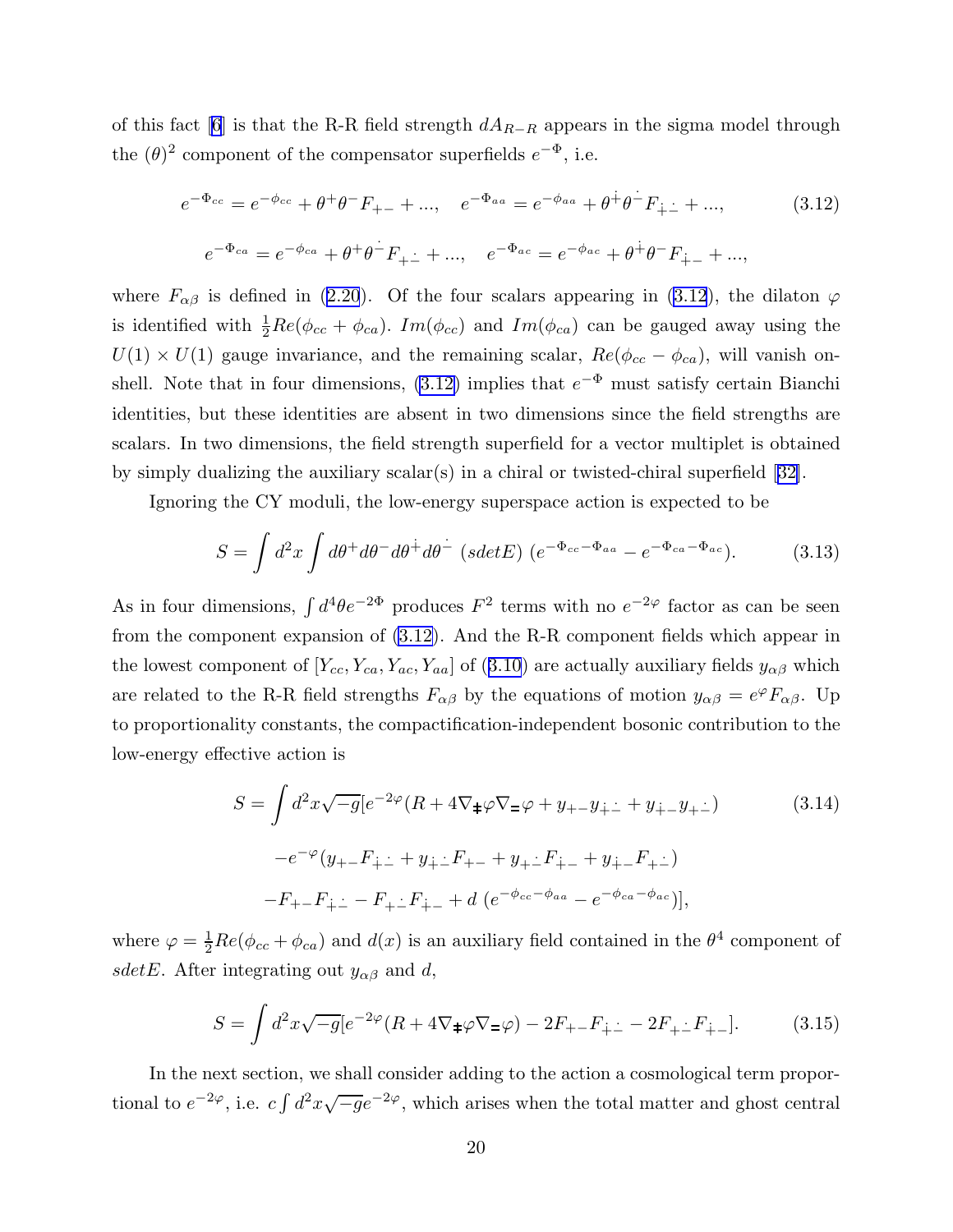<span id="page-20-0"></span>of this fact [\[6](#page-43-0)] is that the R-R field strength  $dA_{R-R}$  appears in the sigma model through the  $(\theta)^2$  component of the compensator superfields  $e^{-\Phi}$ , i.e.

$$
e^{-\Phi_{cc}} = e^{-\phi_{cc}} + \theta^+ \theta^- F_{+-} + ..., \quad e^{-\Phi_{aa}} = e^{-\phi_{aa}} + \theta^+ \theta^- F_{\dot{+} \dot{-}} + ..., \quad (3.12)
$$

$$
e^{-\Phi_{ca}} = e^{-\phi_{ca}} + \theta^+ \theta^- F_{\dot{+} \dot{-}} + ..., \quad e^{-\Phi_{ac}} = e^{-\phi_{ac}} + \theta^+ \theta^- F_{\dot{+} -} + ...,
$$

where  $F_{\alpha\beta}$  is defined in [\(2.20](#page-9-0)). Of the four scalars appearing in (3.12), the dilaton  $\varphi$ is identified with  $\frac{1}{2}Re(\phi_{cc} + \phi_{ca})$ .  $Im(\phi_{cc})$  and  $Im(\phi_{ca})$  can be gauged away using the  $U(1) \times U(1)$  gauge invariance, and the remaining scalar,  $Re(\phi_{cc} - \phi_{ca})$ , will vanish onshell. Note that in four dimensions,  $(3.12)$  implies that  $e^{-\Phi}$  must satisfy certain Bianchi identities, but these identities are absent in two dimensions since the field strengths are scalars. In two dimensions, the field strength superfield for a vector multiplet is obtained by simply dualizing the auxiliary scalar(s) in a chiral or twisted-chiral superfield[[32\]](#page-44-0).

Ignoring the CY moduli, the low-energy superspace action is expected to be

$$
S = \int d^2x \int d\theta^+ d\theta^- d\theta^+ d\theta^- (sdetE) (e^{-\Phi_{cc} - \Phi_{aa}} - e^{-\Phi_{ca} - \Phi_{ac}}). \tag{3.13}
$$

As in four dimensions,  $\int d^4\theta e^{-2\Phi}$  produces  $F^2$  terms with no  $e^{-2\varphi}$  factor as can be seen from the component expansion of (3.12). And the R-R component fields which appear in the lowest component of  $[Y_{cc}, Y_{ca}, Y_{ac}, Y_{aa}]$  of ([3.10](#page-18-0)) are actually auxiliary fields  $y_{\alpha\beta}$  which are related to the R-R field strengths  $F_{\alpha\beta}$  by the equations of motion  $y_{\alpha\beta} = e^{\varphi} F_{\alpha\beta}$ . Up to proportionality constants, the compactification-independent bosonic contribution to the low-energy effective action is

$$
S = \int d^2x \sqrt{-g} \left[ e^{-2\varphi} (R + 4\nabla_{\pm}\varphi\nabla_{\mp}\varphi + y_{+-}y_{+-} + y_{+-}y_{+-}) \right]
$$
(3.14)  

$$
-e^{-\varphi} (y_{+-}F_{\dot{+}-} + y_{\dot{+}-}F_{+-} + y_{+-}F_{\dot{+}-} + y_{\dot{+}-}F_{+-})
$$

$$
-F_{+-}F_{\dot{+}-} - F_{+-}F_{\dot{+}-} + d \left( e^{-\phi_{cc} - \phi_{aa}} - e^{-\phi_{ca} - \phi_{ac}} \right)],
$$

where  $\varphi = \frac{1}{2}Re(\phi_{cc} + \phi_{ca})$  and  $d(x)$  is an auxiliary field contained in the  $\theta^4$  component of sdetE. After integrating out  $y_{\alpha\beta}$  and d,

$$
S = \int d^2x \sqrt{-g} \left[e^{-2\varphi} (R + 4\nabla_{\pm}\varphi \nabla_{\pm}\varphi) - 2F_{+-}F_{\dot{+}\dot{-}} - 2F_{+-}F_{\dot{+}\dot{-}}\right].\tag{3.15}
$$

In the next section, we shall consider adding to the action a cosmological term proportional to  $e^{-2\varphi}$ , i.e.  $c \int d^2x \sqrt{-g}e^{-2\varphi}$ , which arises when the total matter and ghost central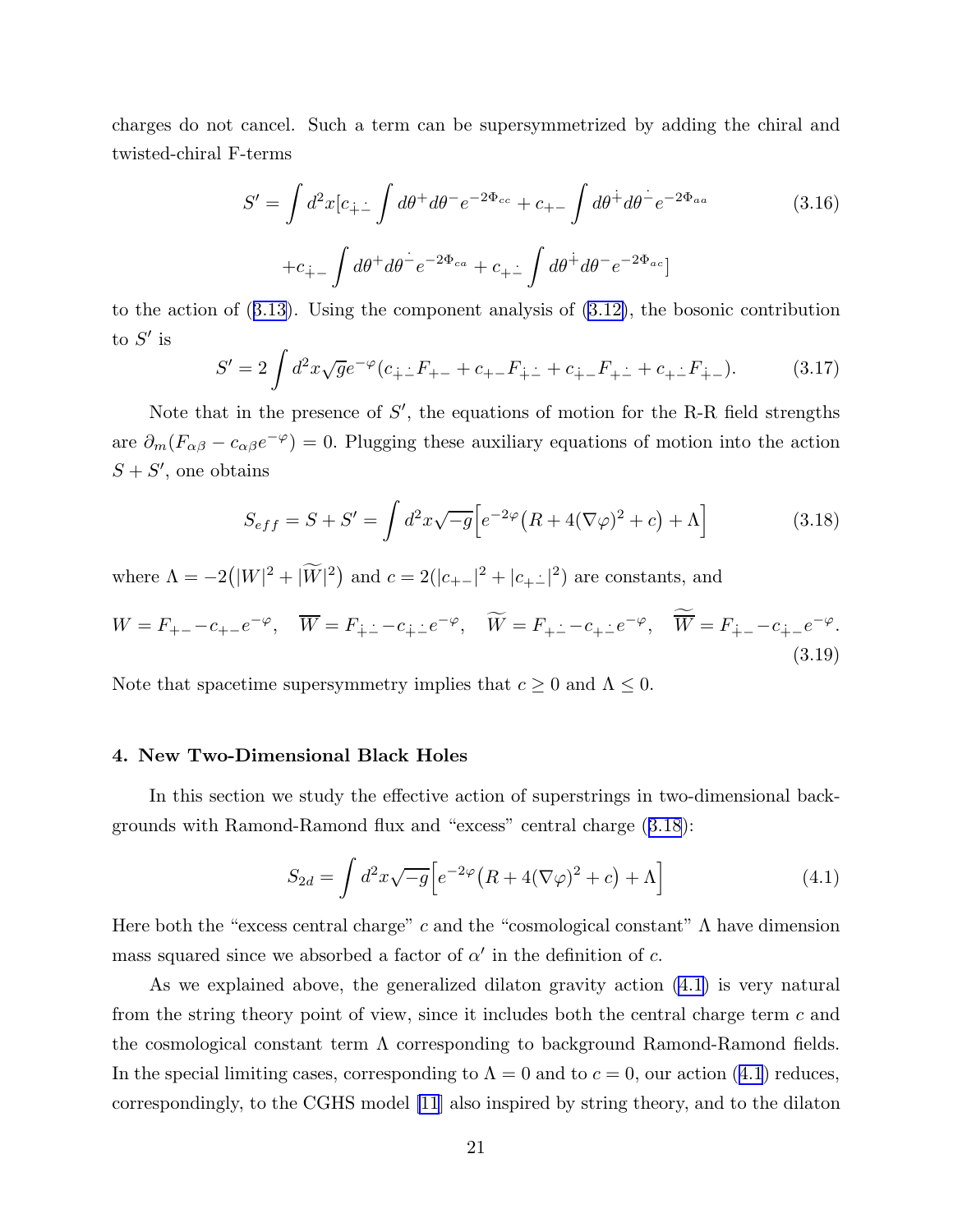<span id="page-21-0"></span>charges do not cancel. Such a term can be supersymmetrized by adding the chiral and twisted-chiral F-terms

$$
S' = \int d^2x [c_{\dot{+}}] \int d\theta^+ d\theta^- e^{-2\Phi_{cc}} + c_{+-} \int d\theta^+ d\theta^- e^{-2\Phi_{aa}} \qquad (3.16)
$$

$$
+ c_{\dot{+}} \int d\theta^+ d\theta^- e^{-2\Phi_{ca}} + c_{\dot{+}} \int d\theta^+ d\theta^- e^{-2\Phi_{ac}}]
$$

to the action of ([3.13\)](#page-20-0). Using the component analysis of [\(3.12\)](#page-20-0), the bosonic contribution to  $S'$  is

$$
S' = 2 \int d^2x \sqrt{g} e^{-\varphi} (c_{\dot{+} \dot{-}} F_{+-} + c_{+-} F_{\dot{+} \dot{-}} + c_{\dot{+} -} F_{+\dot{-}} + c_{+\dot{-}} F_{\dot{+} -}). \tag{3.17}
$$

Note that in the presence of  $S'$ , the equations of motion for the R-R field strengths are  $\partial_m (F_{\alpha\beta} - c_{\alpha\beta}e^{-\varphi}) = 0$ . Plugging these auxiliary equations of motion into the action  $S + S'$ , one obtains

$$
S_{eff} = S + S' = \int d^2x \sqrt{-g} \Big[ e^{-2\varphi} \big( R + 4(\nabla \varphi)^2 + c \big) + \Lambda \Big] \tag{3.18}
$$

where  $\Lambda = -2(|W|^2 + |\widetilde{W}|^2)$  and  $c = 2(|c_{+-}|^2 + |c_{+-}|^2)$  are constants, and

$$
W = F_{+-} - c_{+-}e^{-\varphi}, \quad \overline{W} = F_{\dot{+} \dot{-} } - c_{\dot{+} \dot{-} }e^{-\varphi}, \quad \widetilde{W} = F_{\dot{+} \dot{-} } - c_{\dot{+} \dot{-} }e^{-\varphi}, \quad \widetilde{\overline{W}} = F_{\dot{+} - } - c_{\dot{+} - }e^{-\varphi}.
$$
\n(3.19)

Note that spacetime supersymmetry implies that  $c \geq 0$  and  $\Lambda \leq 0$ .

# 4. New Two-Dimensional Black Holes

In this section we study the effective action of superstrings in two-dimensional backgrounds with Ramond-Ramond flux and "excess" central charge (3.18):

$$
S_{2d} = \int d^2x \sqrt{-g} \Big[ e^{-2\varphi} \left( R + 4(\nabla \varphi)^2 + c \right) + \Lambda \Big] \tag{4.1}
$$

Here both the "excess central charge" c and the "cosmological constant"  $\Lambda$  have dimension mass squared since we absorbed a factor of  $\alpha'$  in the definition of c.

As we explained above, the generalized dilaton gravity action (4.1) is very natural from the string theory point of view, since it includes both the central charge term  $c$  and the cosmological constant term  $\Lambda$  corresponding to background Ramond-Ramond fields. In the special limiting cases, corresponding to  $\Lambda = 0$  and to  $c = 0$ , our action (4.1) reduces, correspondingly, to the CGHS model [\[11](#page-43-0)] also inspired by string theory, and to the dilaton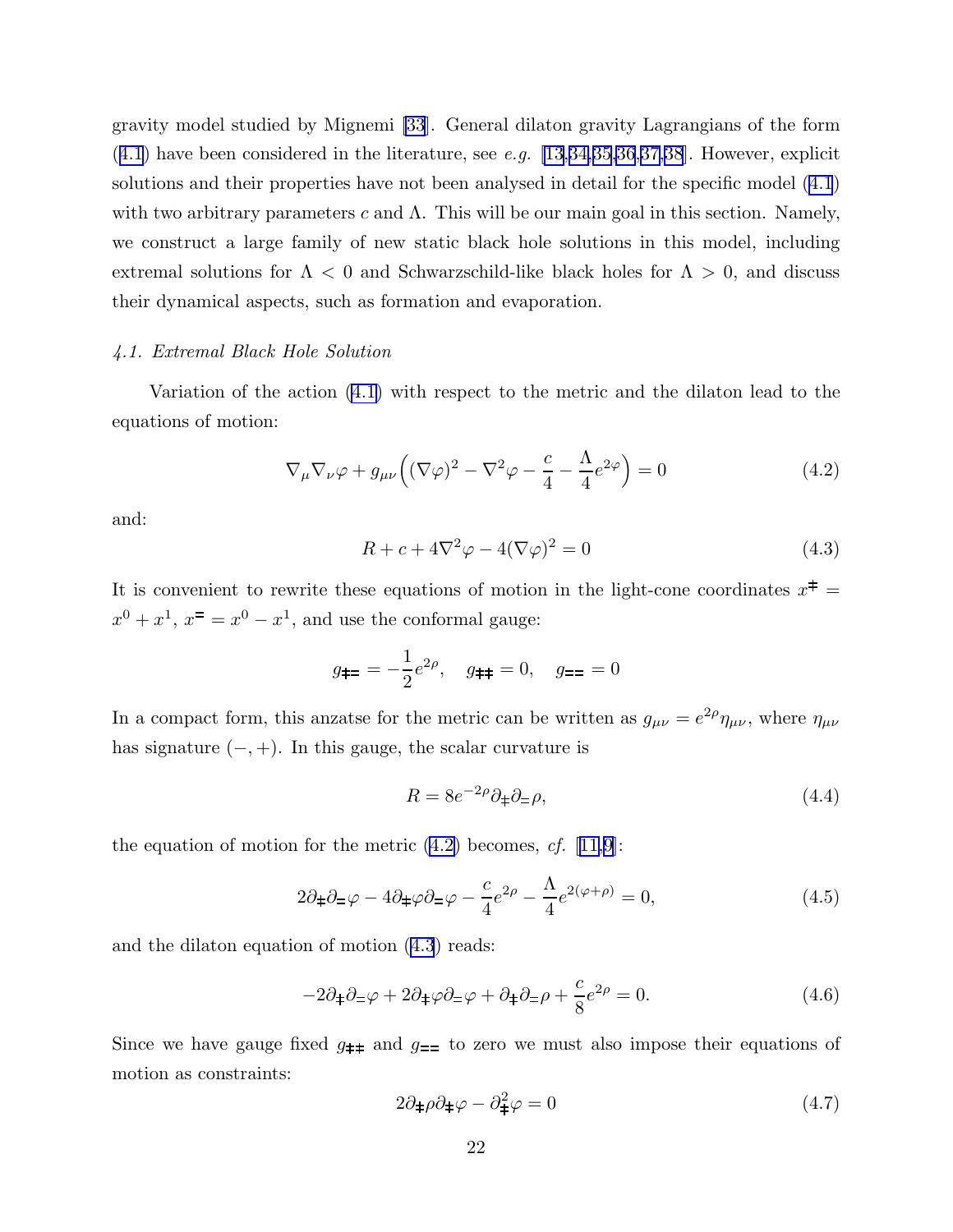<span id="page-22-0"></span>gravity model studied by Mignemi [\[33](#page-44-0)]. General dilaton gravity Lagrangians of the form  $(4.1)$  $(4.1)$  $(4.1)$  have been considered in the literature, see e.g. [\[13](#page-43-0),[34,35,36](#page-44-0),[37,38](#page-44-0)]. However, explicit solutions and their properties have not been analysed in detail for the specific model [\(4.1](#page-21-0)) with two arbitrary parameters c and  $\Lambda$ . This will be our main goal in this section. Namely, we construct a large family of new static black hole solutions in this model, including extremal solutions for  $\Lambda < 0$  and Schwarzschild-like black holes for  $\Lambda > 0$ , and discuss their dynamical aspects, such as formation and evaporation.

# 4.1. Extremal Black Hole Solution

Variation of the action [\(4.1\)](#page-21-0) with respect to the metric and the dilaton lead to the equations of motion:

$$
\nabla_{\mu}\nabla_{\nu}\varphi + g_{\mu\nu}\left((\nabla\varphi)^2 - \nabla^2\varphi - \frac{c}{4} - \frac{\Lambda}{4}e^{2\varphi}\right) = 0
$$
\n(4.2)

and:

$$
R + c + 4\nabla^2 \varphi - 4(\nabla \varphi)^2 = 0 \tag{4.3}
$$

It is convenient to rewrite these equations of motion in the light-cone coordinates  $x^{\ddagger}$  =  $x^0 + x^1$ ,  $x^0 = x^0 - x^1$ , and use the conformal gauge:

$$
g_{\dagger z} = -\frac{1}{2}e^{2\rho}, \quad g_{\dagger \dagger} = 0, \quad g_{zz} = 0
$$

In a compact form, this anzatse for the metric can be written as  $g_{\mu\nu} = e^{2\rho} \eta_{\mu\nu}$ , where  $\eta_{\mu\nu}$ has signature  $(-, +)$ . In this gauge, the scalar curvature is

$$
R = 8e^{-2\rho}\partial_{\ddagger}\partial_{\dot{-}}\rho,\tag{4.4}
$$

the equation of motion for the metric  $(4.2)$  becomes, cf.  $[11,9]$  $[11,9]$ :

$$
2\partial_{\pm}\partial_{\mp}\varphi - 4\partial_{\pm}\varphi\partial_{\mp}\varphi - \frac{c}{4}e^{2\rho} - \frac{\Lambda}{4}e^{2(\varphi+\rho)} = 0, \qquad (4.5)
$$

and the dilaton equation of motion (4.3) reads:

$$
-2\partial_{\pm}\partial_{\mp}\varphi + 2\partial_{\pm}\varphi\partial_{\mp}\varphi + \partial_{\pm}\partial_{\mp}\rho + \frac{c}{8}e^{2\rho} = 0.
$$
 (4.6)

Since we have gauge fixed  $g_{\pm\pm}$  and  $g_{\pm\pm}$  to zero we must also impose their equations of motion as constraints:

$$
2\partial_{\pm}\rho\partial_{\pm}\varphi - \partial_{\pm}^{2}\varphi = 0 \tag{4.7}
$$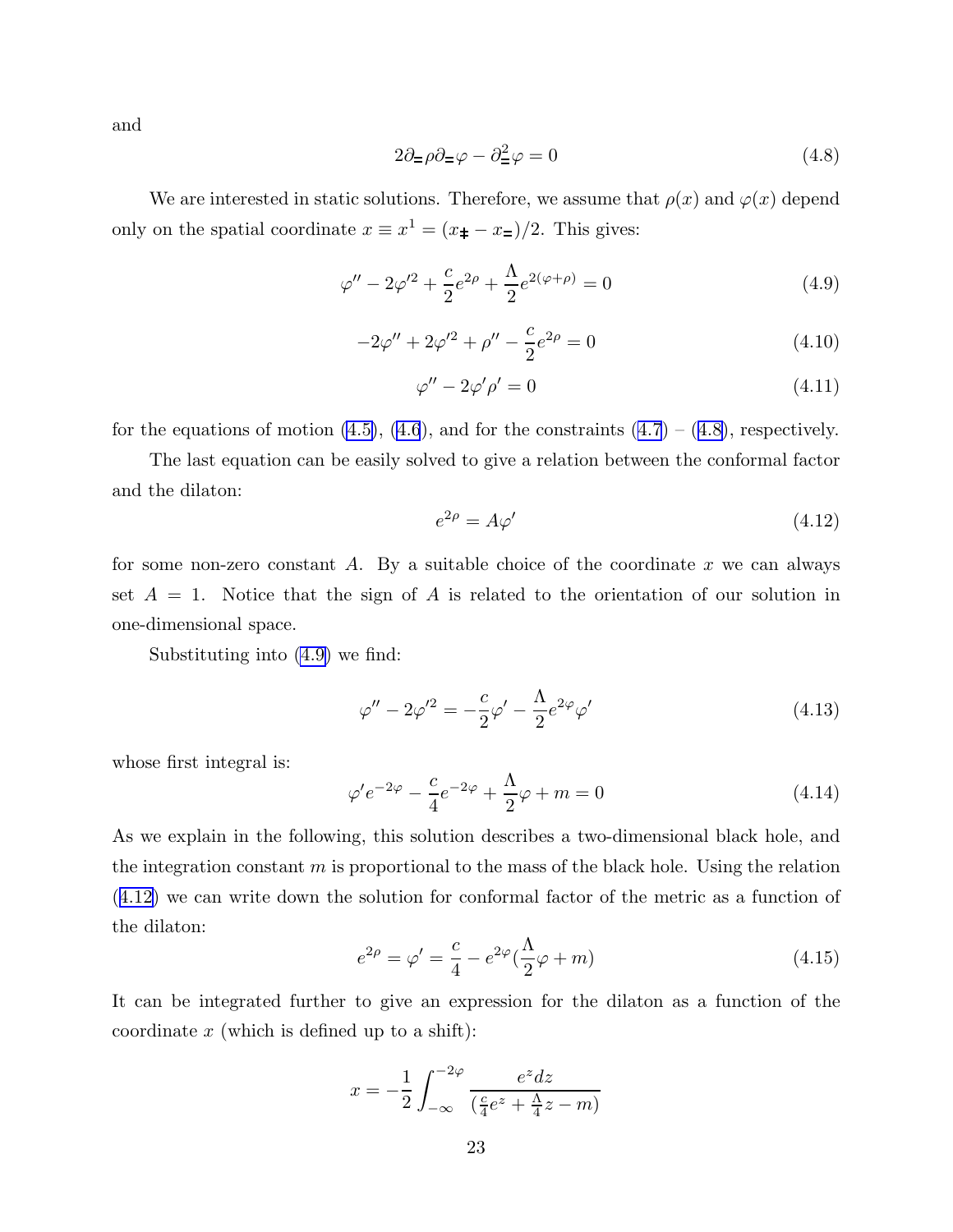<span id="page-23-0"></span>and

$$
2\partial_{\pm}\rho\partial_{\pm}\varphi - \partial_{\pm}^{2}\varphi = 0
$$
\n(4.8)

We are interested in static solutions. Therefore, we assume that  $\rho(x)$  and  $\varphi(x)$  depend only on the spatial coordinate  $x \equiv x^1 = (x_{\pm} - x_{\mp})/2$ . This gives:

$$
\varphi'' - 2\varphi'^2 + \frac{c}{2}e^{2\rho} + \frac{\Lambda}{2}e^{2(\varphi + \rho)} = 0
$$
\n(4.9)

$$
-2\varphi'' + 2\varphi'^2 + \rho'' - \frac{c}{2}e^{2\rho} = 0
$$
\n(4.10)

$$
\varphi'' - 2\varphi' \rho' = 0 \tag{4.11}
$$

for the equations of motion  $(4.5)$ ,  $(4.6)$  $(4.6)$ , and for the constraints  $(4.7) - (4.8)$  $(4.7) - (4.8)$ , respectively.

The last equation can be easily solved to give a relation between the conformal factor and the dilaton:

$$
e^{2\rho} = A\varphi' \tag{4.12}
$$

for some non-zero constant A. By a suitable choice of the coordinate  $x$  we can always set  $A = 1$ . Notice that the sign of A is related to the orientation of our solution in one-dimensional space.

Substituting into (4.9) we find:

$$
\varphi'' - 2\varphi'^2 = -\frac{c}{2}\varphi' - \frac{\Lambda}{2}e^{2\varphi}\varphi'
$$
\n(4.13)

whose first integral is:

$$
\varphi' e^{-2\varphi} - \frac{c}{4} e^{-2\varphi} + \frac{\Lambda}{2} \varphi + m = 0 \tag{4.14}
$$

As we explain in the following, this solution describes a two-dimensional black hole, and the integration constant  $m$  is proportional to the mass of the black hole. Using the relation (4.12) we can write down the solution for conformal factor of the metric as a function of the dilaton:

$$
e^{2\rho} = \varphi' = \frac{c}{4} - e^{2\varphi} (\frac{\Lambda}{2}\varphi + m)
$$
 (4.15)

It can be integrated further to give an expression for the dilaton as a function of the coordinate  $x$  (which is defined up to a shift):

$$
x = -\frac{1}{2} \int_{-\infty}^{-2\varphi} \frac{e^z dz}{\left(\frac{c}{4}e^z + \frac{\Lambda}{4}z - m\right)}
$$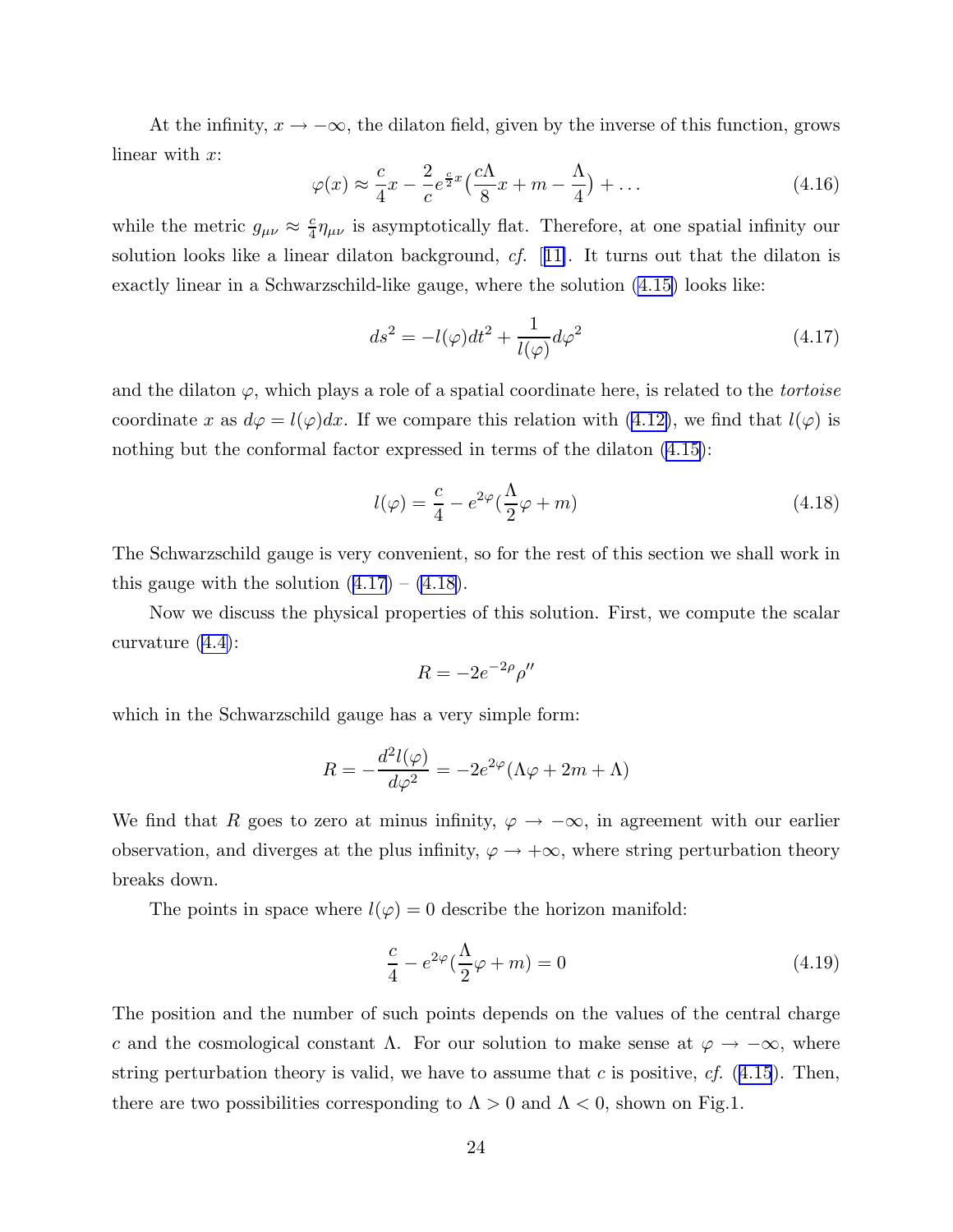<span id="page-24-0"></span>At the infinity,  $x \to -\infty$ , the dilaton field, given by the inverse of this function, grows linear with x:

$$
\varphi(x) \approx \frac{c}{4}x - \frac{2}{c}e^{\frac{c}{2}x}\left(\frac{c\Lambda}{8}x + m - \frac{\Lambda}{4}\right) + \dots
$$
\n(4.16)

while the metric  $g_{\mu\nu} \approx \frac{c}{4}$  $\frac{c}{4}\eta_{\mu\nu}$  is asymptotically flat. Therefore, at one spatial infinity our solution looks like a linear dilaton background, cf. [[11\]](#page-43-0). It turns out that the dilaton is exactly linear in a Schwarzschild-like gauge, where the solution [\(4.15\)](#page-23-0) looks like:

$$
ds^{2} = -l(\varphi)dt^{2} + \frac{1}{l(\varphi)}d\varphi^{2}
$$
\n(4.17)

and the dilaton  $\varphi$ , which plays a role of a spatial coordinate here, is related to the *tortoise* coordinate x as  $d\varphi = l(\varphi)dx$ . If we compare this relation with [\(4.12\)](#page-23-0), we find that  $l(\varphi)$  is nothing but the conformal factor expressed in terms of the dilaton [\(4.15\)](#page-23-0):

$$
l(\varphi) = \frac{c}{4} - e^{2\varphi} \left(\frac{\Lambda}{2}\varphi + m\right)
$$
\n(4.18)

The Schwarzschild gauge is very convenient, so for the rest of this section we shall work in this gauge with the solution  $(4.17) - (4.18)$ .

Now we discuss the physical properties of this solution. First, we compute the scalar curvature [\(4.4\)](#page-22-0):

$$
R = -2e^{-2\rho} \rho''
$$

which in the Schwarzschild gauge has a very simple form:

$$
R = -\frac{d^2l(\varphi)}{d\varphi^2} = -2e^{2\varphi}(\Lambda\varphi + 2m + \Lambda)
$$

We find that R goes to zero at minus infinity,  $\varphi \to -\infty$ , in agreement with our earlier observation, and diverges at the plus infinity,  $\varphi \to +\infty$ , where string perturbation theory breaks down.

The points in space where  $l(\varphi) = 0$  describe the horizon manifold:

$$
\frac{c}{4} - e^{2\varphi} \left(\frac{\Lambda}{2}\varphi + m\right) = 0\tag{4.19}
$$

The position and the number of such points depends on the values of the central charge c and the cosmological constant  $\Lambda$ . For our solution to make sense at  $\varphi \to -\infty$ , where string perturbation theory is valid, we have to assume that  $c$  is positive,  $cf.$  ([4.15](#page-23-0)). Then, there are two possibilities corresponding to  $\Lambda > 0$  and  $\Lambda < 0$ , shown on Fig.1.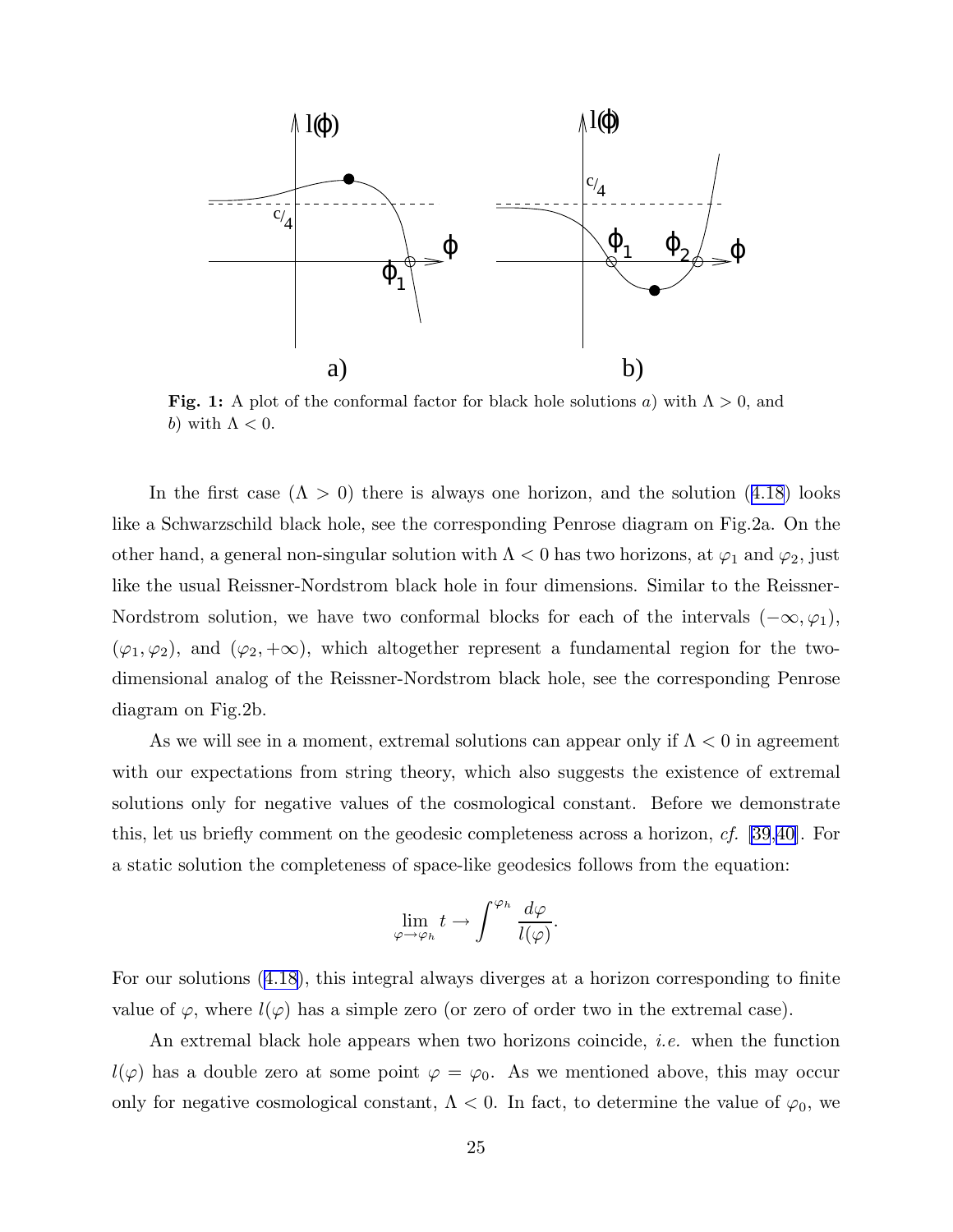

Fig. 1: A plot of the conformal factor for black hole solutions a) with  $\Lambda > 0$ , and b) with  $\Lambda < 0$ .

In the first case  $(\Lambda > 0)$  there is always one horizon, and the solution  $(4.18)$  $(4.18)$  $(4.18)$  looks like a Schwarzschild black hole, see the corresponding Penrose diagram on Fig.2a. On the other hand, a general non-singular solution with  $\Lambda < 0$  has two horizons, at  $\varphi_1$  and  $\varphi_2$ , just like the usual Reissner-Nordstrom black hole in four dimensions. Similar to the Reissner-Nordstrom solution, we have two conformal blocks for each of the intervals  $(-\infty, \varphi_1)$ ,  $(\varphi_1, \varphi_2)$ , and  $(\varphi_2, +\infty)$ , which altogether represent a fundamental region for the twodimensional analog of the Reissner-Nordstrom black hole, see the corresponding Penrose diagram on Fig.2b.

As we will see in a moment, extremal solutions can appear only if  $\Lambda < 0$  in agreement with our expectations from string theory, which also suggests the existence of extremal solutions only for negative values of the cosmological constant. Before we demonstrate this, let us briefly comment on the geodesic completeness across a horizon, cf. [\[39](#page-44-0),[40\]](#page-44-0). For a static solution the completeness of space-like geodesics follows from the equation:

$$
\lim_{\varphi\to\varphi_h}t\to\int^{\varphi_h}\frac{d\varphi}{l(\varphi)}
$$

.

For our solutions ([4.18](#page-24-0)), this integral always diverges at a horizon corresponding to finite value of  $\varphi$ , where  $l(\varphi)$  has a simple zero (or zero of order two in the extremal case).

An extremal black hole appears when two horizons coincide, *i.e.* when the function  $l(\varphi)$  has a double zero at some point  $\varphi = \varphi_0$ . As we mentioned above, this may occur only for negative cosmological constant,  $\Lambda < 0$ . In fact, to determine the value of  $\varphi_0$ , we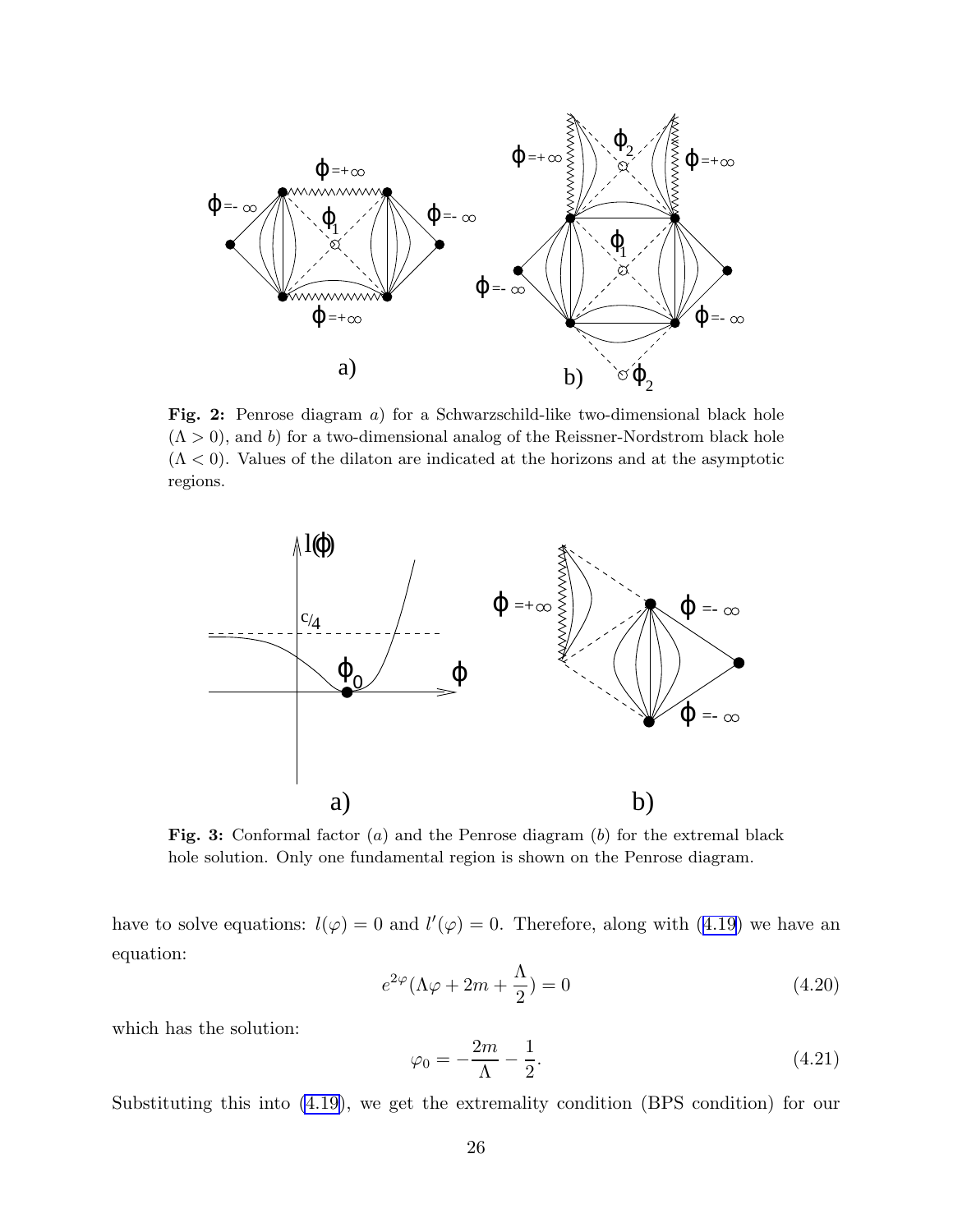<span id="page-26-0"></span>

Fig. 2: Penrose diagram a) for a Schwarzschild-like two-dimensional black hole  $(\Lambda > 0)$ , and b) for a two-dimensional analog of the Reissner-Nordstrom black hole  $(\Lambda < 0)$ . Values of the dilaton are indicated at the horizons and at the asymptotic regions.



Fig. 3: Conformal factor (a) and the Penrose diagram (b) for the extremal black hole solution. Only one fundamental region is shown on the Penrose diagram.

have to solve equations:  $l(\varphi) = 0$  and  $l'(\varphi) = 0$ . Therefore, along with ([4.19](#page-24-0)) we have an equation:

$$
e^{2\varphi}(\Lambda\varphi + 2m + \frac{\Lambda}{2}) = 0 \tag{4.20}
$$

which has the solution:

$$
\varphi_0 = -\frac{2m}{\Lambda} - \frac{1}{2}.\tag{4.21}
$$

Substituting this into [\(4.19\)](#page-24-0), we get the extremality condition (BPS condition) for our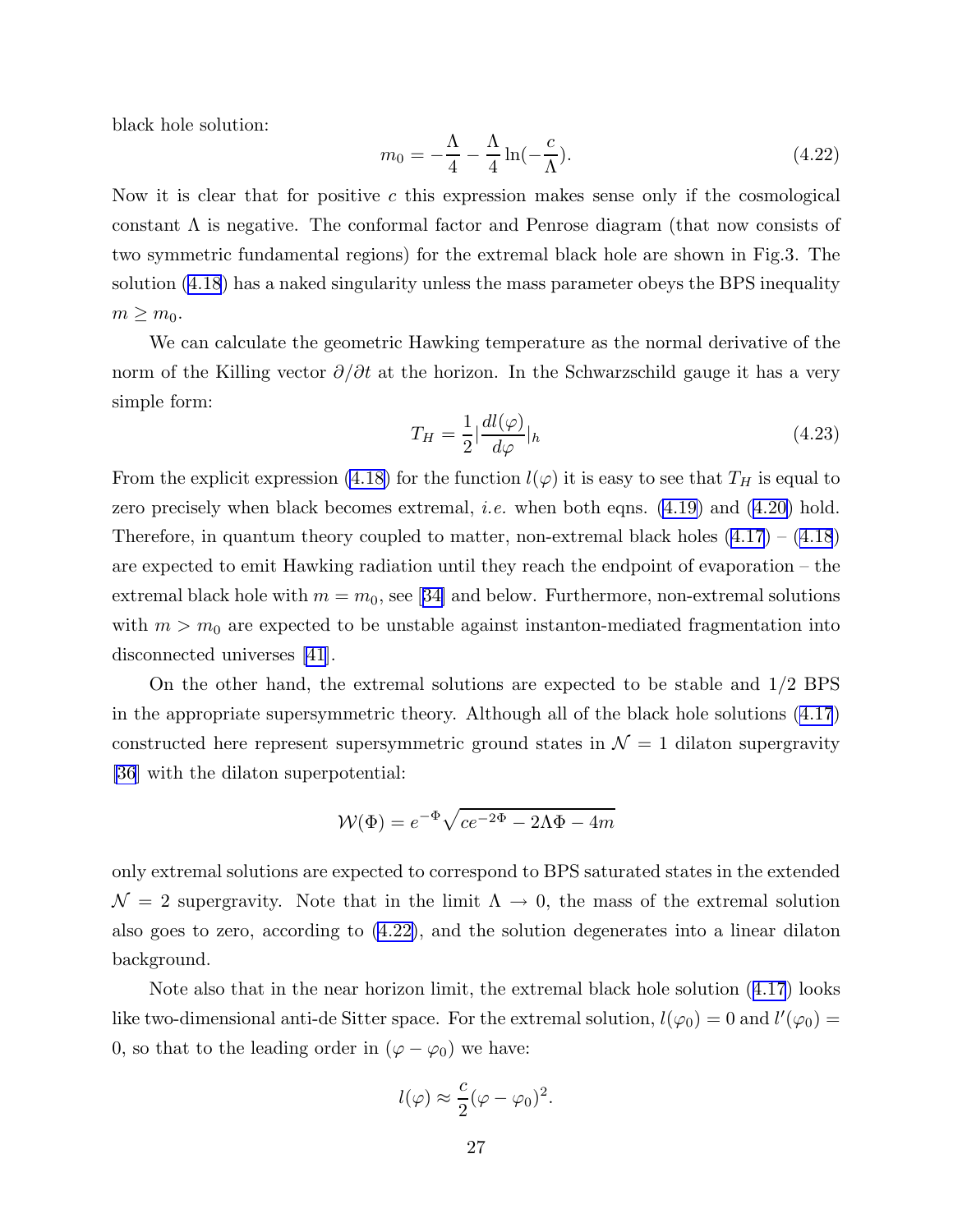<span id="page-27-0"></span>black hole solution:

$$
m_0 = -\frac{\Lambda}{4} - \frac{\Lambda}{4} \ln(-\frac{c}{\Lambda}).
$$
\n(4.22)

Now it is clear that for positive  $c$  this expression makes sense only if the cosmological constant  $\Lambda$  is negative. The conformal factor and Penrose diagram (that now consists of two symmetric fundamental regions) for the extremal black hole are shown in Fig.3. The solution ([4.18](#page-24-0)) has a naked singularity unless the mass parameter obeys the BPS inequality  $m \geq m_0$ .

We can calculate the geometric Hawking temperature as the normal derivative of the norm of the Killing vector  $\partial/\partial t$  at the horizon. In the Schwarzschild gauge it has a very simple form:

$$
T_H = \frac{1}{2} \left| \frac{dl(\varphi)}{d\varphi} \right| h \tag{4.23}
$$

From the explicit expression [\(4.18\)](#page-24-0) for the function  $l(\varphi)$  it is easy to see that  $T_H$  is equal to zero precisely when black becomes extremal, *i.e.* when both eqns.  $(4.19)$  and  $(4.20)$  hold. Therefore, in quantum theory coupled to matter, non-extremal black holes  $(4.17) - (4.18)$  $(4.17) - (4.18)$  $(4.17) - (4.18)$  $(4.17) - (4.18)$  $(4.17) - (4.18)$ are expected to emit Hawking radiation until they reach the endpoint of evaporation – the extremalblack hole with  $m = m_0$ , see [[34\]](#page-44-0) and below. Furthermore, non-extremal solutions with  $m > m_0$  are expected to be unstable against instanton-mediated fragmentation into disconnected universes [\[41](#page-45-0)].

On the other hand, the extremal solutions are expected to be stable and 1/2 BPS in the appropriate supersymmetric theory. Although all of the black hole solutions [\(4.17](#page-24-0)) constructed here represent supersymmetric ground states in  $\mathcal{N} = 1$  dilaton supergravity [\[36](#page-44-0)] with the dilaton superpotential:

$$
W(\Phi) = e^{-\Phi} \sqrt{ce^{-2\Phi} - 2\Lambda \Phi - 4m}
$$

only extremal solutions are expected to correspond to BPS saturated states in the extended  $\mathcal{N} = 2$  supergravity. Note that in the limit  $\Lambda \to 0$ , the mass of the extremal solution also goes to zero, according to (4.22), and the solution degenerates into a linear dilaton background.

Note also that in the near horizon limit, the extremal black hole solution ([4.17](#page-24-0)) looks like two-dimensional anti-de Sitter space. For the extremal solution,  $l(\varphi_0) = 0$  and  $l'(\varphi_0) =$ 0, so that to the leading order in  $(\varphi - \varphi_0)$  we have:

$$
l(\varphi) \approx \frac{c}{2} (\varphi - \varphi_0)^2.
$$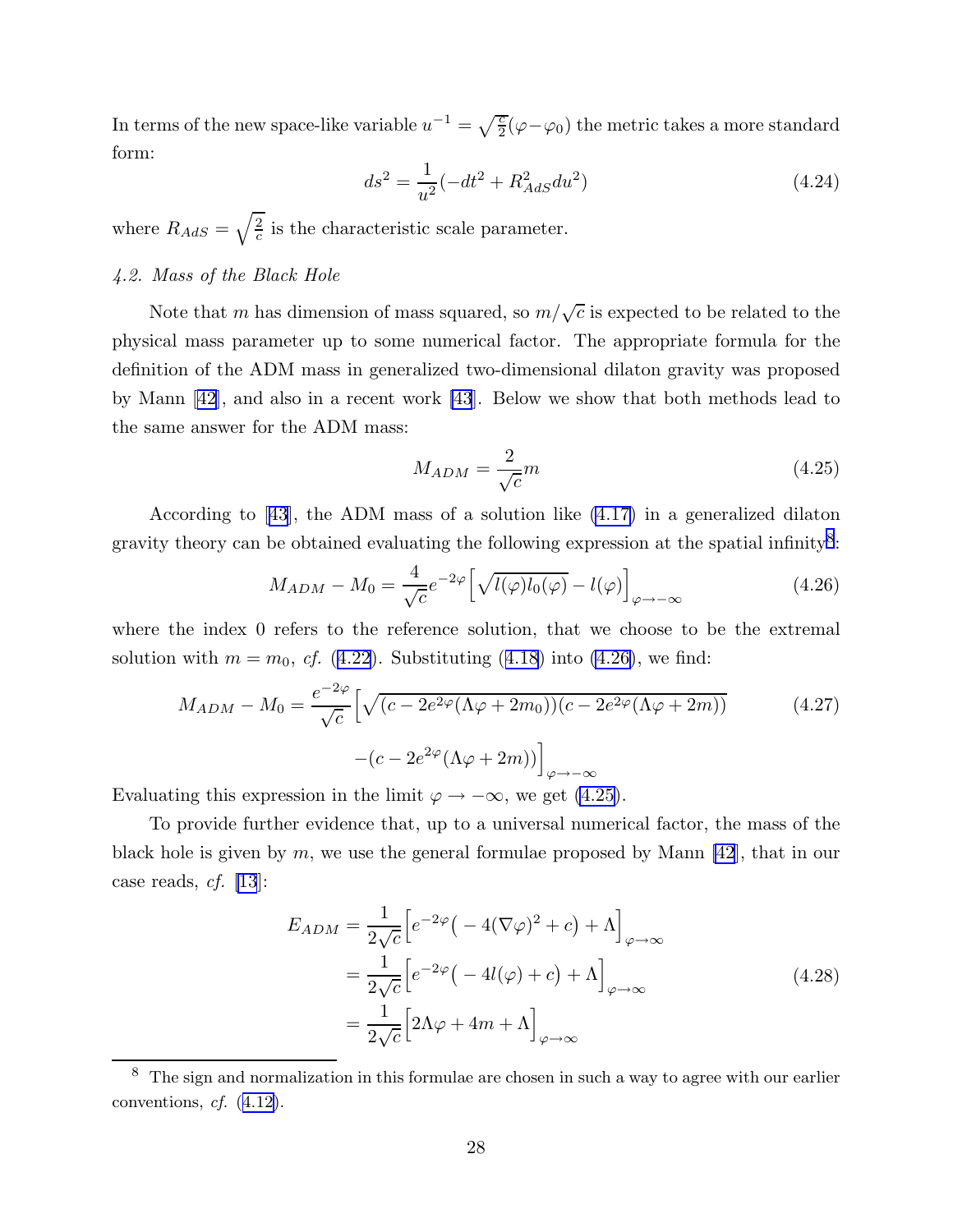<span id="page-28-0"></span>In terms of the new space-like variable  $u^{-1} = \sqrt{\frac{c}{2}}(\varphi - \varphi_0)$  the metric takes a more standard form:

$$
ds^2 = \frac{1}{u^2}(-dt^2 + R_{AdS}^2 du^2)
$$
\n(4.24)

where  $R_{AdS} = \sqrt{\frac{2}{c}}$  $\frac{2}{c}$  is the characteristic scale parameter.

# 4.2. Mass of the Black Hole

Note that m has dimension of mass squared, so  $m/\sqrt{c}$  is expected to be related to the physical mass parameter up to some numerical factor. The appropriate formula for the definition of the ADM mass in generalized two-dimensional dilaton gravity was proposed by Mann[[42\]](#page-45-0), and also in a recent work [\[43](#page-45-0)]. Below we show that both methods lead to the same answer for the ADM mass:

$$
M_{ADM} = \frac{2}{\sqrt{c}}m\tag{4.25}
$$

According to [\[43](#page-45-0)], the ADM mass of a solution like [\(4.17\)](#page-24-0) in a generalized dilaton gravity theory can be obtained evaluating the following expression at the spatial infinity<sup>8</sup>:

$$
M_{ADM} - M_0 = \frac{4}{\sqrt{c}} e^{-2\varphi} \left[ \sqrt{l(\varphi)l_0(\varphi)} - l(\varphi) \right]_{\varphi \to -\infty}
$$
 (4.26)

where the index 0 refers to the reference solution, that we choose to be the extremal solution with  $m = m_0$ , cf. ([4.22](#page-27-0)). Substituting ([4.18](#page-24-0)) into (4.26), we find:

$$
M_{ADM} - M_0 = \frac{e^{-2\varphi}}{\sqrt{c}} \left[ \sqrt{(c - 2e^{2\varphi} (\Lambda \varphi + 2m_0))(c - 2e^{2\varphi} (\Lambda \varphi + 2m))} \right. \tag{4.27}
$$

$$
-(c - 2e^{2\varphi} (\Lambda \varphi + 2m)) \Big|_{\varphi \to -\infty}
$$

Evaluating this expression in the limit  $\varphi \to -\infty$ , we get (4.25).

To provide further evidence that, up to a universal numerical factor, the mass of the black hole is given by  $m$ , we use the general formulae proposed by Mann  $|42|$ , that in our case reads,  $cf.$  [\[13](#page-43-0)]:

$$
E_{ADM} = \frac{1}{2\sqrt{c}} \Big[ e^{-2\varphi} \big( -4(\nabla\varphi)^2 + c \big) + \Lambda \Big]_{\varphi \to \infty}
$$
  
= 
$$
\frac{1}{2\sqrt{c}} \Big[ e^{-2\varphi} \big( -4l(\varphi) + c \big) + \Lambda \Big]_{\varphi \to \infty}
$$
  
= 
$$
\frac{1}{2\sqrt{c}} \Big[ 2\Lambda\varphi + 4m + \Lambda \Big]_{\varphi \to \infty}
$$
(4.28)

<sup>&</sup>lt;sup>8</sup> The sign and normalization in this formulae are chosen in such a way to agree with our earlier conventions,  $cf.$   $(4.12)$  $(4.12)$ .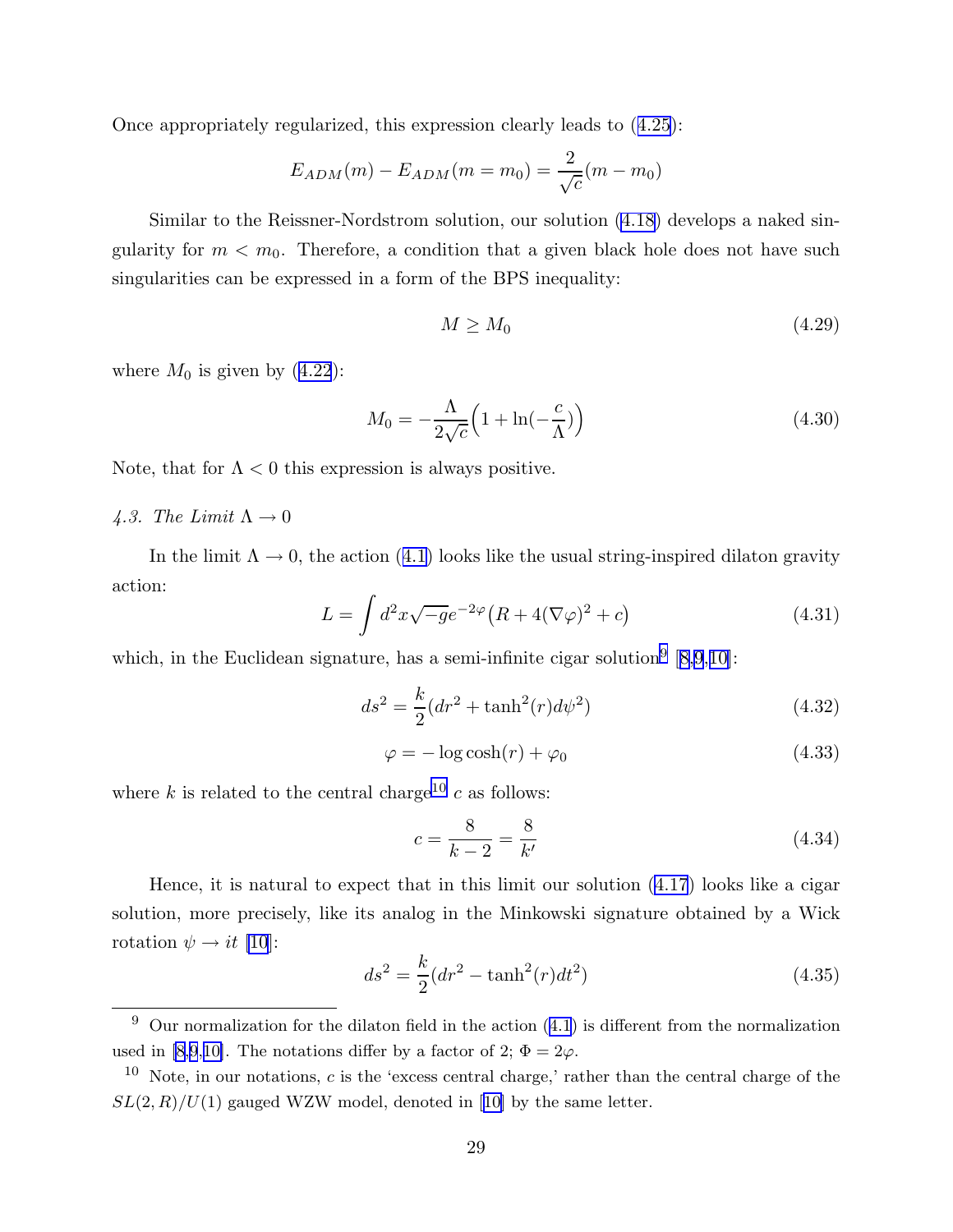<span id="page-29-0"></span>Once appropriately regularized, this expression clearly leads to ([4.25\)](#page-28-0):

$$
E_{ADM}(m) - E_{ADM}(m = m_0) = \frac{2}{\sqrt{c}}(m - m_0)
$$

Similar to the Reissner-Nordstrom solution, our solution [\(4.18\)](#page-24-0) develops a naked singularity for  $m < m_0$ . Therefore, a condition that a given black hole does not have such singularities can be expressed in a form of the BPS inequality:

$$
M \ge M_0 \tag{4.29}
$$

where  $M_0$  is given by  $(4.22)$  $(4.22)$  $(4.22)$ :

$$
M_0 = -\frac{\Lambda}{2\sqrt{c}} \left( 1 + \ln(-\frac{c}{\Lambda}) \right) \tag{4.30}
$$

Note, that for  $\Lambda < 0$  this expression is always positive.

# 4.3. The Limit  $\Lambda \rightarrow 0$

In the limit  $\Lambda \to 0$ , the action ([4.1\)](#page-21-0) looks like the usual string-inspired dilaton gravity action:

$$
L = \int d^2x \sqrt{-g}e^{-2\varphi} \left( R + 4(\nabla\varphi)^2 + c \right) \tag{4.31}
$$

which, in the Euclidean signature, has a semi-infinite cigar solution<sup>9</sup>  $[8,9,10]$  $[8,9,10]$  $[8,9,10]$  $[8,9,10]$ :

$$
ds^{2} = \frac{k}{2}(dr^{2} + \tanh^{2}(r)d\psi^{2})
$$
\n(4.32)

$$
\varphi = -\log \cosh(r) + \varphi_0 \tag{4.33}
$$

where k is related to the central charge<sup>10</sup> c as follows:

$$
c = \frac{8}{k - 2} = \frac{8}{k'}
$$
 (4.34)

Hence, it is natural to expect that in this limit our solution ([4.17](#page-24-0)) looks like a cigar solution, more precisely, like its analog in the Minkowski signature obtained by a Wick rotation  $\psi \rightarrow it$  [\[10](#page-43-0)]:

$$
ds^{2} = \frac{k}{2}(dr^{2} - \tanh^{2}(r)dt^{2})
$$
\n(4.35)

 $\overline{9}$  Our normalization for the dilaton field in the action [\(4.1](#page-21-0)) is different from the normalization used in [\[8,9](#page-43-0),[10\]](#page-43-0). The notations differ by a factor of 2;  $\Phi = 2\varphi$ .

 $10$  Note, in our notations, c is the 'excess central charge,' rather than the central charge of the  $SL(2, R)/U(1)$  $SL(2, R)/U(1)$  $SL(2, R)/U(1)$  gauged WZW model, denoted in [[10\]](#page-43-0) by the same letter.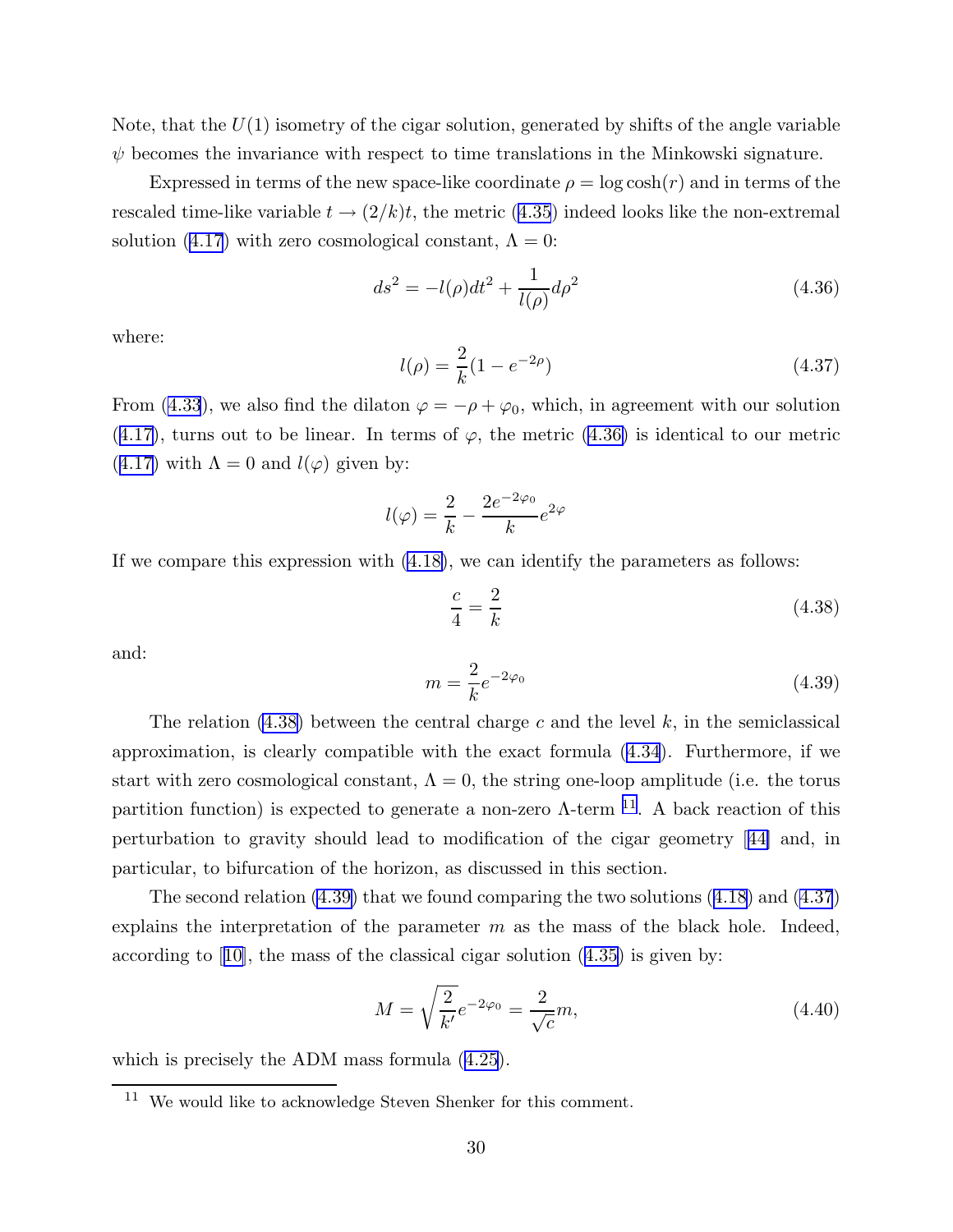Note, that the  $U(1)$  isometry of the cigar solution, generated by shifts of the angle variable  $\psi$  becomes the invariance with respect to time translations in the Minkowski signature.

Expressed in terms of the new space-like coordinate  $\rho = \log \cosh(r)$  and in terms of the rescaled time-like variable  $t \to (2/k)t$ , the metric ([4.35](#page-29-0)) indeed looks like the non-extremal solution ([4.17](#page-24-0)) with zero cosmological constant,  $\Lambda = 0$ :

$$
ds^{2} = -l(\rho)dt^{2} + \frac{1}{l(\rho)}d\rho^{2}
$$
\n(4.36)

where:

$$
l(\rho) = \frac{2}{k}(1 - e^{-2\rho})
$$
\n(4.37)

From ([4.33](#page-29-0)), we also find the dilaton  $\varphi = -\rho + \varphi_0$ , which, in agreement with our solution  $(4.17)$  $(4.17)$  $(4.17)$ , turns out to be linear. In terms of  $\varphi$ , the metric  $(4.36)$  is identical to our metric  $(4.17)$  $(4.17)$  $(4.17)$  with  $\Lambda = 0$  and  $l(\varphi)$  given by:

$$
l(\varphi) = \frac{2}{k} - \frac{2e^{-2\varphi_0}}{k}e^{2\varphi}
$$

If we compare this expression with [\(4.18\)](#page-24-0), we can identify the parameters as follows:

$$
\frac{c}{4} = \frac{2}{k} \tag{4.38}
$$

and:

$$
m = \frac{2}{k}e^{-2\varphi_0}
$$
 (4.39)

The relation  $(4.38)$  between the central charge c and the level k, in the semiclassical approximation, is clearly compatible with the exact formula ([4.34](#page-29-0)). Furthermore, if we start with zero cosmological constant,  $\Lambda = 0$ , the string one-loop amplitude (i.e. the torus partition function) is expected to generate a non-zero  $\Lambda$ -term <sup>11</sup>. A back reaction of this perturbation to gravity should lead to modification of the cigar geometry[[44\]](#page-45-0) and, in particular, to bifurcation of the horizon, as discussed in this section.

The second relation (4.39) that we found comparing the two solutions ([4.18\)](#page-24-0) and (4.37) explains the interpretation of the parameter  $m$  as the mass of the black hole. Indeed, accordingto  $|10|$ , the mass of the classical cigar solution  $(4.35)$  $(4.35)$  is given by:

$$
M = \sqrt{\frac{2}{k'}}e^{-2\varphi_0} = \frac{2}{\sqrt{c}}m,
$$
\n(4.40)

which is precisely the ADM mass formula ([4.25](#page-28-0)).

<sup>11</sup> We would like to acknowledge Steven Shenker for this comment.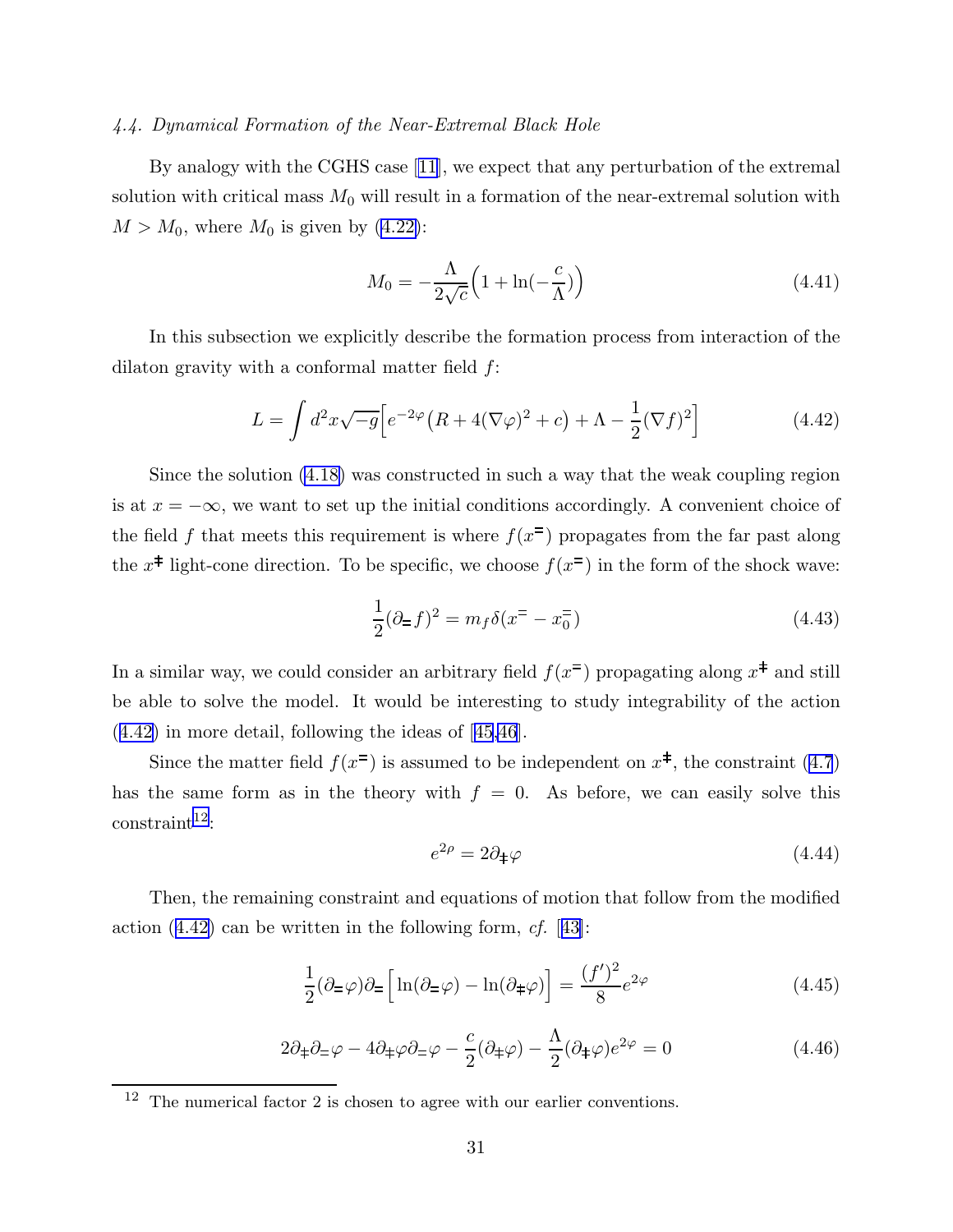# <span id="page-31-0"></span>4.4. Dynamical Formation of the Near-Extremal Black Hole

By analogy with the CGHS case[[11\]](#page-43-0), we expect that any perturbation of the extremal solution with critical mass  $M_0$  will result in a formation of the near-extremal solution with  $M > M_0$ , where  $M_0$  is given by [\(4.22\)](#page-27-0):

$$
M_0 = -\frac{\Lambda}{2\sqrt{c}} \left( 1 + \ln(-\frac{c}{\Lambda}) \right) \tag{4.41}
$$

In this subsection we explicitly describe the formation process from interaction of the dilaton gravity with a conformal matter field  $f$ :

$$
L = \int d^2x \sqrt{-g} \Big[ e^{-2\varphi} \big( R + 4(\nabla \varphi)^2 + c \big) + \Lambda - \frac{1}{2} (\nabla f)^2 \Big] \tag{4.42}
$$

Since the solution [\(4.18\)](#page-24-0) was constructed in such a way that the weak coupling region is at  $x = -\infty$ , we want to set up the initial conditions accordingly. A convenient choice of the field f that meets this requirement is where  $f(x^{\pm})$  propagates from the far past along the  $x^{\ddagger}$  light-cone direction. To be specific, we choose  $f(x^{\pm})$  in the form of the shock wave:

$$
\frac{1}{2}(\partial_{\Xi}f)^{2} = m_{f}\delta(x^{\Xi} - x_{0}^{\Xi})
$$
\n(4.43)

In a similar way, we could consider an arbitrary field  $f(x^{\pm})$  propagating along  $x^{\pm}$  and still be able to solve the model. It would be interesting to study integrability of the action (4.42) in more detail, following the ideas of[[45,46](#page-45-0)].

Since the matter field  $f(x^{\pm})$  is assumed to be independent on  $x^{\pm}$ , the constraint [\(4.7](#page-22-0)) has the same form as in the theory with  $f = 0$ . As before, we can easily solve this  $constraint<sup>12</sup>:$ 

$$
e^{2\rho} = 2\partial_{\pm}\varphi \tag{4.44}
$$

Then, the remaining constraint and equations of motion that follow from the modified action  $(4.42)$  can be written in the following form, cf. [[43\]](#page-45-0):

$$
\frac{1}{2}(\partial_{\pm}\varphi)\partial_{\pm}\left[\ln(\partial_{\pm}\varphi)-\ln(\partial_{\pm}\varphi)\right]=\frac{(f')^2}{8}e^{2\varphi}
$$
\n(4.45)

$$
2\partial_{\pm}\partial_{\mp}\varphi - 4\partial_{\pm}\varphi\partial_{\mp}\varphi - \frac{c}{2}(\partial_{\pm}\varphi) - \frac{\Lambda}{2}(\partial_{\pm}\varphi)e^{2\varphi} = 0
$$
\n(4.46)

 $12$  The numerical factor 2 is chosen to agree with our earlier conventions.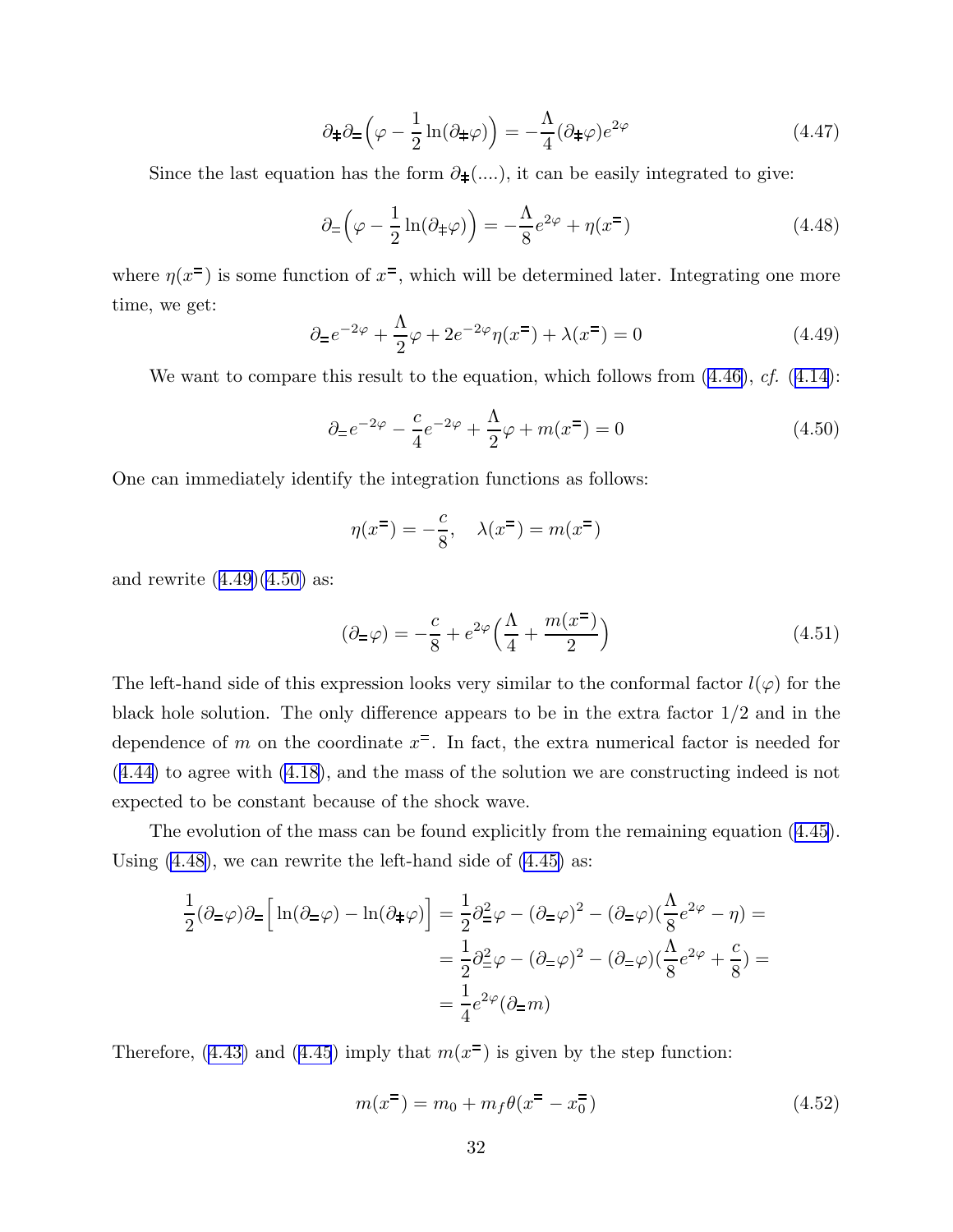$$
\partial_{\pm}\partial_{\pm}\left(\varphi - \frac{1}{2}\ln(\partial_{\pm}\varphi)\right) = -\frac{\Lambda}{4}(\partial_{\pm}\varphi)e^{2\varphi}
$$
 (4.47)

Since the last equation has the form  $\partial_{\pm}(\ldots)$ , it can be easily integrated to give:

$$
\partial_{\equiv} \left( \varphi - \frac{1}{2} \ln(\partial_{\pm} \varphi) \right) = -\frac{\Lambda}{8} e^{2\varphi} + \eta(x^{\mp}) \tag{4.48}
$$

where  $\eta(x^{\pm})$  is some function of  $x^{\pm}$ , which will be determined later. Integrating one more time, we get:

$$
\partial_{\pm}e^{-2\varphi} + \frac{\Lambda}{2}\varphi + 2e^{-2\varphi}\eta(x^{\mp}) + \lambda(x^{\mp}) = 0
$$
\n(4.49)

We want to compare this result to the equation, which follows from  $(4.46)$ ,  $cf. (4.14)$  $cf. (4.14)$  $cf. (4.14)$ :

$$
\partial_{\pm}e^{-2\varphi} - \frac{c}{4}e^{-2\varphi} + \frac{\Lambda}{2}\varphi + m(x^{\mp}) = 0
$$
\n(4.50)

One can immediately identify the integration functions as follows:

$$
\eta(x^{\pm}) = -\frac{c}{8}, \quad \lambda(x^{\pm}) = m(x^{\pm})
$$

and rewrite  $(4.49)(4.50)$  as:

$$
(\partial_{\pm}\varphi) = -\frac{c}{8} + e^{2\varphi} \Big(\frac{\Lambda}{4} + \frac{m(x^2)}{2}\Big) \tag{4.51}
$$

The left-hand side of this expression looks very similar to the conformal factor  $l(\varphi)$  for the black hole solution. The only difference appears to be in the extra factor 1/2 and in the dependence of m on the coordinate  $x^{\pm}$ . In fact, the extra numerical factor is needed for ([4.44](#page-31-0)) to agree with [\(4.18\)](#page-24-0), and the mass of the solution we are constructing indeed is not expected to be constant because of the shock wave.

The evolution of the mass can be found explicitly from the remaining equation ([4.45](#page-31-0)). Using (4.48), we can rewrite the left-hand side of [\(4.45\)](#page-31-0) as:

$$
\frac{1}{2}(\partial_{\Xi}\varphi)\partial_{\Xi}\left[\ln(\partial_{\Xi}\varphi) - \ln(\partial_{\Xi}\varphi)\right] = \frac{1}{2}\partial_{\Xi}^{2}\varphi - (\partial_{\Xi}\varphi)^{2} - (\partial_{\Xi}\varphi)(\frac{\Lambda}{8}e^{2\varphi} - \eta) =
$$
\n
$$
= \frac{1}{2}\partial_{\Xi}^{2}\varphi - (\partial_{\Xi}\varphi)^{2} - (\partial_{\Xi}\varphi)(\frac{\Lambda}{8}e^{2\varphi} + \frac{c}{8}) =
$$
\n
$$
= \frac{1}{4}e^{2\varphi}(\partial_{\Xi}m)
$$

Therefore, [\(4.43\)](#page-31-0) and ([4.45](#page-31-0)) imply that  $m(x^{\pm})$  is given by the step function:

$$
m(x^{\pm}) = m_0 + m_f \theta(x^{\pm} - x_0^{\pm})
$$
\n(4.52)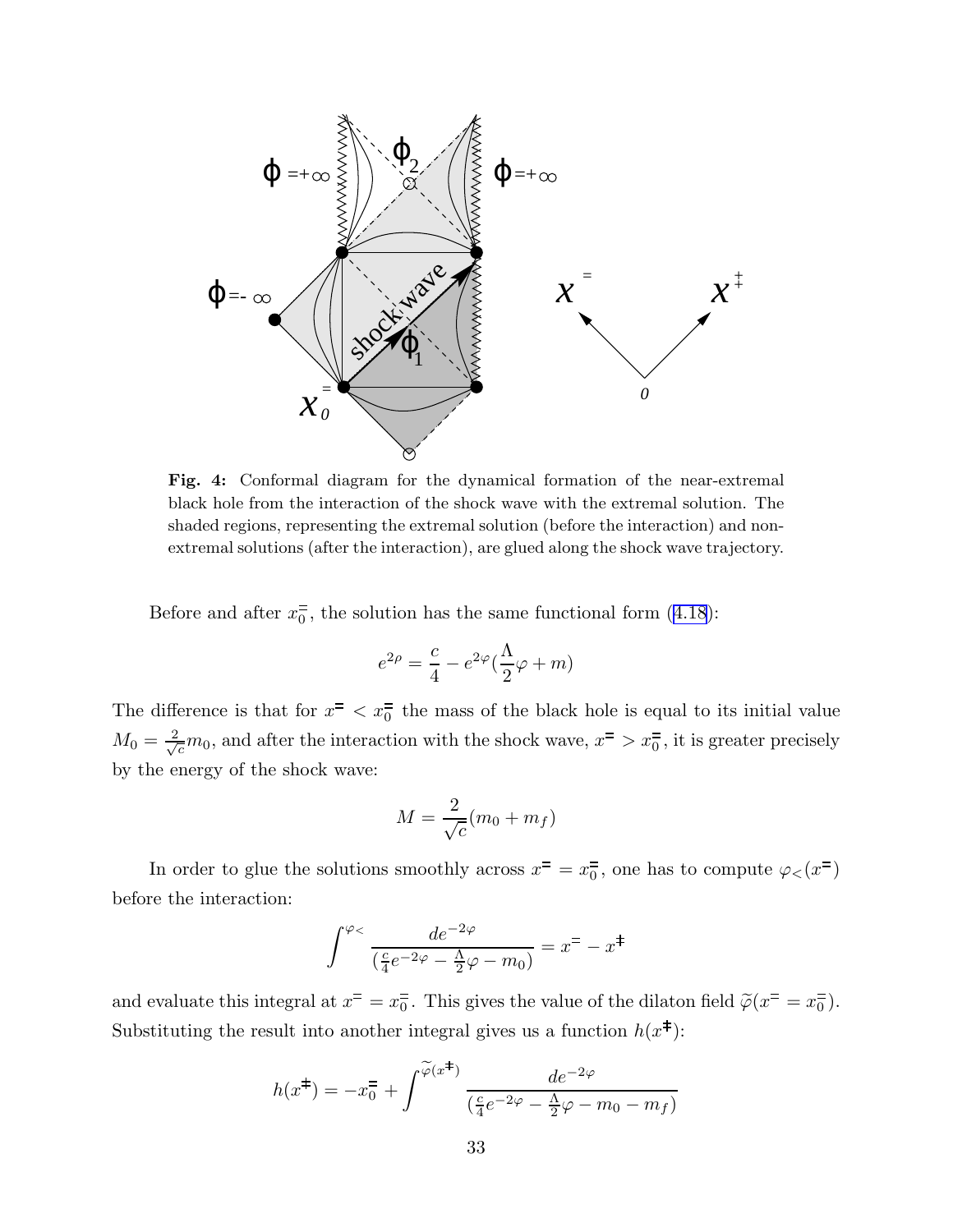

Fig. 4: Conformal diagram for the dynamical formation of the near-extremal black hole from the interaction of the shock wave with the extremal solution. The shaded regions, representing the extremal solution (before the interaction) and nonextremal solutions (after the interaction), are glued along the shock wave trajectory.

Before and after  $x_0^{\pm}$ , the solution has the same functional form ([4.18](#page-24-0)):

$$
e^{2\rho} = \frac{c}{4} - e^{2\varphi}(\frac{\Lambda}{2}\varphi + m)
$$

The difference is that for  $x^2 < x_0^2$  the mass of the black hole is equal to its initial value  $M_0 = \frac{2}{\sqrt{c}} m_0$ , and after the interaction with the shock wave,  $x = \sqrt{c}$ , it is greater precisely by the energy of the shock wave:

$$
M = \frac{2}{\sqrt{c}}(m_0 + m_f)
$$

In order to glue the solutions smoothly across  $x^{\pm} = x_0^{\pm}$ , one has to compute  $\varphi_{\leq}(x^{\pm})$ before the interaction:

$$
\int^{\varphi_<} \frac{de^{-2\varphi}}{\left(\frac{c}{4}e^{-2\varphi} - \frac{\Lambda}{2}\varphi - m_0\right)} = x^= - x^{\ddagger}
$$

and evaluate this integral at  $x^{\pm} = x_0^{\pm}$ . This gives the value of the dilaton field  $\tilde{\varphi}(x^{\pm} = x_0^{\pm})$ . Substituting the result into another integral gives us a function  $h(x^{\ddagger})$ :

$$
h(x^{\ddagger}) = -x_0^{\dagger} + \int^{\widetilde{\varphi}(x^{\ddagger})} \frac{de^{-2\varphi}}{\left(\frac{c}{4}e^{-2\varphi} - \frac{\Lambda}{2}\varphi - m_0 - m_f\right)}
$$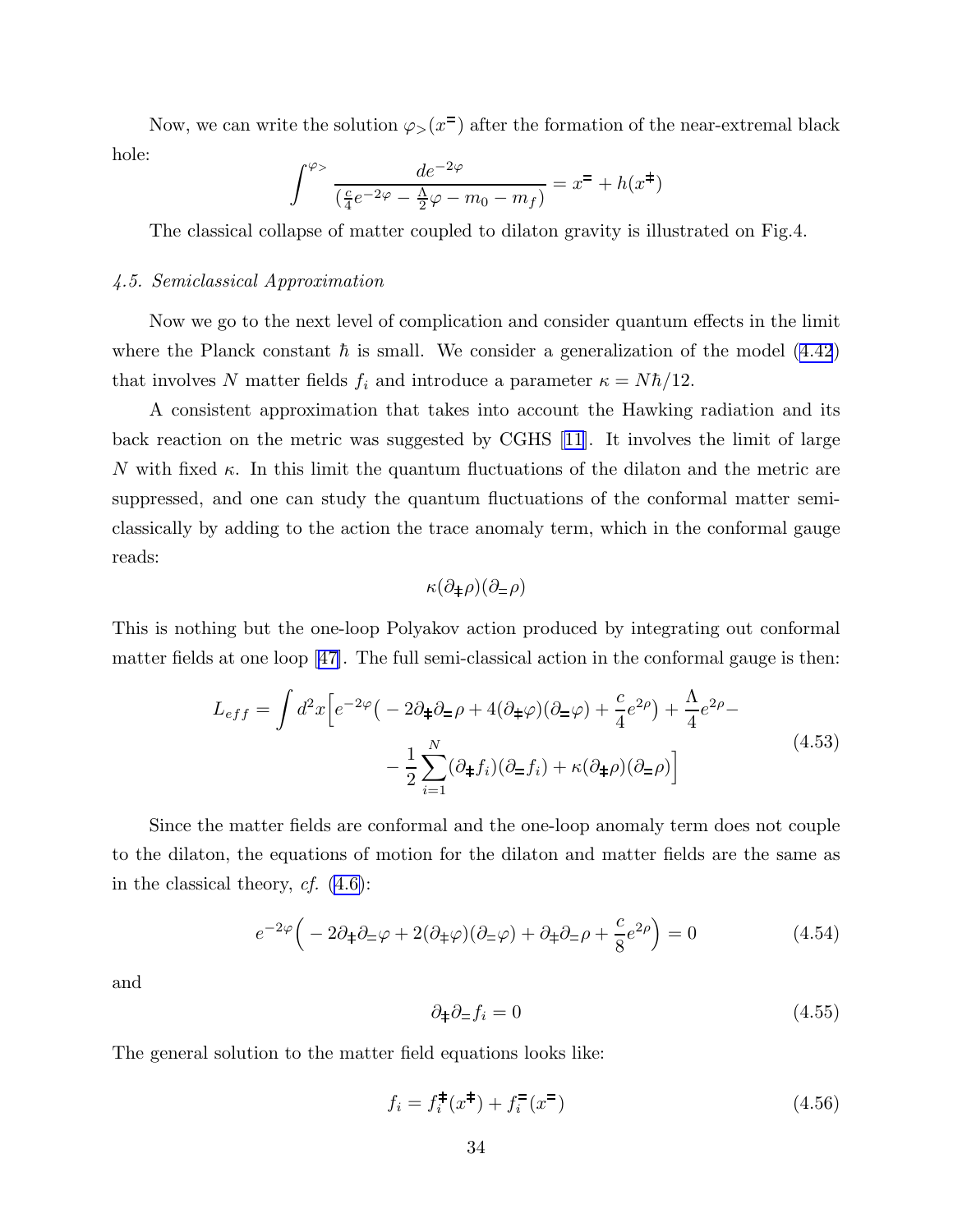<span id="page-34-0"></span>Now, we can write the solution  $\varphi_{>}(x^{\pm})$  after the formation of the near-extremal black hole:

$$
\int^{\varphi} \frac{de^{-2\varphi}}{\left(\frac{c}{4}e^{-2\varphi} - \frac{\Lambda}{2}\varphi - m_0 - m_f\right)} = x^{\pm} + h(x^{\pm})
$$

The classical collapse of matter coupled to dilaton gravity is illustrated on Fig.4.

# 4.5. Semiclassical Approximation

Now we go to the next level of complication and consider quantum effects in the limit where the Planck constant  $\hbar$  is small. We consider a generalization of the model [\(4.42](#page-31-0)) that involves N matter fields  $f_i$  and introduce a parameter  $\kappa = N\hbar/12$ .

A consistent approximation that takes into account the Hawking radiation and its back reaction on the metric was suggested by CGHS[[11\]](#page-43-0). It involves the limit of large N with fixed  $\kappa$ . In this limit the quantum fluctuations of the dilaton and the metric are suppressed, and one can study the quantum fluctuations of the conformal matter semiclassically by adding to the action the trace anomaly term, which in the conformal gauge reads:

$$
\kappa(\partial_{\pm}\rho)(\partial_{\pm}\rho)
$$

This is nothing but the one-loop Polyakov action produced by integrating out conformal matter fields at one loop[[47\]](#page-45-0). The full semi-classical action in the conformal gauge is then:

$$
L_{eff} = \int d^2x \left[ e^{-2\varphi} \left( -2\partial_{\pm}\partial_{\mp}\rho + 4(\partial_{\mp}\varphi)(\partial_{\mp}\varphi) + \frac{c}{4}e^{2\rho} \right) + \frac{\Lambda}{4}e^{2\rho} - \right. \\
\left. - \frac{1}{2} \sum_{i=1}^{N} (\partial_{\mp}f_i)(\partial_{\mp}f_i) + \kappa(\partial_{\mp}\rho)(\partial_{\mp}\rho) \right]
$$
\n(4.53)

Since the matter fields are conformal and the one-loop anomaly term does not couple to the dilaton, the equations of motion for the dilaton and matter fields are the same as in the classical theory,  $cf.$  [\(4.6\)](#page-22-0):

$$
e^{-2\varphi}\left(-2\partial_{\pm}\partial_{\mp}\varphi + 2(\partial_{\pm}\varphi)(\partial_{\mp}\varphi) + \partial_{\pm}\partial_{\mp}\rho + \frac{c}{8}e^{2\rho}\right) = 0
$$
\n(4.54)

and

$$
\partial_{\pm}\partial_{\mp}f_i = 0\tag{4.55}
$$

The general solution to the matter field equations looks like:

$$
f_i = f_i^{\dagger}(x^{\dagger}) + f_i^{\dagger}(x^{\dagger}) \tag{4.56}
$$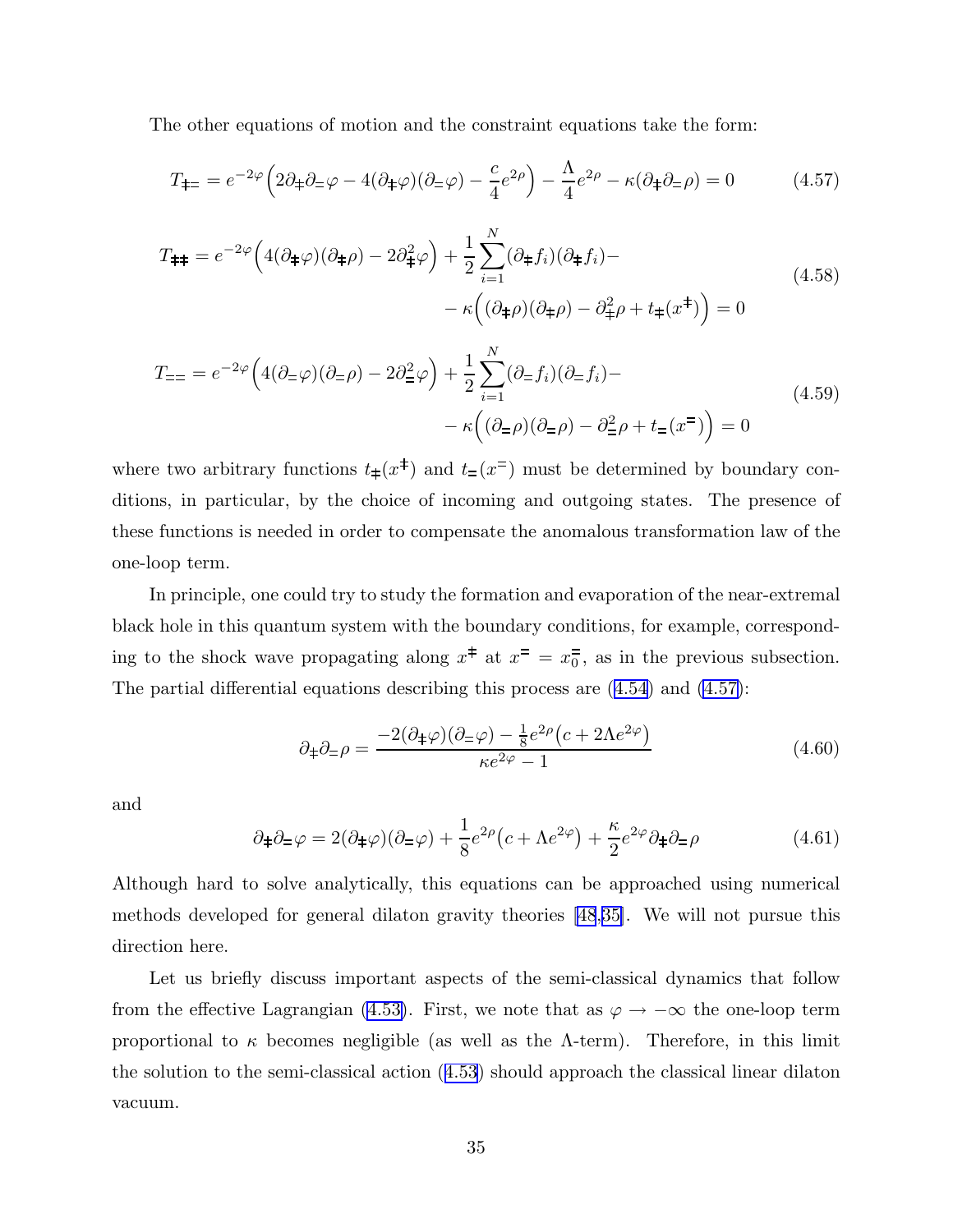<span id="page-35-0"></span>The other equations of motion and the constraint equations take the form:

$$
T_{\pm\pm} = e^{-2\varphi} \left( 2\partial_{\pm}\partial_{\pm}\varphi - 4(\partial_{\pm}\varphi)(\partial_{\pm}\varphi) - \frac{c}{4}e^{2\varphi} \right) - \frac{\Lambda}{4}e^{2\varphi} - \kappa(\partial_{\pm}\partial_{\pm}\varphi) = 0 \tag{4.57}
$$

$$
T_{\pm\pm} = e^{-2\varphi} \left( 4(\partial_{\pm}\varphi)(\partial_{\pm}\rho) - 2\partial_{\pm}^2\varphi \right) + \frac{1}{2} \sum_{i=1}^N (\partial_{\pm}f_i)(\partial_{\pm}f_i) -
$$
  

$$
- \kappa \left( (\partial_{\pm}\rho)(\partial_{\pm}\rho) - \partial_{\pm}^2\rho + t_{\pm}(x^{\pm}) \right) = 0
$$
\n(4.58)

$$
T_{\equiv} = e^{-2\varphi} \left( 4(\partial_{\equiv}\varphi)(\partial_{\equiv}\rho) - 2\partial_{\equiv}^{2}\varphi \right) + \frac{1}{2} \sum_{i=1}^{N} (\partial_{\equiv}f_{i})(\partial_{\equiv}f_{i}) - \kappa \left( (\partial_{\equiv}\rho)(\partial_{\equiv}\rho) - \partial_{\equiv}^{2}\rho + t_{\equiv}(x^{\equiv}) \right) = 0
$$
\n(4.59)

where two arbitrary functions  $t_{\pm}(x^{\pm})$  and  $t_{\pm}(x^{\pm})$  must be determined by boundary conditions, in particular, by the choice of incoming and outgoing states. The presence of these functions is needed in order to compensate the anomalous transformation law of the one-loop term.

In principle, one could try to study the formation and evaporation of the near-extremal black hole in this quantum system with the boundary conditions, for example, corresponding to the shock wave propagating along  $x^{\pm}$  at  $x^{-} = x_{0}^{-}$ , as in the previous subsection. The partial differential equations describing this process are ([4.54](#page-34-0)) and (4.57):

$$
\partial_{\pm}\partial_{\mp}\rho = \frac{-2(\partial_{\pm}\varphi)(\partial_{\mp}\varphi) - \frac{1}{8}e^{2\rho}(c + 2\Lambda e^{2\varphi})}{\kappa e^{2\varphi} - 1}
$$
(4.60)

and

$$
\partial_{\pm}\partial_{\mp}\varphi = 2(\partial_{\pm}\varphi)(\partial_{\mp}\varphi) + \frac{1}{8}e^{2\rho}(c + \Lambda e^{2\varphi}) + \frac{\kappa}{2}e^{2\varphi}\partial_{\mp}\partial_{\mp}\rho \tag{4.61}
$$

Although hard to solve analytically, this equations can be approached using numerical methods developed for general dilaton gravity theories [\[48](#page-45-0),[35\]](#page-44-0). We will not pursue this direction here.

Let us briefly discuss important aspects of the semi-classical dynamics that follow from the effective Lagrangian [\(4.53\)](#page-34-0). First, we note that as  $\varphi \to -\infty$  the one-loop term proportional to  $\kappa$  becomes negligible (as well as the Λ-term). Therefore, in this limit the solution to the semi-classical action ([4.53\)](#page-34-0) should approach the classical linear dilaton vacuum.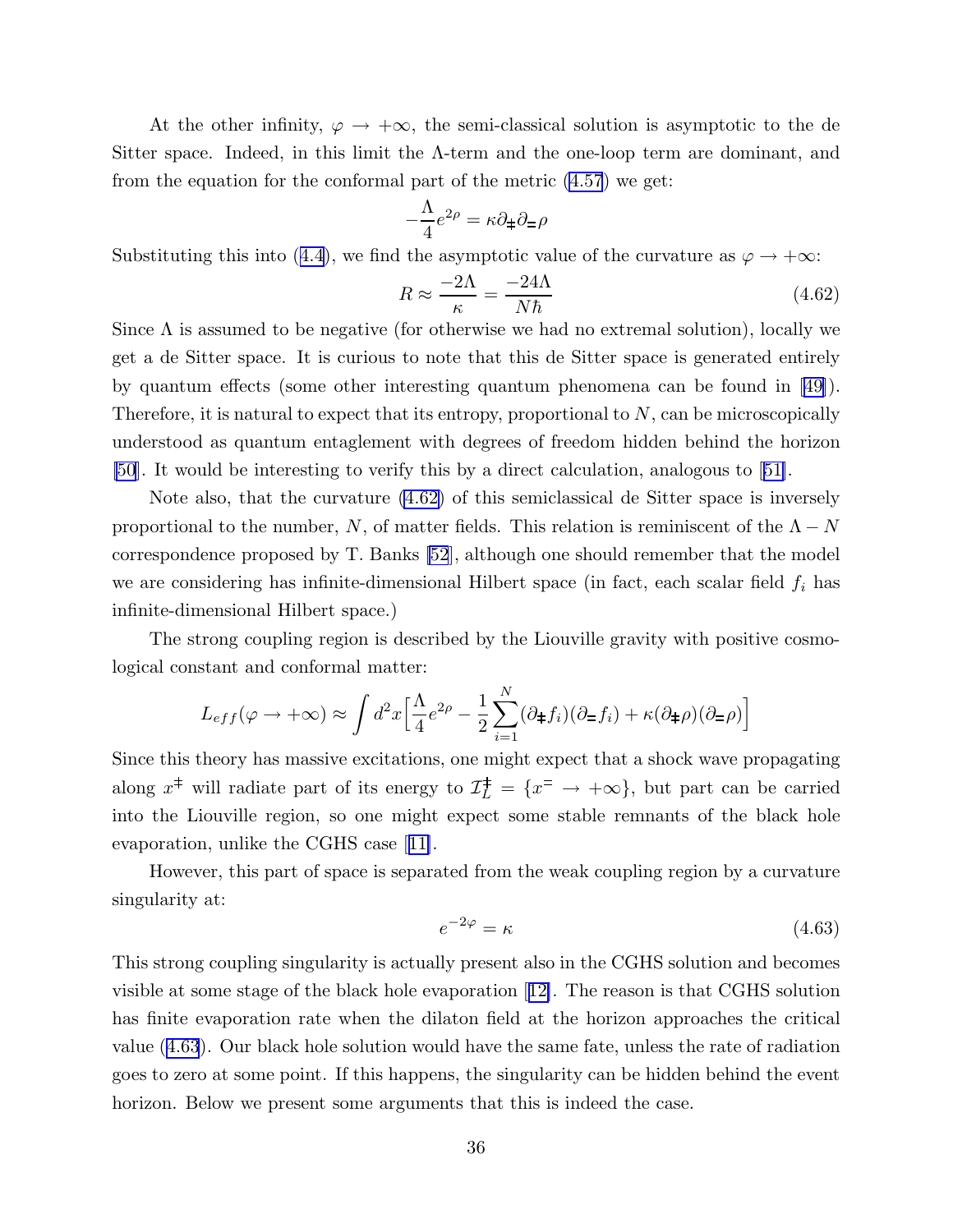At the other infinity,  $\varphi \to +\infty$ , the semi-classical solution is asymptotic to the de Sitter space. Indeed, in this limit the  $\Lambda$ -term and the one-loop term are dominant, and from the equation for the conformal part of the metric [\(4.57](#page-35-0)) we get:

$$
-\frac{\Lambda}{4}e^{2\rho} = \kappa \partial_{\pm} \partial_{\mp} \rho
$$

Substituting this into ([4.4](#page-22-0)), we find the asymptotic value of the curvature as  $\varphi \to +\infty$ :

$$
R \approx \frac{-2\Lambda}{\kappa} = \frac{-24\Lambda}{N\hbar} \tag{4.62}
$$

Since  $\Lambda$  is assumed to be negative (for otherwise we had no extremal solution), locally we get a de Sitter space. It is curious to note that this de Sitter space is generated entirely by quantum effects (some other interesting quantum phenomena can be found in[[49\]](#page-45-0)). Therefore, it is natural to expect that its entropy, proportional to  $N$ , can be microscopically understood as quantum entaglement with degrees of freedom hidden behind the horizon [\[50](#page-45-0)]. It would be interesting to verify this by a direct calculation, analogous to[[51\]](#page-45-0).

Note also, that the curvature (4.62) of this semiclassical de Sitter space is inversely proportional to the number, N, of matter fields. This relation is reminiscent of the  $\Lambda - N$ correspondence proposed by T. Banks [\[52](#page-45-0)], although one should remember that the model we are considering has infinite-dimensional Hilbert space (in fact, each scalar field  $f_i$  has infinite-dimensional Hilbert space.)

The strong coupling region is described by the Liouville gravity with positive cosmological constant and conformal matter:

$$
L_{eff}(\varphi \to +\infty) \approx \int d^2x \left[ \frac{\Lambda}{4} e^{2\rho} - \frac{1}{2} \sum_{i=1}^N (\partial_{\pm} f_i)(\partial_{\mp} f_i) + \kappa (\partial_{\pm} \rho)(\partial_{\mp} \rho) \right]
$$

Since this theory has massive excitations, one might expect that a shock wave propagating along  $x^{\ddagger}$  will radiate part of its energy to  $\mathcal{I}_L^{\ddagger} = \{x^{\pm} \to +\infty\}$ , but part can be carried into the Liouville region, so one might expect some stable remnants of the black hole evaporation, unlike the CGHS case[[11\]](#page-43-0).

However, this part of space is separated from the weak coupling region by a curvature singularity at:

$$
e^{-2\varphi} = \kappa \tag{4.63}
$$

This strong coupling singularity is actually present also in the CGHS solution and becomes visible at some stage of the black hole evaporation[[12\]](#page-43-0). The reason is that CGHS solution has finite evaporation rate when the dilaton field at the horizon approaches the critical value (4.63). Our black hole solution would have the same fate, unless the rate of radiation goes to zero at some point. If this happens, the singularity can be hidden behind the event horizon. Below we present some arguments that this is indeed the case.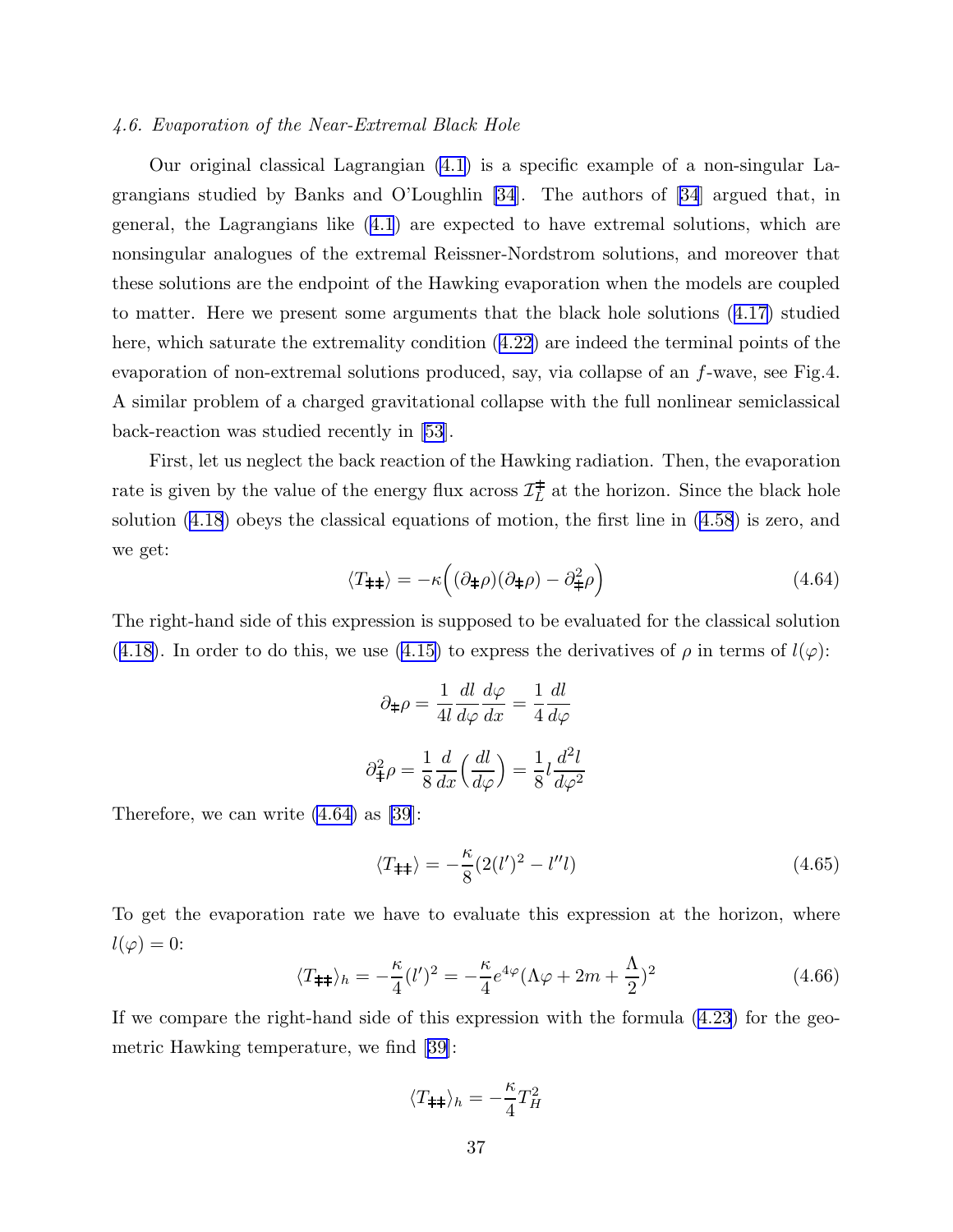# 4.6. Evaporation of the Near-Extremal Black Hole

Our original classical Lagrangian [\(4.1\)](#page-21-0) is a specific example of a non-singular Lagrangians studied by Banks and O'Loughlin [\[34](#page-44-0)]. The authors of [\[34](#page-44-0)] argued that, in general, the Lagrangians like ([4.1](#page-21-0)) are expected to have extremal solutions, which are nonsingular analogues of the extremal Reissner-Nordstrom solutions, and moreover that these solutions are the endpoint of the Hawking evaporation when the models are coupled to matter. Here we present some arguments that the black hole solutions ([4.17\)](#page-24-0) studied here, which saturate the extremality condition ([4.22](#page-27-0)) are indeed the terminal points of the evaporation of non-extremal solutions produced, say, via collapse of an f-wave, see Fig.4. A similar problem of a charged gravitational collapse with the full nonlinear semiclassical back-reaction was studied recently in [\[53](#page-45-0)].

First, let us neglect the back reaction of the Hawking radiation. Then, the evaporation rate is given by the value of the energy flux across  $\mathcal{I}_L^{\pm}$  at the horizon. Since the black hole solution [\(4.18](#page-24-0)) obeys the classical equations of motion, the first line in ([4.58](#page-35-0)) is zero, and we get:

$$
\langle T_{\pm \pm} \rangle = -\kappa \left( (\partial_{\pm} \rho)(\partial_{\pm} \rho) - \partial_{\pm}^2 \rho \right) \tag{4.64}
$$

The right-hand side of this expression is supposed to be evaluated for the classical solution ([4.18](#page-24-0)). In order to do this, we use [\(4.15\)](#page-23-0) to express the derivatives of  $\rho$  in terms of  $l(\varphi)$ :

$$
\partial_{\ddagger}\rho = \frac{1}{4l} \frac{dl}{d\varphi} \frac{d\varphi}{dx} = \frac{1}{4} \frac{dl}{d\varphi}
$$

$$
\partial_{\ddagger}^2 \rho = \frac{1}{8} \frac{d}{dx} \left(\frac{dl}{d\varphi}\right) = \frac{1}{8} l \frac{d^2l}{d\varphi^2}
$$

Therefore, we can write (4.64) as [\[39](#page-44-0)]:

$$
\langle T_{\pm \pm} \rangle = -\frac{\kappa}{8} (2(l')^2 - l'' l) \tag{4.65}
$$

To get the evaporation rate we have to evaluate this expression at the horizon, where  $l(\varphi)=0$ :

$$
\langle T_{\pm \pm} \rangle_h = -\frac{\kappa}{4} (l')^2 = -\frac{\kappa}{4} e^{4\varphi} (\Lambda \varphi + 2m + \frac{\Lambda}{2})^2 \tag{4.66}
$$

If we compare the right-hand side of this expression with the formula ([4.23](#page-27-0)) for the geometric Hawking temperature, we find [\[39](#page-44-0)]:

$$
\langle T_{\pm\pm} \rangle_h = -\frac{\kappa}{4} T_H^2
$$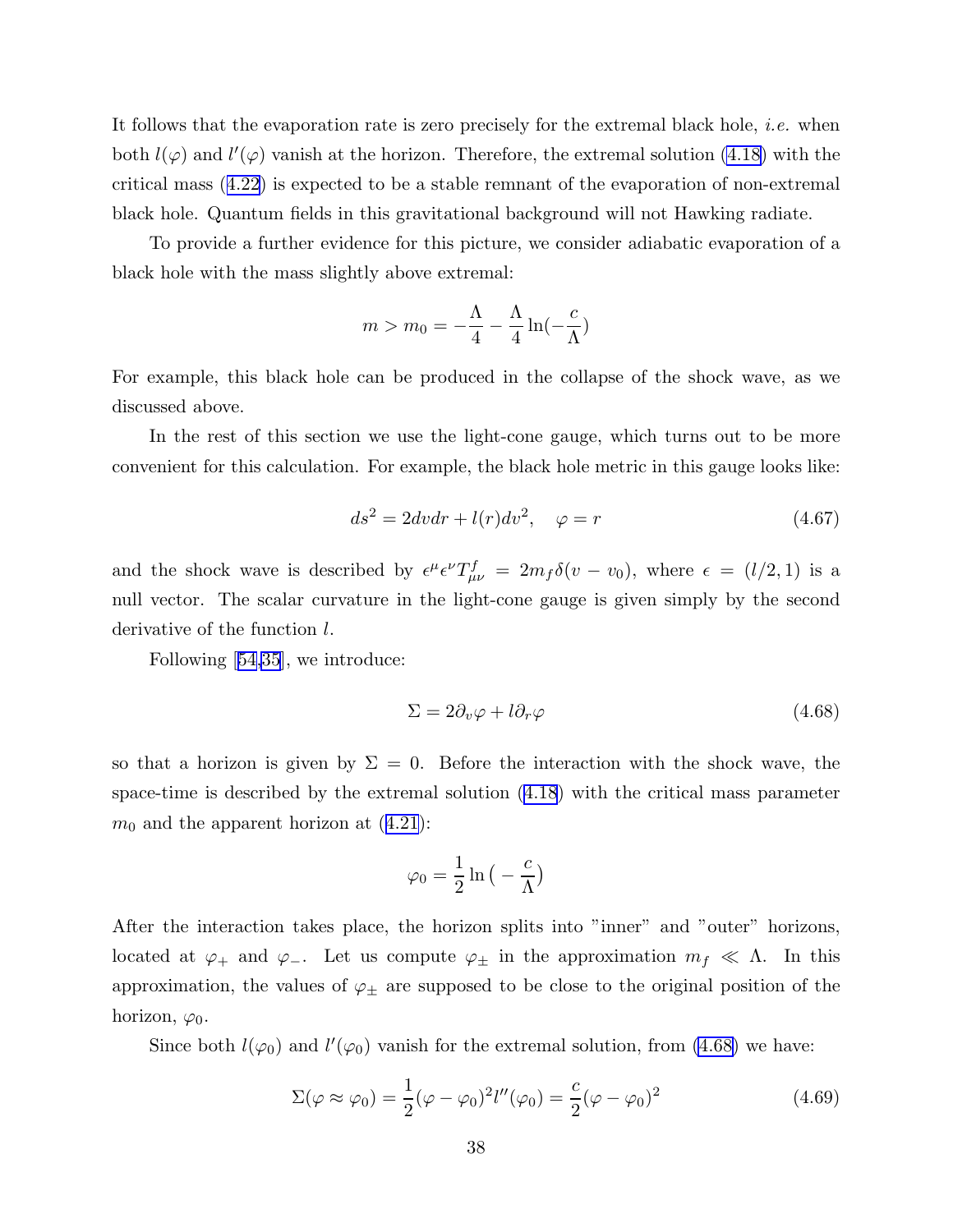<span id="page-38-0"></span>It follows that the evaporation rate is zero precisely for the extremal black hole, *i.e.* when both  $l(\varphi)$  and  $l'(\varphi)$  vanish at the horizon. Therefore, the extremal solution [\(4.18\)](#page-24-0) with the critical mass ([4.22\)](#page-27-0) is expected to be a stable remnant of the evaporation of non-extremal black hole. Quantum fields in this gravitational background will not Hawking radiate.

To provide a further evidence for this picture, we consider adiabatic evaporation of a black hole with the mass slightly above extremal:

$$
m > m_0 = -\frac{\Lambda}{4} - \frac{\Lambda}{4} \ln(-\frac{c}{\Lambda})
$$

For example, this black hole can be produced in the collapse of the shock wave, as we discussed above.

In the rest of this section we use the light-cone gauge, which turns out to be more convenient for this calculation. For example, the black hole metric in this gauge looks like:

$$
ds^2 = 2dvdr + l(r)dv^2, \quad \varphi = r \tag{4.67}
$$

and the shock wave is described by  $\epsilon^{\mu} \epsilon^{\nu} T_{\mu\nu}^{f} = 2m_{f} \delta(v - v_{0}),$  where  $\epsilon = (l/2, 1)$  is a null vector. The scalar curvature in the light-cone gauge is given simply by the second derivative of the function l.

Following[[54](#page-45-0)[,35](#page-44-0)], we introduce:

$$
\Sigma = 2\partial_v \varphi + l\partial_r \varphi \tag{4.68}
$$

so that a horizon is given by  $\Sigma = 0$ . Before the interaction with the shock wave, the space-time is described by the extremal solution ([4.18](#page-24-0)) with the critical mass parameter  $m_0$  and the apparent horizon at  $(4.21)$  $(4.21)$  $(4.21)$ :

$$
\varphi_0 = \frac{1}{2} \ln \big( - \frac{c}{\Lambda} \big)
$$

After the interaction takes place, the horizon splits into "inner" and "outer" horizons, located at  $\varphi_+$  and  $\varphi_-$ . Let us compute  $\varphi_{\pm}$  in the approximation  $m_f \ll \Lambda$ . In this approximation, the values of  $\varphi_{\pm}$  are supposed to be close to the original position of the horizon,  $\varphi_0$ .

Since both  $l(\varphi_0)$  and  $l'(\varphi_0)$  vanish for the extremal solution, from (4.68) we have:

$$
\Sigma(\varphi \approx \varphi_0) = \frac{1}{2}(\varphi - \varphi_0)^2 l''(\varphi_0) = \frac{c}{2}(\varphi - \varphi_0)^2 \tag{4.69}
$$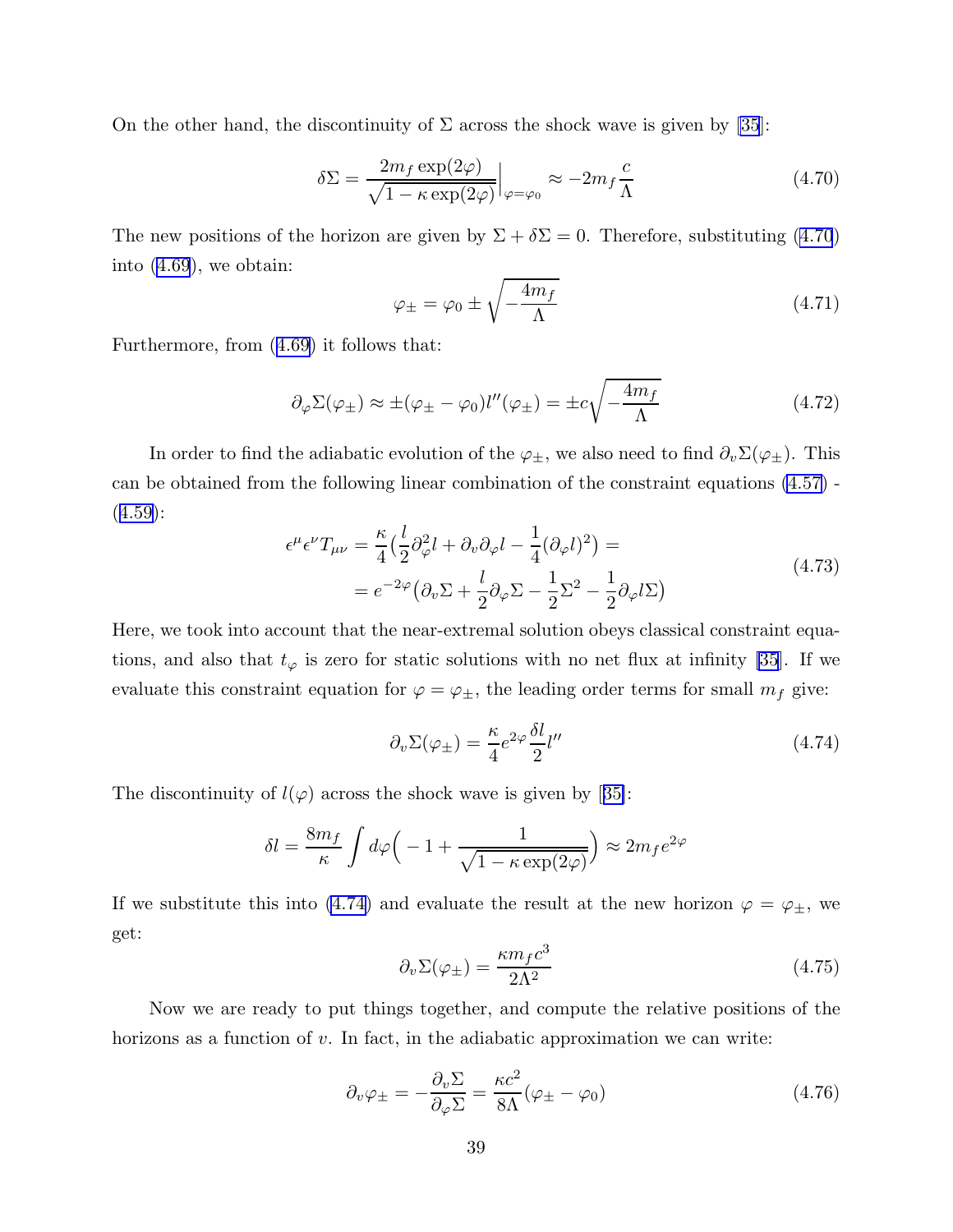<span id="page-39-0"></span>On the other hand, the discontinuity of  $\Sigma$  across the shock wave is given by [\[35](#page-44-0)]:

$$
\delta \Sigma = \frac{2m_f \exp(2\varphi)}{\sqrt{1 - \kappa \exp(2\varphi)}} \Big|_{\varphi = \varphi_0} \approx -2m_f \frac{c}{\Lambda}
$$
 (4.70)

The new positions of the horizon are given by  $\Sigma + \delta \Sigma = 0$ . Therefore, substituting (4.70) into ([4.69](#page-38-0)), we obtain:

$$
\varphi_{\pm} = \varphi_0 \pm \sqrt{-\frac{4m_f}{\Lambda}} \tag{4.71}
$$

Furthermore, from ([4.69\)](#page-38-0) it follows that:

$$
\partial_{\varphi} \Sigma(\varphi_{\pm}) \approx \pm (\varphi_{\pm} - \varphi_0) l''(\varphi_{\pm}) = \pm c \sqrt{-\frac{4m_f}{\Lambda}}
$$
(4.72)

In order to find the adiabatic evolution of the  $\varphi_{\pm}$ , we also need to find  $\partial_v \Sigma(\varphi_{\pm})$ . This can be obtained from the following linear combination of the constraint equations [\(4.57\)](#page-35-0) -  $(4.59):$  $(4.59):$  $(4.59):$ 

$$
\epsilon^{\mu} \epsilon^{\nu} T_{\mu \nu} = \frac{\kappa}{4} \left( \frac{l}{2} \partial_{\varphi}^{2} l + \partial_{\nu} \partial_{\varphi} l - \frac{1}{4} (\partial_{\varphi} l)^{2} \right) =
$$
\n
$$
= e^{-2\varphi} \left( \partial_{\nu} \Sigma + \frac{l}{2} \partial_{\varphi} \Sigma - \frac{1}{2} \Sigma^{2} - \frac{1}{2} \partial_{\varphi} l \Sigma \right)
$$
\n(4.73)

Here, we took into account that the near-extremal solution obeys classical constraint equations, and also that  $t_{\varphi}$  is zero for static solutions with no net flux at infinity [\[35](#page-44-0)]. If we evaluate this constraint equation for  $\varphi = \varphi_{\pm}$ , the leading order terms for small  $m_f$  give:

$$
\partial_v \Sigma(\varphi_\pm) = \frac{\kappa}{4} e^{2\varphi} \frac{\delta l}{2} l'' \tag{4.74}
$$

Thediscontinuity of  $l(\varphi)$  across the shock wave is given by [[35\]](#page-44-0):

$$
\delta l = \frac{8m_f}{\kappa} \int d\varphi \left( -1 + \frac{1}{\sqrt{1 - \kappa \exp(2\varphi)}} \right) \approx 2m_f e^{2\varphi}
$$

If we substitute this into (4.74) and evaluate the result at the new horizon  $\varphi = \varphi_{\pm}$ , we get:

$$
\partial_v \Sigma(\varphi_\pm) = \frac{\kappa m_f c^3}{2\Lambda^2} \tag{4.75}
$$

Now we are ready to put things together, and compute the relative positions of the horizons as a function of  $v$ . In fact, in the adiabatic approximation we can write:

$$
\partial_v \varphi_{\pm} = -\frac{\partial_v \Sigma}{\partial_\varphi \Sigma} = \frac{\kappa c^2}{8\Lambda} (\varphi_{\pm} - \varphi_0)
$$
\n(4.76)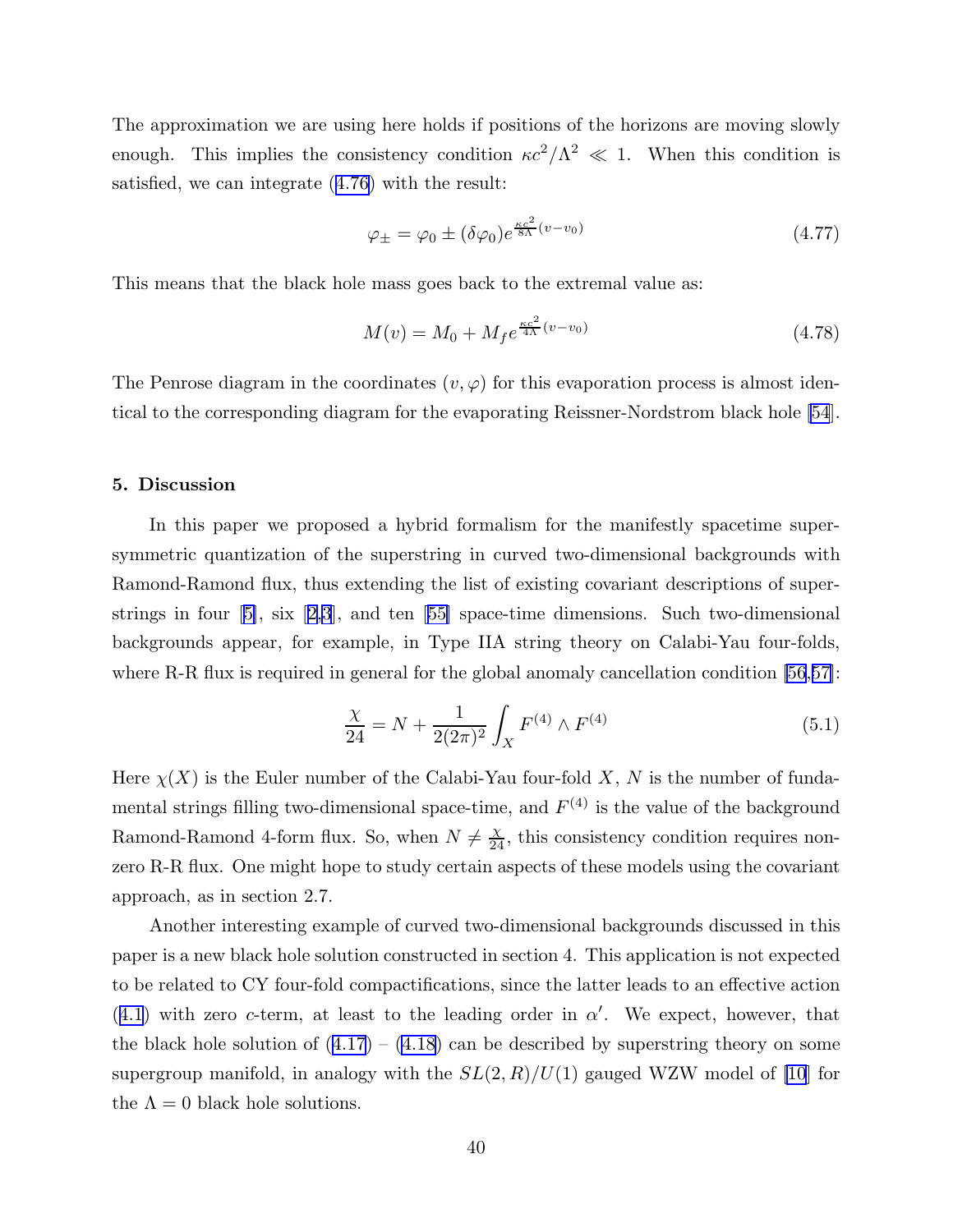The approximation we are using here holds if positions of the horizons are moving slowly enough. This implies the consistency condition  $\kappa c^2/\Lambda^2 \ll 1$ . When this condition is satisfied, we can integrate ([4.76](#page-39-0)) with the result:

$$
\varphi_{\pm} = \varphi_0 \pm (\delta \varphi_0) e^{\frac{\kappa c^2}{8\Lambda}(v - v_0)} \tag{4.77}
$$

This means that the black hole mass goes back to the extremal value as:

$$
M(v) = M_0 + M_f e^{\frac{\kappa c^2}{4\Lambda}(v - v_0)}
$$
\n(4.78)

The Penrose diagram in the coordinates  $(v, \varphi)$  for this evaporation process is almost identical to the corresponding diagram for the evaporating Reissner-Nordstrom black hole [\[54](#page-45-0)].

# 5. Discussion

In this paper we proposed a hybrid formalism for the manifestly spacetime supersymmetric quantization of the superstring in curved two-dimensional backgrounds with Ramond-Ramond flux, thus extending the list of existing covariant descriptions of superstringsin four  $[5]$  $[5]$ , six  $[2,3]$  $[2,3]$  $[2,3]$ , and ten  $[55]$  $[55]$  space-time dimensions. Such two-dimensional backgrounds appear, for example, in Type IIA string theory on Calabi-Yau four-folds, where R-R flux is required in general for the global anomaly cancellation condition [\[56](#page-45-0),[57\]](#page-45-0):

$$
\frac{\chi}{24} = N + \frac{1}{2(2\pi)^2} \int_X F^{(4)} \wedge F^{(4)} \tag{5.1}
$$

Here  $\chi(X)$  is the Euler number of the Calabi-Yau four-fold X, N is the number of fundamental strings filling two-dimensional space-time, and  $F^{(4)}$  is the value of the background Ramond-Ramond 4-form flux. So, when  $N \neq \frac{X}{24}$ , this consistency condition requires nonzero R-R flux. One might hope to study certain aspects of these models using the covariant approach, as in section 2.7.

Another interesting example of curved two-dimensional backgrounds discussed in this paper is a new black hole solution constructed in section 4. This application is not expected to be related to CY four-fold compactifications, since the latter leads to an effective action  $(4.1)$  $(4.1)$  $(4.1)$  with zero c-term, at least to the leading order in  $\alpha'$ . We expect, however, that the black hole solution of  $(4.17) - (4.18)$  $(4.17) - (4.18)$  $(4.17) - (4.18)$  $(4.17) - (4.18)$  can be described by superstring theory on some supergroup manifold, in analogy with the  $SL(2, R)/U(1)$  gauged WZW model of [\[10](#page-43-0)] for the  $\Lambda = 0$  black hole solutions.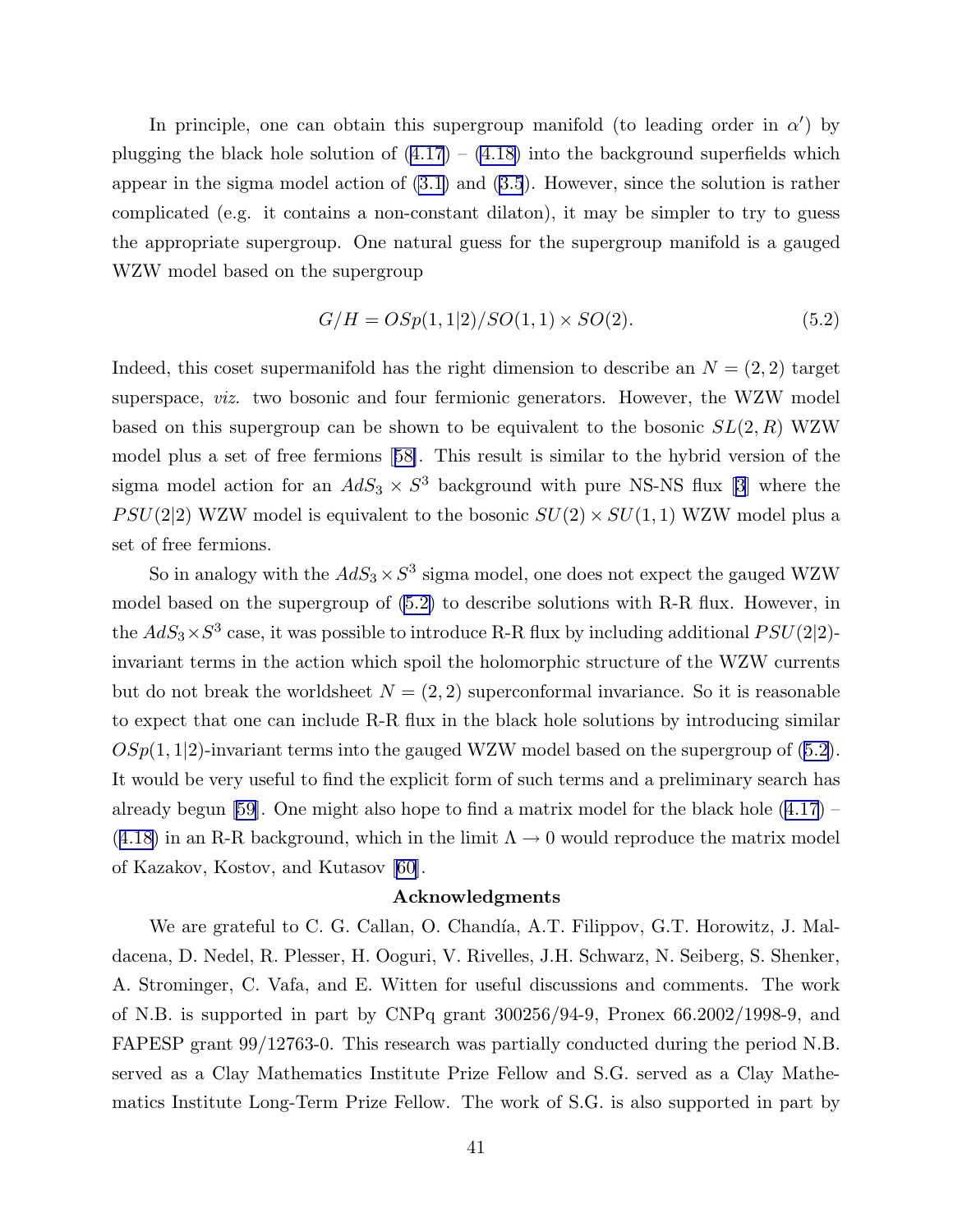In principle, one can obtain this supergroup manifold (to leading order in  $\alpha'$ ) by plugging the black hole solution of  $(4.17) - (4.18)$  $(4.17) - (4.18)$  $(4.17) - (4.18)$  $(4.17) - (4.18)$  into the background superfields which appear in the sigma model action of [\(3.1\)](#page-14-0) and [\(3.5](#page-16-0)). However, since the solution is rather complicated (e.g. it contains a non-constant dilaton), it may be simpler to try to guess the appropriate supergroup. One natural guess for the supergroup manifold is a gauged WZW model based on the supergroup

$$
G/H = OSp(1,1|2)/SO(1,1) \times SO(2). \tag{5.2}
$$

Indeed, this coset supermanifold has the right dimension to describe an  $N = (2, 2)$  target superspace, viz. two bosonic and four fermionic generators. However, the WZW model based on this supergroup can be shown to be equivalent to the bosonic  $SL(2, R)$  WZW model plus a set of free fermions[[58\]](#page-46-0). This result is similar to the hybrid version of the sigma model action for an  $AdS_3 \times S^3$  background with pure NS-NS flux [\[3](#page-43-0)] where the  $PSU(2|2)$  WZW model is equivalent to the bosonic  $SU(2) \times SU(1, 1)$  WZW model plus a set of free fermions.

So in analogy with the  $AdS_3 \times S^3$  sigma model, one does not expect the gauged WZW model based on the supergroup of (5.2) to describe solutions with R-R flux. However, in the  $AdS_3 \times S^3$  case, it was possible to introduce R-R flux by including additional  $PSU(2|2)$ invariant terms in the action which spoil the holomorphic structure of the WZW currents but do not break the worldsheet  $N = (2, 2)$  superconformal invariance. So it is reasonable to expect that one can include R-R flux in the black hole solutions by introducing similar  $OSp(1,1|2)$ -invariant terms into the gauged WZW model based on the supergroup of (5.2). It would be very useful to find the explicit form of such terms and a preliminary search has already begun [\[59](#page-46-0)]. One might also hope to find a matrix model for the black hole  $(4.17)$  $(4.17)$  –  $(4.18)$  $(4.18)$  $(4.18)$  in an R-R background, which in the limit  $\Lambda \rightarrow 0$  would reproduce the matrix model of Kazakov, Kostov, and Kutasov [\[60](#page-46-0)].

# Acknowledgments

We are grateful to C. G. Callan, O. Chandía, A.T. Filippov, G.T. Horowitz, J. Maldacena, D. Nedel, R. Plesser, H. Ooguri, V. Rivelles, J.H. Schwarz, N. Seiberg, S. Shenker, A. Strominger, C. Vafa, and E. Witten for useful discussions and comments. The work of N.B. is supported in part by CNPq grant 300256/94-9, Pronex 66.2002/1998-9, and FAPESP grant 99/12763-0. This research was partially conducted during the period N.B. served as a Clay Mathematics Institute Prize Fellow and S.G. served as a Clay Mathematics Institute Long-Term Prize Fellow. The work of S.G. is also supported in part by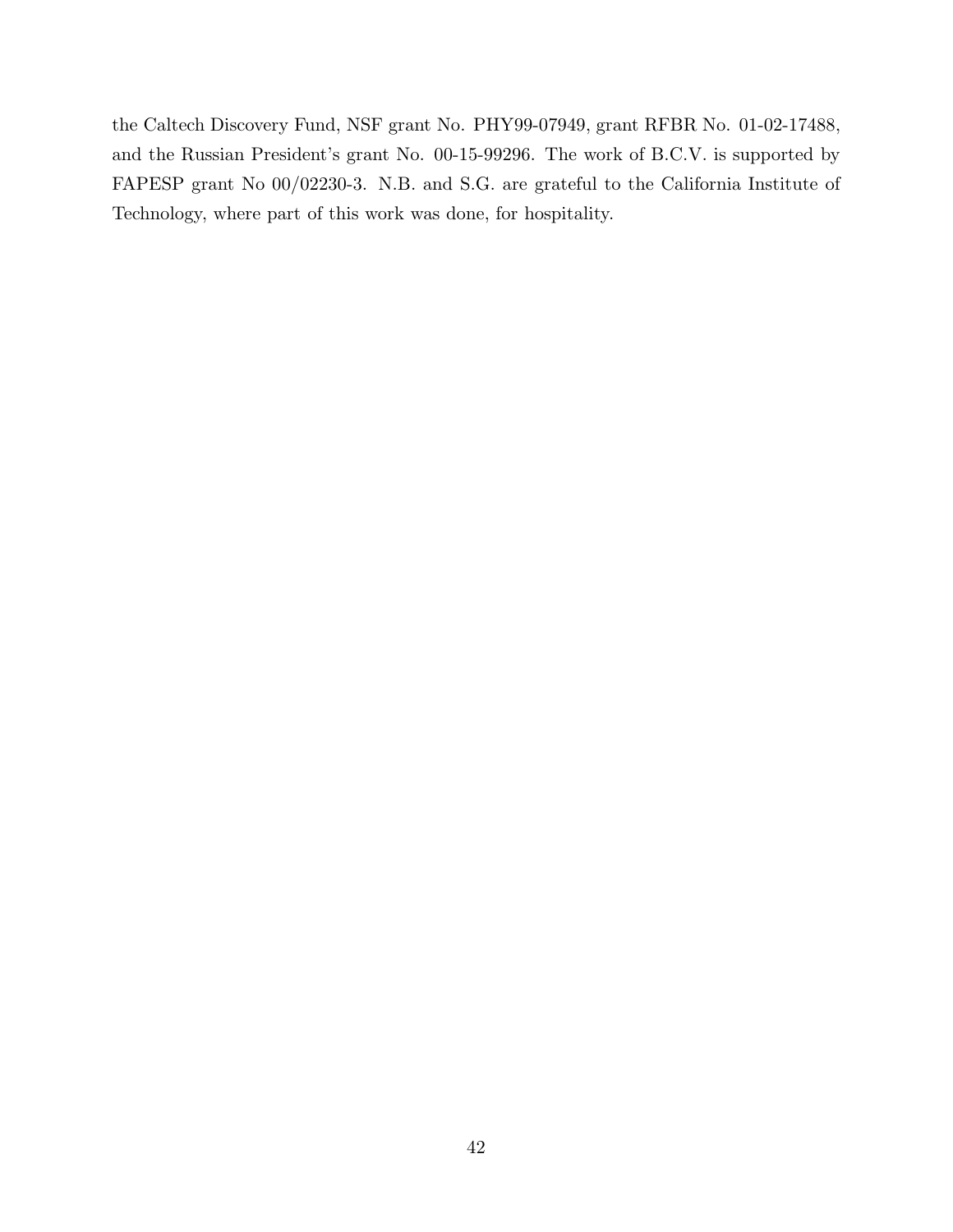the Caltech Discovery Fund, NSF grant No. PHY99-07949, grant RFBR No. 01-02-17488, and the Russian President's grant No. 00-15-99296. The work of B.C.V. is supported by FAPESP grant No 00/02230-3. N.B. and S.G. are grateful to the California Institute of Technology, where part of this work was done, for hospitality.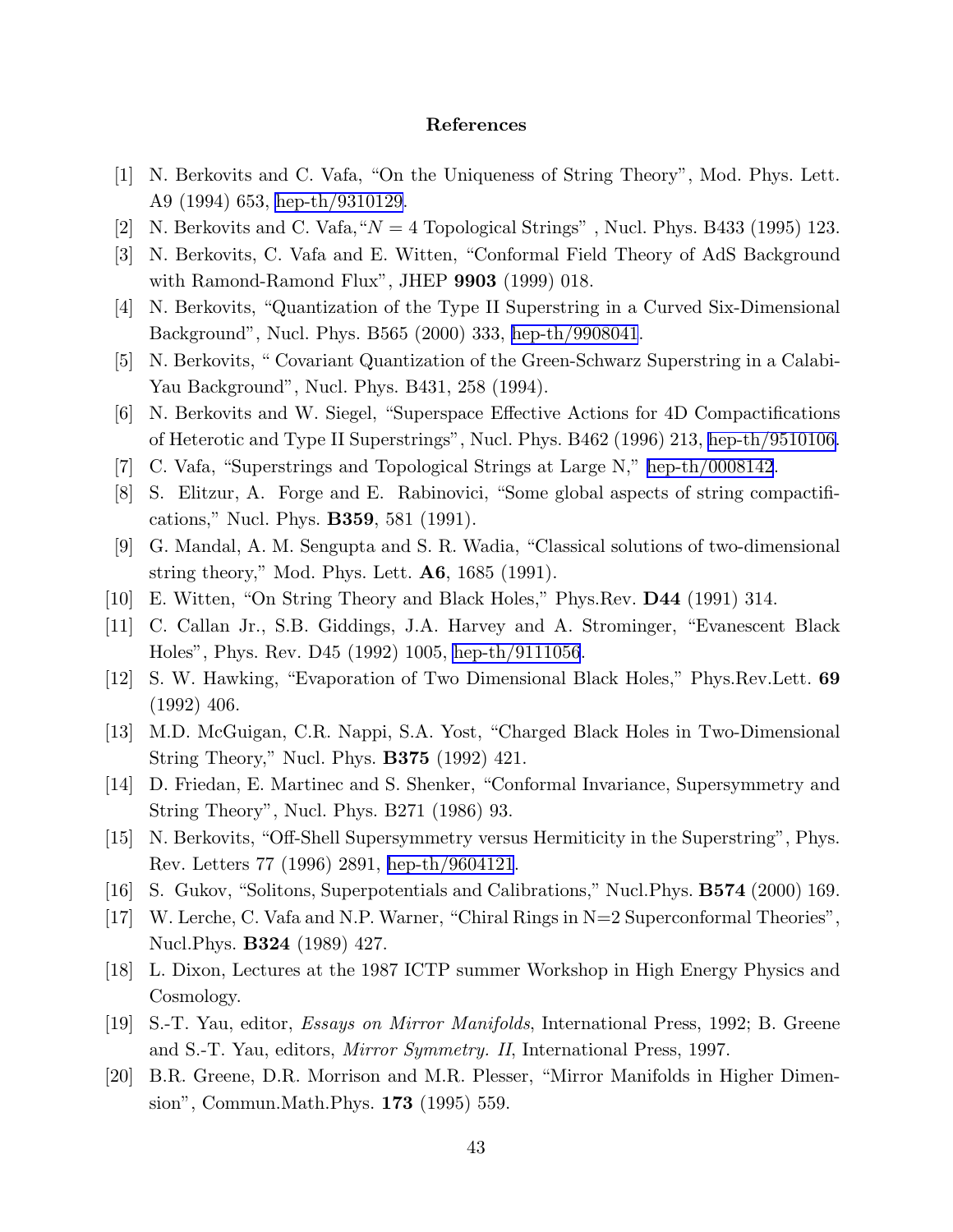# References

- <span id="page-43-0"></span>[1] N. Berkovits and C. Vafa, "On the Uniqueness of String Theory", Mod. Phys. Lett. A9 (1994) 653, [hep-th/9310129.](http://arXiv.org/abs/hep-th/9310129)
- [2] N. Berkovits and C. Vafa, " $N = 4$  Topological Strings", Nucl. Phys. B433 (1995) 123.
- [3] N. Berkovits, C. Vafa and E. Witten, "Conformal Field Theory of AdS Background with Ramond-Ramond Flux", JHEP 9903 (1999) 018.
- [4] N. Berkovits, "Quantization of the Type II Superstring in a Curved Six-Dimensional Background", Nucl. Phys. B565 (2000) 333, [hep-th/9908041](http://arXiv.org/abs/hep-th/9908041).
- [5] N. Berkovits, " Covariant Quantization of the Green-Schwarz Superstring in a Calabi-Yau Background", Nucl. Phys. B431, 258 (1994).
- [6] N. Berkovits and W. Siegel, "Superspace Effective Actions for 4D Compactifications of Heterotic and Type II Superstrings", Nucl. Phys. B462 (1996) 213, [hep-th/9510106.](http://arXiv.org/abs/hep-th/9510106)
- [7] C. Vafa, "Superstrings and Topological Strings at Large N," [hep-th/0008142](http://arXiv.org/abs/hep-th/0008142).
- [8] S. Elitzur, A. Forge and E. Rabinovici, "Some global aspects of string compactifications," Nucl. Phys. B359, 581 (1991).
- [9] G. Mandal, A. M. Sengupta and S. R. Wadia, "Classical solutions of two-dimensional string theory," Mod. Phys. Lett. A6, 1685 (1991).
- [10] E. Witten, "On String Theory and Black Holes," Phys.Rev. D44 (1991) 314.
- [11] C. Callan Jr., S.B. Giddings, J.A. Harvey and A. Strominger, "Evanescent Black Holes", Phys. Rev. D45 (1992) 1005, [hep-th/9111056](http://arXiv.org/abs/hep-th/9111056).
- [12] S. W. Hawking, "Evaporation of Two Dimensional Black Holes," Phys.Rev.Lett. 69 (1992) 406.
- [13] M.D. McGuigan, C.R. Nappi, S.A. Yost, "Charged Black Holes in Two-Dimensional String Theory," Nucl. Phys. B375 (1992) 421.
- [14] D. Friedan, E. Martinec and S. Shenker, "Conformal Invariance, Supersymmetry and String Theory", Nucl. Phys. B271 (1986) 93.
- [15] N. Berkovits, "Off-Shell Supersymmetry versus Hermiticity in the Superstring", Phys. Rev. Letters 77 (1996) 2891, [hep-th/9604121](http://arXiv.org/abs/hep-th/9604121).
- [16] S. Gukov, "Solitons, Superpotentials and Calibrations," Nucl.Phys. B574 (2000) 169.
- [17] W. Lerche, C. Vafa and N.P. Warner, "Chiral Rings in N=2 Superconformal Theories", Nucl. Phys. **B324** (1989) 427.
- [18] L. Dixon, Lectures at the 1987 ICTP summer Workshop in High Energy Physics and Cosmology.
- [19] S.-T. Yau, editor, Essays on Mirror Manifolds, International Press, 1992; B. Greene and S.-T. Yau, editors, Mirror Symmetry. II, International Press, 1997.
- [20] B.R. Greene, D.R. Morrison and M.R. Plesser, "Mirror Manifolds in Higher Dimension", Commun.Math.Phys. 173 (1995) 559.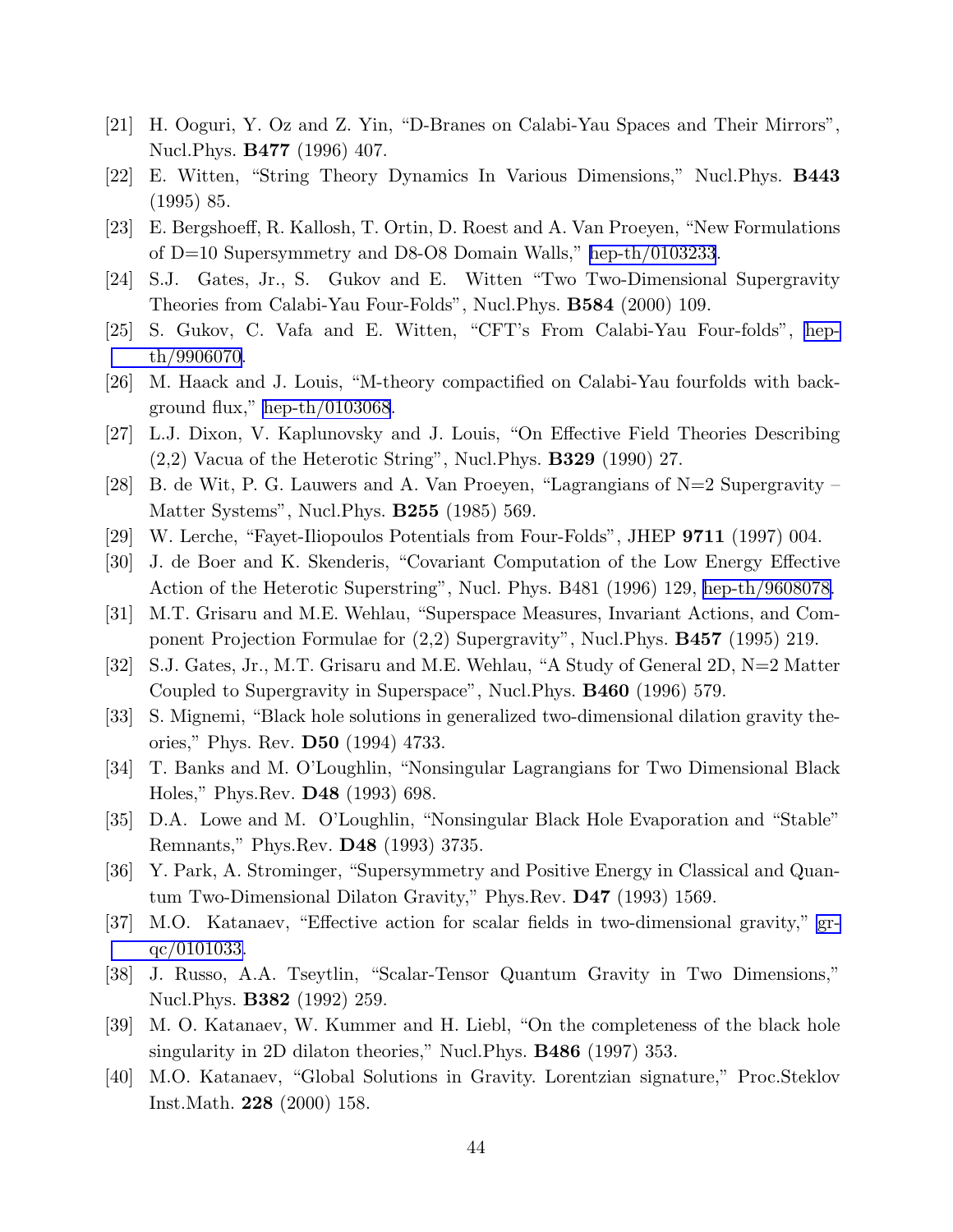- <span id="page-44-0"></span>[21] H. Ooguri, Y. Oz and Z. Yin, "D-Branes on Calabi-Yau Spaces and Their Mirrors", Nucl.Phys. B477 (1996) 407.
- [22] E. Witten, "String Theory Dynamics In Various Dimensions," Nucl.Phys. B443 (1995) 85.
- [23] E. Bergshoeff, R. Kallosh, T. Ortin, D. Roest and A. Van Proeyen, "New Formulations of D=10 Supersymmetry and D8-O8 Domain Walls," [hep-th/0103233](http://arXiv.org/abs/hep-th/0103233).
- [24] S.J. Gates, Jr., S. Gukov and E. Witten "Two Two-Dimensional Supergravity Theories from Calabi-Yau Four-Folds", Nucl.Phys. B584 (2000) 109.
- [25] S. Gukov, C. Vafa and E. Witten, "CFT's From Calabi-Yau Four-folds", [hep](http://arXiv.org/abs/hep-th/9906070)[th/9906070](http://arXiv.org/abs/hep-th/9906070).
- [26] M. Haack and J. Louis, "M-theory compactified on Calabi-Yau fourfolds with background flux," [hep-th/0103068](http://arXiv.org/abs/hep-th/0103068).
- [27] L.J. Dixon, V. Kaplunovsky and J. Louis, "On Effective Field Theories Describing  $(2,2)$  Vacua of the Heterotic String", Nucl. Phys. **B329** (1990) 27.
- [28] B. de Wit, P. G. Lauwers and A. Van Proeyen, "Lagrangians of  $N=2$  Supergravity Matter Systems", Nucl. Phys. **B255** (1985) 569.
- [29] W. Lerche, "Fayet-Iliopoulos Potentials from Four-Folds", JHEP 9711 (1997) 004.
- [30] J. de Boer and K. Skenderis, "Covariant Computation of the Low Energy Effective Action of the Heterotic Superstring", Nucl. Phys. B481 (1996) 129, [hep-th/9608078.](http://arXiv.org/abs/hep-th/9608078)
- [31] M.T. Grisaru and M.E. Wehlau, "Superspace Measures, Invariant Actions, and Component Projection Formulae for (2,2) Supergravity", Nucl.Phys. B457 (1995) 219.
- [32] S.J. Gates, Jr., M.T. Grisaru and M.E. Wehlau, "A Study of General 2D, N=2 Matter Coupled to Supergravity in Superspace", Nucl.Phys. B460 (1996) 579.
- [33] S. Mignemi, "Black hole solutions in generalized two-dimensional dilation gravity theories," Phys. Rev. D50 (1994) 4733.
- [34] T. Banks and M. O'Loughlin, "Nonsingular Lagrangians for Two Dimensional Black Holes," Phys.Rev. D48 (1993) 698.
- [35] D.A. Lowe and M. O'Loughlin, "Nonsingular Black Hole Evaporation and "Stable" Remnants," Phys.Rev. D48 (1993) 3735.
- [36] Y. Park, A. Strominger, "Supersymmetry and Positive Energy in Classical and Quantum Two-Dimensional Dilaton Gravity," Phys.Rev. D47 (1993) 1569.
- [37] M.O. Katanaev, "Effective action for scalar fields in two-dimensional gravity," [gr](http://arXiv.org/abs/gr-qc/0101033)[qc/0101033.](http://arXiv.org/abs/gr-qc/0101033)
- [38] J. Russo, A.A. Tseytlin, "Scalar-Tensor Quantum Gravity in Two Dimensions," Nucl.Phys. B382 (1992) 259.
- [39] M. O. Katanaev, W. Kummer and H. Liebl, "On the completeness of the black hole singularity in 2D dilaton theories," Nucl. Phys. **B486** (1997) 353.
- [40] M.O. Katanaev, "Global Solutions in Gravity. Lorentzian signature," Proc.Steklov Inst.Math. 228 (2000) 158.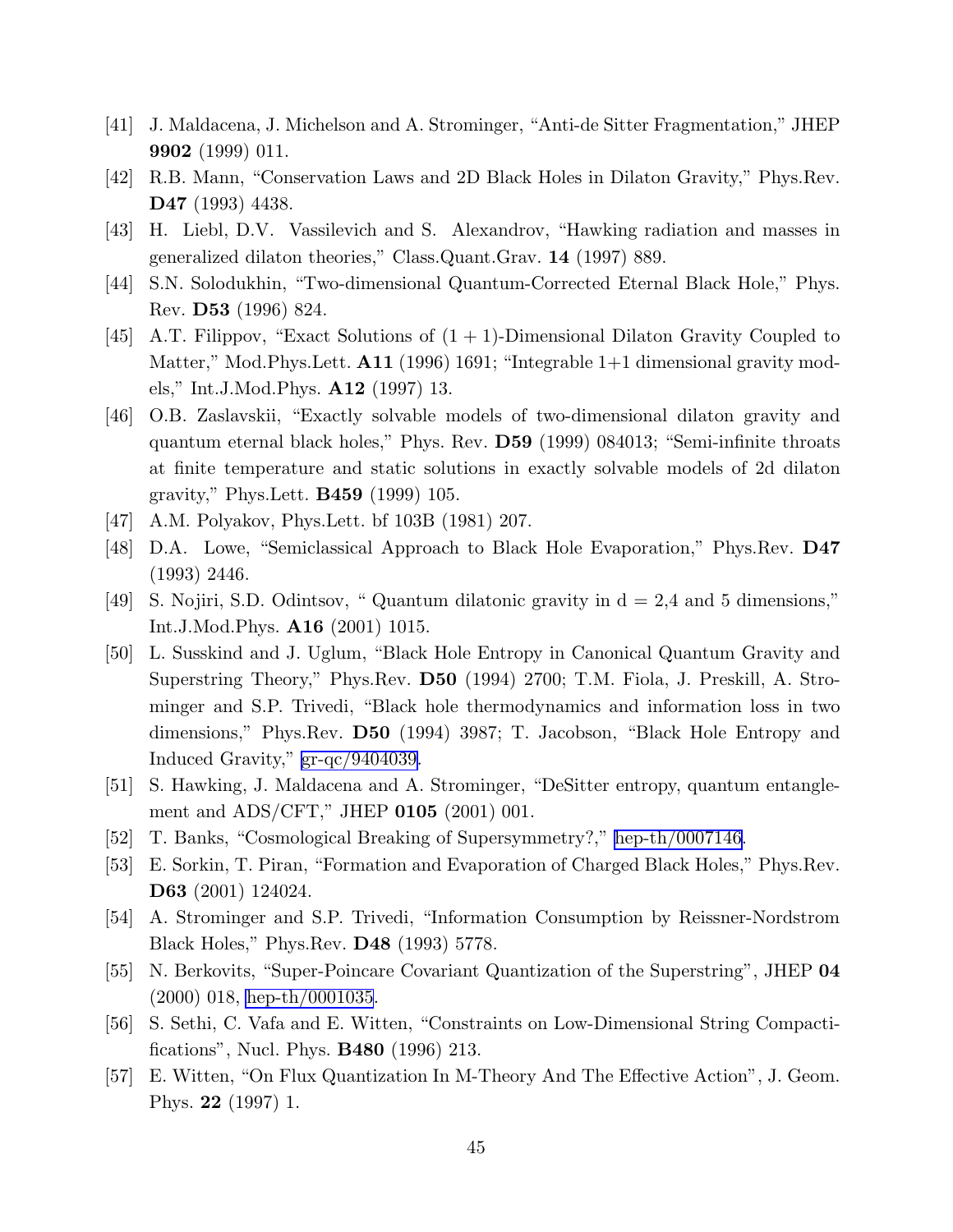- <span id="page-45-0"></span>[41] J. Maldacena, J. Michelson and A. Strominger, "Anti-de Sitter Fragmentation," JHEP 9902 (1999) 011.
- [42] R.B. Mann, "Conservation Laws and 2D Black Holes in Dilaton Gravity," Phys.Rev. D47 (1993) 4438.
- [43] H. Liebl, D.V. Vassilevich and S. Alexandrov, "Hawking radiation and masses in generalized dilaton theories," Class.Quant.Grav. 14 (1997) 889.
- [44] S.N. Solodukhin, "Two-dimensional Quantum-Corrected Eternal Black Hole," Phys. Rev. D53 (1996) 824.
- [45] A.T. Filippov, "Exact Solutions of (1 + 1)-Dimensional Dilaton Gravity Coupled to Matter," Mod.Phys.Lett. **A11** (1996) 1691; "Integrable 1+1 dimensional gravity models," Int.J.Mod.Phys. A12 (1997) 13.
- [46] O.B. Zaslavskii, "Exactly solvable models of two-dimensional dilaton gravity and quantum eternal black holes," Phys. Rev. D59 (1999) 084013; "Semi-infinite throats at finite temperature and static solutions in exactly solvable models of 2d dilaton gravity," Phys.Lett. B459 (1999) 105.
- [47] A.M. Polyakov, Phys.Lett. bf 103B (1981) 207.
- [48] D.A. Lowe, "Semiclassical Approach to Black Hole Evaporation," Phys.Rev. D47 (1993) 2446.
- [49] S. Nojiri, S.D. Odintsov, " Quantum dilatonic gravity in d = 2,4 and 5 dimensions," Int.J.Mod.Phys. A16 (2001) 1015.
- [50] L. Susskind and J. Uglum, "Black Hole Entropy in Canonical Quantum Gravity and Superstring Theory," Phys.Rev. D50 (1994) 2700; T.M. Fiola, J. Preskill, A. Strominger and S.P. Trivedi, "Black hole thermodynamics and information loss in two dimensions," Phys.Rev. D50 (1994) 3987; T. Jacobson, "Black Hole Entropy and Induced Gravity," [gr-qc/9404039.](http://arXiv.org/abs/gr-qc/9404039)
- [51] S. Hawking, J. Maldacena and A. Strominger, "DeSitter entropy, quantum entanglement and ADS/CFT," JHEP **0105** (2001) 001.
- [52] T. Banks, "Cosmological Breaking of Supersymmetry?," [hep-th/0007146.](http://arXiv.org/abs/hep-th/0007146)
- [53] E. Sorkin, T. Piran, "Formation and Evaporation of Charged Black Holes," Phys.Rev. D63 (2001) 124024.
- [54] A. Strominger and S.P. Trivedi, "Information Consumption by Reissner-Nordstrom Black Holes," Phys.Rev. D48 (1993) 5778.
- [55] N. Berkovits, "Super-Poincare Covariant Quantization of the Superstring", JHEP 04 (2000) 018, [hep-th/0001035](http://arXiv.org/abs/hep-th/0001035).
- [56] S. Sethi, C. Vafa and E. Witten, "Constraints on Low-Dimensional String Compactifications", Nucl. Phys. B480 (1996) 213.
- [57] E. Witten, "On Flux Quantization In M-Theory And The Effective Action", J. Geom. Phys. 22 (1997) 1.